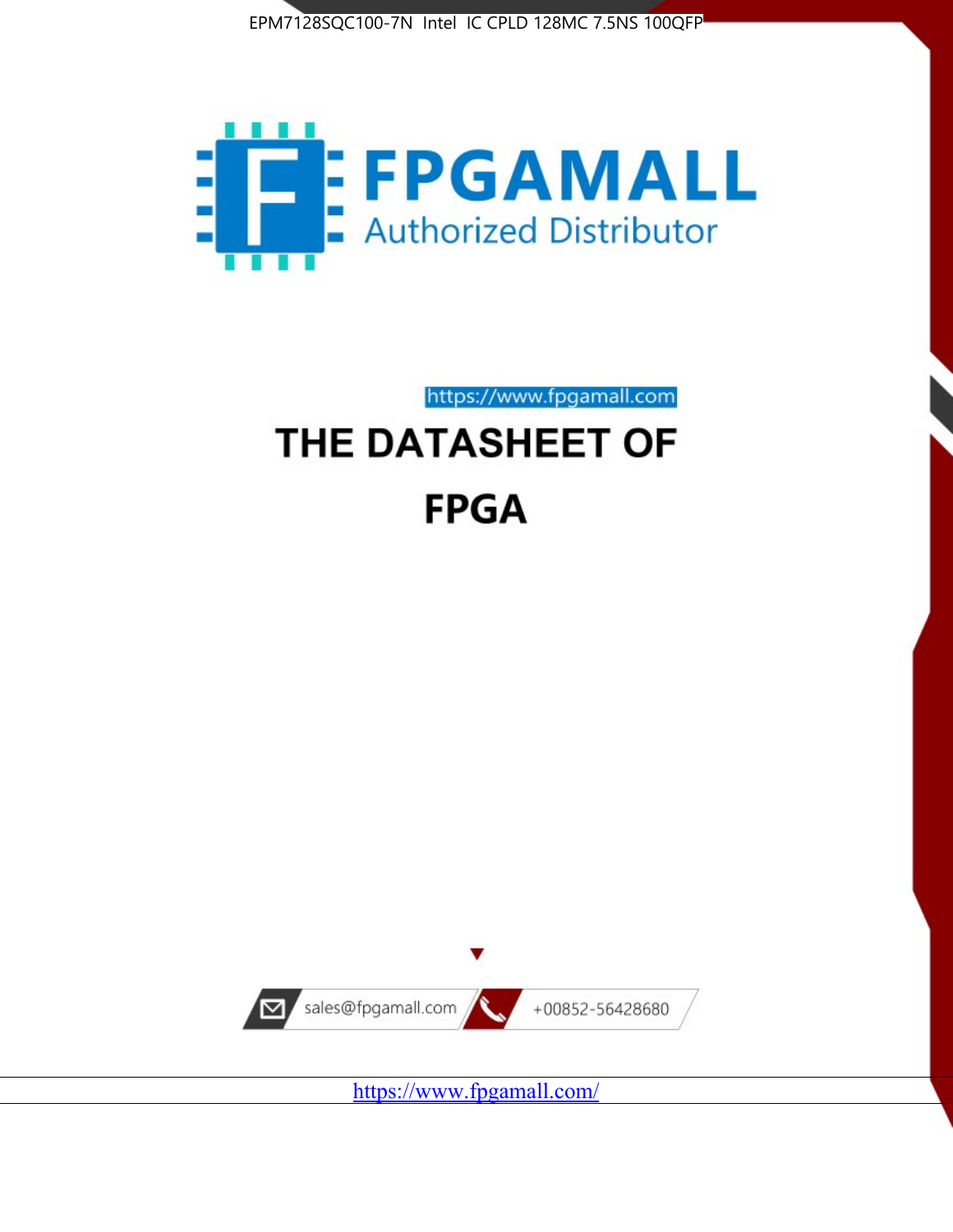



https://www.fpgamall.com

# THE DATASHEET OF **FPGA**



<https://www.fpgamall.com/>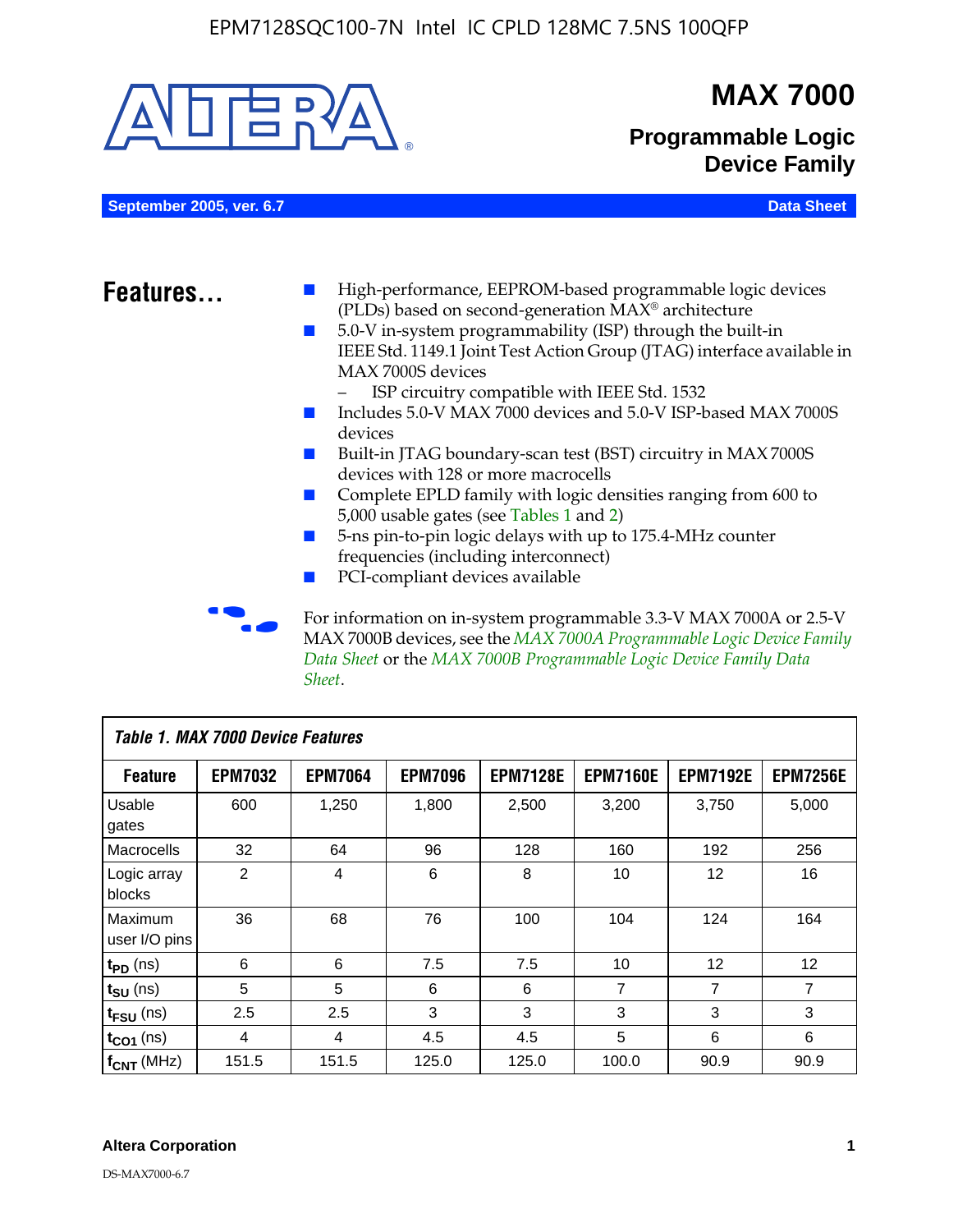

MAX 7000B devices, see the *MAX 7000A Programmable Logic Device Family Data Sheet* or the *MAX 7000B Programmable Logic Device Family Data Sheet*.

| <b>Table 1. MAX 7000 Device Features</b> |                |                |                |                 |                 |                 |                 |
|------------------------------------------|----------------|----------------|----------------|-----------------|-----------------|-----------------|-----------------|
| <b>Feature</b>                           | <b>EPM7032</b> | <b>EPM7064</b> | <b>EPM7096</b> | <b>EPM7128E</b> | <b>EPM7160E</b> | <b>EPM7192E</b> | <b>EPM7256E</b> |
| Usable<br>gates                          | 600            | 1,250          | 1,800          | 2,500           | 3,200           | 3,750           | 5,000           |
| Macrocells                               | 32             | 64             | 96             | 128             | 160             | 192             | 256             |
| Logic array<br>blocks                    | 2              | 4              | 6              | 8               | 10              | 12              | 16              |
| Maximum<br>user I/O pins                 | 36             | 68             | 76             | 100             | 104             | 124             | 164             |
| $t_{PD}$ (ns)                            | 6              | 6              | 7.5            | 7.5             | 10              | 12              | 12              |
| $t_{\text{SU}}$ (ns)                     | 5              | 5              | 6              | 6               | 7               | 7               | 7               |
| $t_{\text{FSU}}$ (ns)                    | 2.5            | 2.5            | 3              | 3               | 3               | 3               | 3               |
| $t_{CO1}$ (ns)                           | 4              | 4              | 4.5            | 4.5             | 5               | 6               | 6               |
| $f_{CNT}$ (MHz)                          | 151.5          | 151.5          | 125.0          | 125.0           | 100.0           | 90.9            | 90.9            |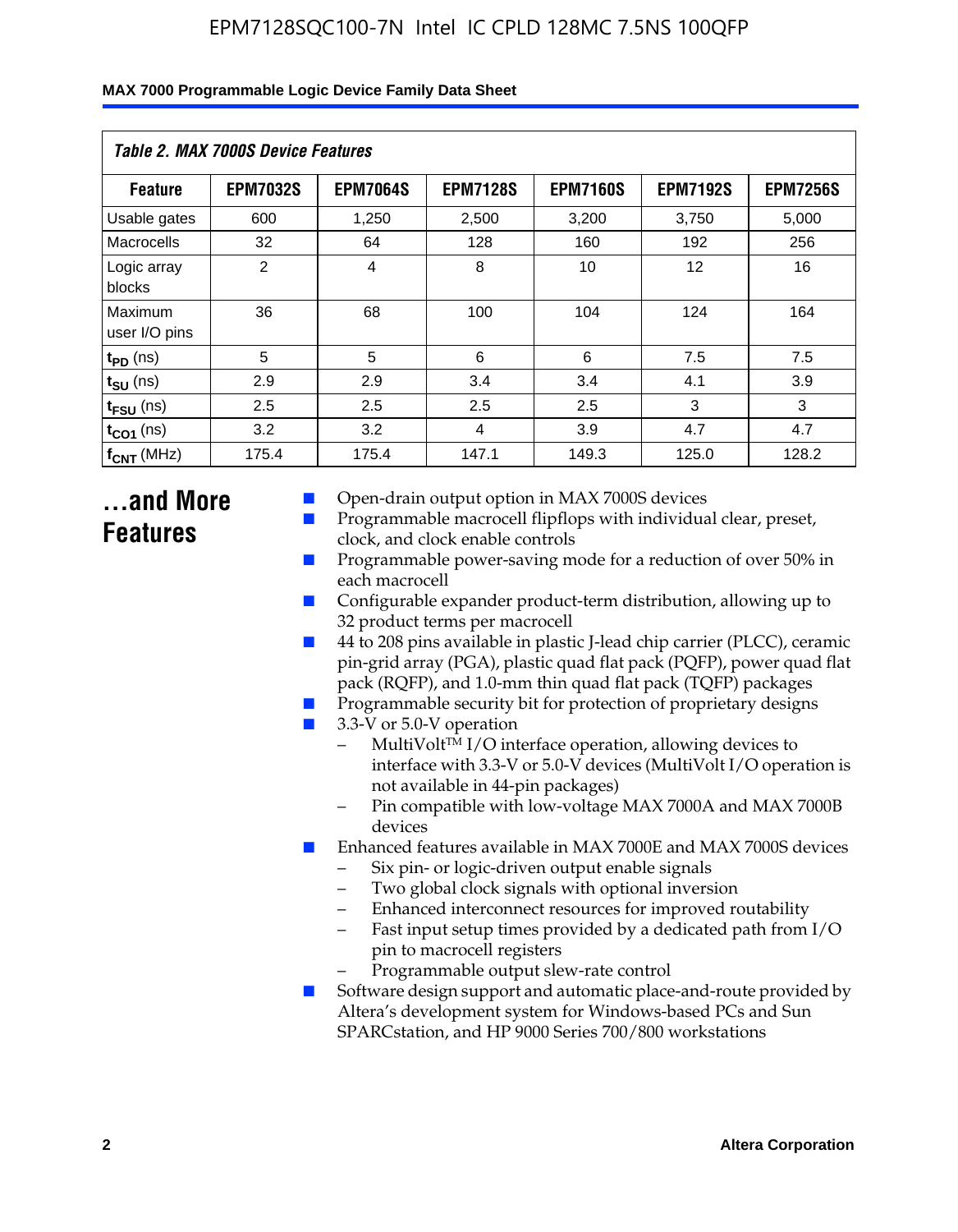| MAX 7000 Programmable Logic Device Family Data Sheet |  |
|------------------------------------------------------|--|
|------------------------------------------------------|--|

| Table 2. MAX 7000S Device Features |                 |                 |                 |                 |                   |                 |
|------------------------------------|-----------------|-----------------|-----------------|-----------------|-------------------|-----------------|
| <b>Feature</b>                     | <b>EPM7032S</b> | <b>EPM7064S</b> | <b>EPM7128S</b> | <b>EPM7160S</b> | <b>EPM7192S</b>   | <b>EPM7256S</b> |
| Usable gates                       | 600             | 1,250           | 2,500           | 3,200           | 3,750             | 5,000           |
| Macrocells                         | 32              | 64              | 128             | 160             | 192               | 256             |
| Logic array<br>blocks              | $\overline{2}$  | 4               | 8               | 10              | $12 \overline{ }$ | 16              |
| Maximum<br>user I/O pins           | 36              | 68              | 100             | 104             | 124               | 164             |
| $t_{PD}$ (ns)                      | 5               | 5               | 6               | 6               | 7.5               | 7.5             |
| $t_{SU}$ (ns)                      | 2.9             | 2.9             | 3.4             | 3.4             | 4.1               | 3.9             |
| $t_{\text{FSU}}$ (ns)              | 2.5             | 2.5             | 2.5             | 2.5             | 3                 | 3               |
| $t_{CO1}$ (ns)                     | 3.2             | 3.2             | 4               | 3.9             | 4.7               | 4.7             |
| $f_{CNT}$ (MHz)                    | 175.4           | 175.4           | 147.1           | 149.3           | 125.0             | 128.2           |

### **...and More Features**

- Open-drain output option in MAX 7000S devices
- Programmable macrocell flipflops with individual clear, preset, clock, and clock enable controls
- Programmable power-saving mode for a reduction of over 50% in each macrocell
- Configurable expander product-term distribution, allowing up to 32 product terms per macrocell
- 44 to 208 pins available in plastic J-lead chip carrier (PLCC), ceramic pin-grid array (PGA), plastic quad flat pack (PQFP), power quad flat pack (RQFP), and 1.0-mm thin quad flat pack (TQFP) packages
- Programmable security bit for protection of proprietary designs
- 3.3-V or 5.0-V operation
	- MultiVolt<sup>TM</sup> I/O interface operation, allowing devices to interface with 3.3-V or 5.0-V devices (MultiVolt I/O operation is not available in 44-pin packages)
	- Pin compatible with low-voltage MAX 7000A and MAX 7000B devices
- Enhanced features available in MAX 7000E and MAX 7000S devices
	- Six pin- or logic-driven output enable signals
	- Two global clock signals with optional inversion
	- Enhanced interconnect resources for improved routability
	- Fast input setup times provided by a dedicated path from I/O pin to macrocell registers
	- Programmable output slew-rate control
- Software design support and automatic place-and-route provided by Altera's development system for Windows-based PCs and Sun SPARCstation, and HP 9000 Series 700/800 workstations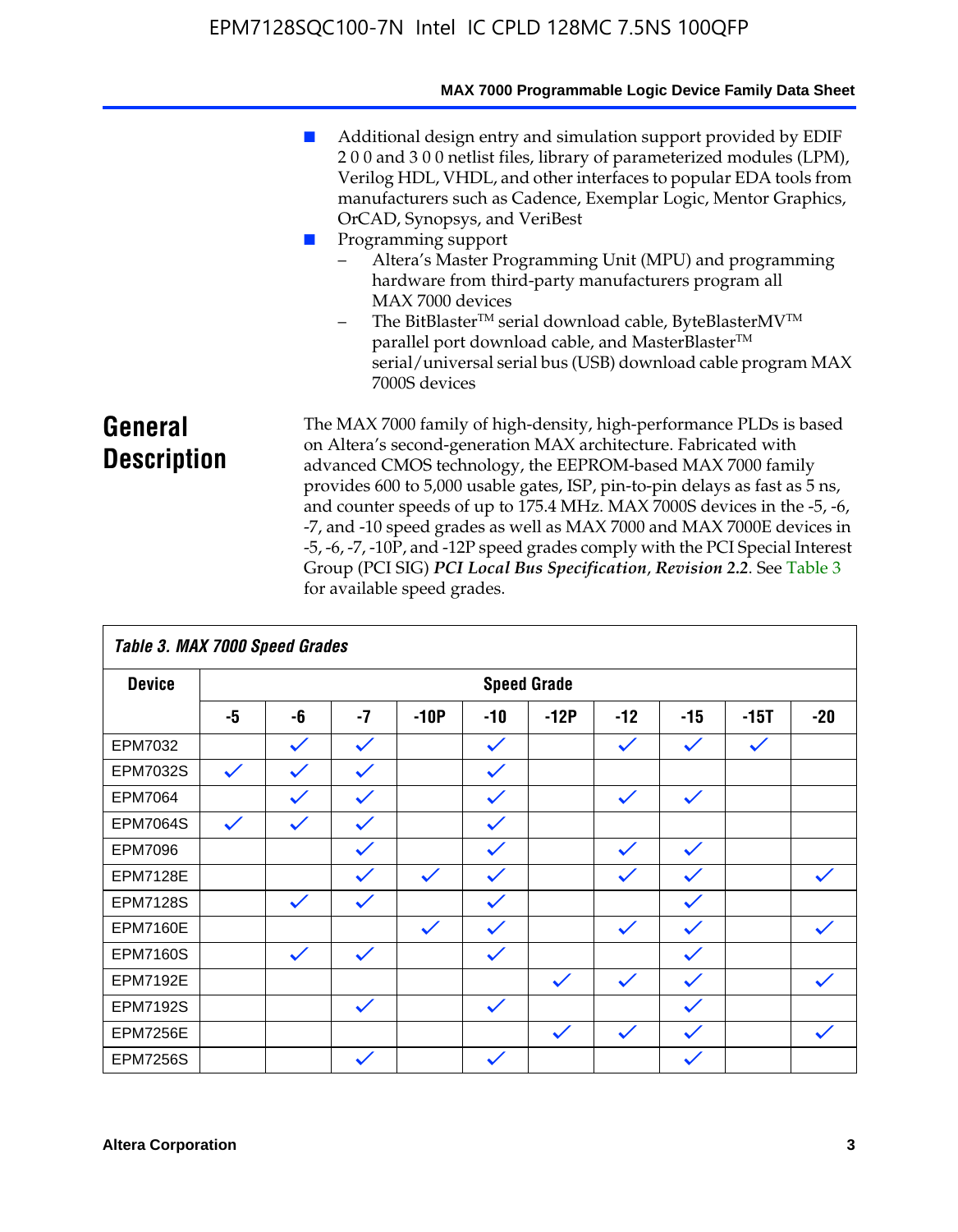|                               | MAX 7000 Programmable Logic Device Family Data Sheet                                                                                                                                                                                                                                                                                                                                                                                                                                                                                                                                                                                                                                          |
|-------------------------------|-----------------------------------------------------------------------------------------------------------------------------------------------------------------------------------------------------------------------------------------------------------------------------------------------------------------------------------------------------------------------------------------------------------------------------------------------------------------------------------------------------------------------------------------------------------------------------------------------------------------------------------------------------------------------------------------------|
|                               | Additional design entry and simulation support provided by EDIF<br>200 and 300 netlist files, library of parameterized modules (LPM),<br>Verilog HDL, VHDL, and other interfaces to popular EDA tools from<br>manufacturers such as Cadence, Exemplar Logic, Mentor Graphics,<br>OrCAD, Synopsys, and VeriBest<br>Programming support<br>Altera's Master Programming Unit (MPU) and programming<br>hardware from third-party manufacturers program all<br>MAX 7000 devices<br>The BitBlaster™ serial download cable, ByteBlasterMV™<br>$\qquad \qquad -$<br>parallel port download cable, and MasterBlaster™<br>serial/universal serial bus (USB) download cable program MAX<br>7000S devices |
| General<br><b>Description</b> | The MAX 7000 family of high-density, high-performance PLDs is based<br>on Altera's second-generation MAX architecture. Fabricated with<br>advanced CMOS technology, the EEPROM-based MAX 7000 family<br>provides 600 to 5,000 usable gates, ISP, pin-to-pin delays as fast as 5 ns,<br>and counter speeds of up to 175.4 MHz. MAX 7000S devices in the -5, -6,<br>-7, and -10 speed grades as well as MAX 7000 and MAX 7000E devices in<br>-5, -6, -7, -10P, and -12P speed grades comply with the PCI Special Interest<br>Group (PCI SIG) PCI Local Bus Specification, Revision 2.2. See Table 3                                                                                             |

| Table 3. MAX 7000 Speed Grades |              |                    |              |              |              |              |              |              |              |              |
|--------------------------------|--------------|--------------------|--------------|--------------|--------------|--------------|--------------|--------------|--------------|--------------|
| <b>Device</b>                  |              | <b>Speed Grade</b> |              |              |              |              |              |              |              |              |
|                                | -5           | -6                 | $-7$         | $-10P$       | $-10$        | $-12P$       | $-12$        | $-15$        | $-15T$       | $-20$        |
| EPM7032                        |              | $\checkmark$       | $\checkmark$ |              | $\checkmark$ |              | $\checkmark$ | $\checkmark$ | $\checkmark$ |              |
| EPM7032S                       | $\checkmark$ | $\checkmark$       | $\checkmark$ |              | $\checkmark$ |              |              |              |              |              |
| <b>EPM7064</b>                 |              | $\checkmark$       | $\checkmark$ |              | $\checkmark$ |              | $\checkmark$ | $\checkmark$ |              |              |
| <b>EPM7064S</b>                | $\checkmark$ | $\checkmark$       | $\checkmark$ |              | $\checkmark$ |              |              |              |              |              |
| <b>EPM7096</b>                 |              |                    | $\checkmark$ |              | $\checkmark$ |              | $\checkmark$ | $\checkmark$ |              |              |
| <b>EPM7128E</b>                |              |                    | $\checkmark$ | $\checkmark$ | $\checkmark$ |              | $\checkmark$ | $\checkmark$ |              | $\checkmark$ |
| <b>EPM7128S</b>                |              | $\checkmark$       | $\checkmark$ |              | $\checkmark$ |              |              | $\checkmark$ |              |              |
| <b>EPM7160E</b>                |              |                    |              | $\checkmark$ | $\checkmark$ |              | $\checkmark$ | $\checkmark$ |              | $\checkmark$ |
| <b>EPM7160S</b>                |              | $\checkmark$       | $\checkmark$ |              | $\checkmark$ |              |              | $\checkmark$ |              |              |
| <b>EPM7192E</b>                |              |                    |              |              |              | $\checkmark$ | $\checkmark$ | $\checkmark$ |              |              |
| <b>EPM7192S</b>                |              |                    | $\checkmark$ |              | $\checkmark$ |              |              | $\checkmark$ |              |              |
| <b>EPM7256E</b>                |              |                    |              |              |              | $\checkmark$ | $\checkmark$ | $\checkmark$ |              | $\checkmark$ |
| <b>EPM7256S</b>                |              |                    | $\checkmark$ |              | $\checkmark$ |              |              | $\checkmark$ |              |              |

for available speed grades.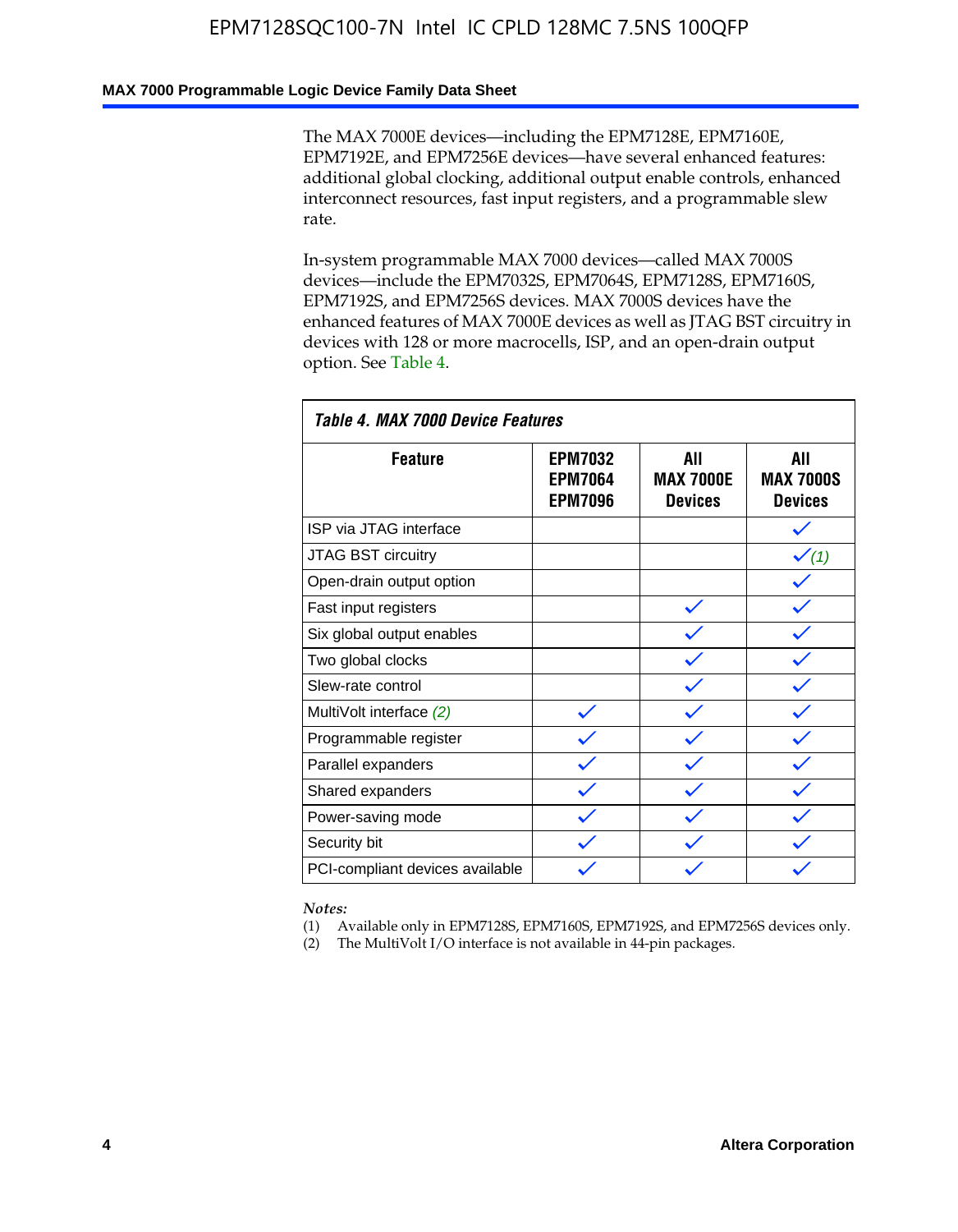### **MAX 7000 Programmable Logic Device Family Data Sheet**

The MAX 7000E devices—including the EPM7128E, EPM7160E, EPM7192E, and EPM7256E devices—have several enhanced features: additional global clocking, additional output enable controls, enhanced interconnect resources, fast input registers, and a programmable slew rate.

In-system programmable MAX 7000 devices—called MAX 7000S devices—include the EPM7032S, EPM7064S, EPM7128S, EPM7160S, EPM7192S, and EPM7256S devices. MAX 7000S devices have the enhanced features of MAX 7000E devices as well as JTAG BST circuitry in devices with 128 or more macrocells, ISP, and an open-drain output option. See Table 4.

| Table 4. MAX 7000 Device Features |                                                    |                                           |                                           |  |  |  |  |
|-----------------------------------|----------------------------------------------------|-------------------------------------------|-------------------------------------------|--|--|--|--|
| <b>Feature</b>                    | <b>EPM7032</b><br><b>EPM7064</b><br><b>EPM7096</b> | All<br><b>MAX 7000E</b><br><b>Devices</b> | All<br><b>MAX 7000S</b><br><b>Devices</b> |  |  |  |  |
| ISP via JTAG interface            |                                                    |                                           |                                           |  |  |  |  |
| JTAG BST circuitry                |                                                    |                                           | $\checkmark$ (1)                          |  |  |  |  |
| Open-drain output option          |                                                    |                                           |                                           |  |  |  |  |
| Fast input registers              |                                                    |                                           |                                           |  |  |  |  |
| Six global output enables         |                                                    |                                           |                                           |  |  |  |  |
| Two global clocks                 |                                                    |                                           |                                           |  |  |  |  |
| Slew-rate control                 |                                                    |                                           |                                           |  |  |  |  |
| MultiVolt interface (2)           |                                                    |                                           |                                           |  |  |  |  |
| Programmable register             |                                                    |                                           |                                           |  |  |  |  |
| Parallel expanders                |                                                    |                                           |                                           |  |  |  |  |
| Shared expanders                  |                                                    |                                           |                                           |  |  |  |  |
| Power-saving mode                 |                                                    |                                           |                                           |  |  |  |  |
| Security bit                      |                                                    |                                           |                                           |  |  |  |  |
| PCI-compliant devices available   |                                                    |                                           |                                           |  |  |  |  |

*Notes:*

(1) Available only in EPM7128S, EPM7160S, EPM7192S, and EPM7256S devices only.

(2) The MultiVolt I/O interface is not available in 44-pin packages.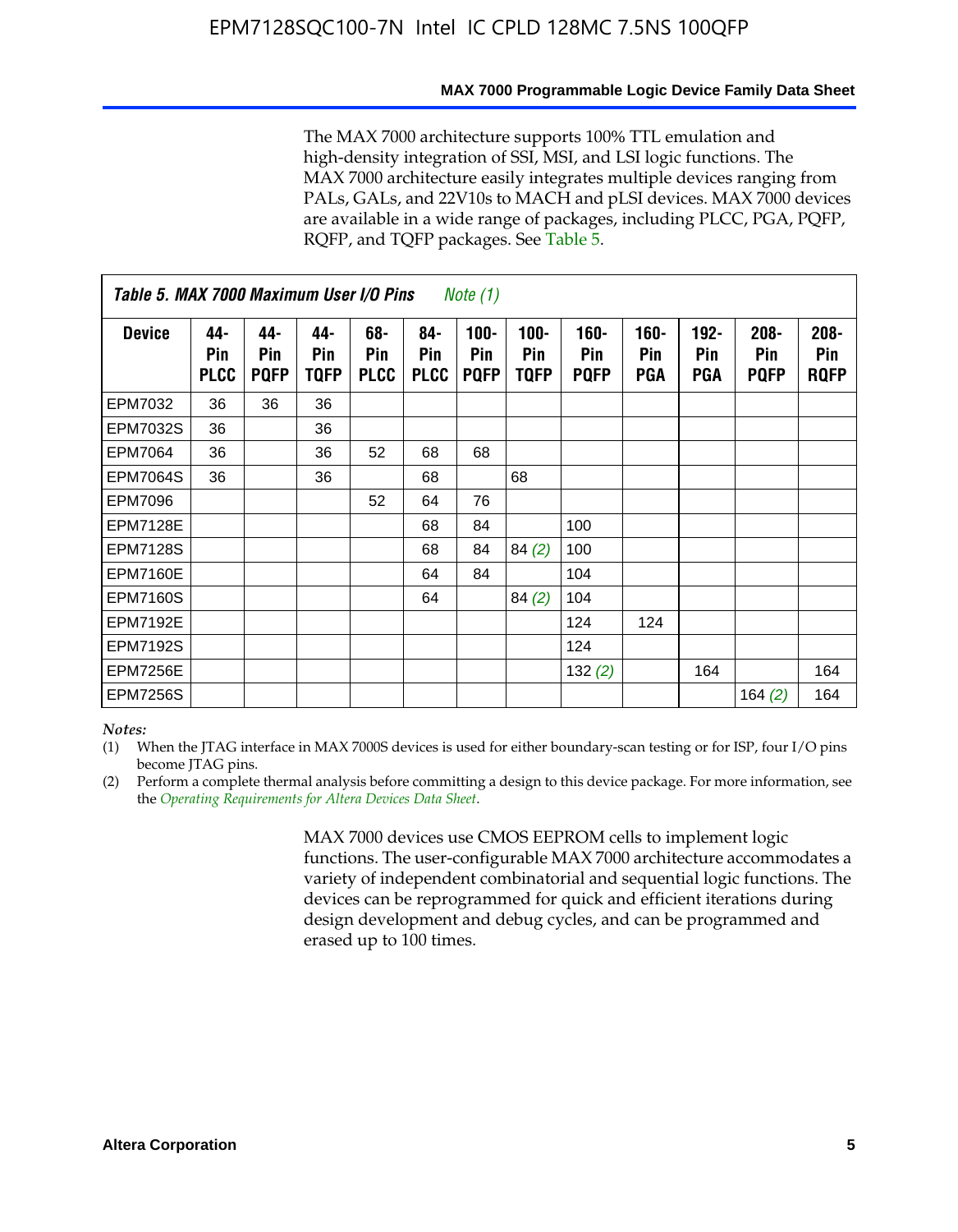#### **MAX 7000 Programmable Logic Device Family Data Sheet**

The MAX 7000 architecture supports 100% TTL emulation and high-density integration of SSI, MSI, and LSI logic functions. The MAX 7000 architecture easily integrates multiple devices ranging from PALs, GALs, and 22V10s to MACH and pLSI devices. MAX 7000 devices are available in a wide range of packages, including PLCC, PGA, PQFP, RQFP, and TQFP packages. See Table 5.

| Table 5. MAX 7000 Maximum User I/O Pins<br><i>Note</i> $(1)$ |                           |                           |                           |                           |                           |                               |                        |                            |                       |                              |                               |                               |
|--------------------------------------------------------------|---------------------------|---------------------------|---------------------------|---------------------------|---------------------------|-------------------------------|------------------------|----------------------------|-----------------------|------------------------------|-------------------------------|-------------------------------|
| <b>Device</b>                                                | 44-<br>Pin<br><b>PLCC</b> | 44-<br>Pin<br><b>PQFP</b> | 44-<br>Pin<br><b>TQFP</b> | 68-<br>Pin<br><b>PLCC</b> | 84-<br>Pin<br><b>PLCC</b> | $100 -$<br>Pin<br><b>PQFP</b> | $100 -$<br>Pin<br>TQFP | 160-<br>Pin<br><b>PQFP</b> | $160 -$<br>Pin<br>PGA | $192 -$<br>Pin<br><b>PGA</b> | $208 -$<br>Pin<br><b>PQFP</b> | $208 -$<br>Pin<br><b>RQFP</b> |
| EPM7032                                                      | 36                        | 36                        | 36                        |                           |                           |                               |                        |                            |                       |                              |                               |                               |
| <b>EPM7032S</b>                                              | 36                        |                           | 36                        |                           |                           |                               |                        |                            |                       |                              |                               |                               |
| <b>EPM7064</b>                                               | 36                        |                           | 36                        | 52                        | 68                        | 68                            |                        |                            |                       |                              |                               |                               |
| <b>EPM7064S</b>                                              | 36                        |                           | 36                        |                           | 68                        |                               | 68                     |                            |                       |                              |                               |                               |
| <b>EPM7096</b>                                               |                           |                           |                           | 52                        | 64                        | 76                            |                        |                            |                       |                              |                               |                               |
| <b>EPM7128E</b>                                              |                           |                           |                           |                           | 68                        | 84                            |                        | 100                        |                       |                              |                               |                               |
| <b>EPM7128S</b>                                              |                           |                           |                           |                           | 68                        | 84                            | 84(2)                  | 100                        |                       |                              |                               |                               |
| <b>EPM7160E</b>                                              |                           |                           |                           |                           | 64                        | 84                            |                        | 104                        |                       |                              |                               |                               |
| EPM7160S                                                     |                           |                           |                           |                           | 64                        |                               | 84(2)                  | 104                        |                       |                              |                               |                               |
| <b>EPM7192E</b>                                              |                           |                           |                           |                           |                           |                               |                        | 124                        | 124                   |                              |                               |                               |
| <b>EPM7192S</b>                                              |                           |                           |                           |                           |                           |                               |                        | 124                        |                       |                              |                               |                               |
| <b>EPM7256E</b>                                              |                           |                           |                           |                           |                           |                               |                        | 132(2)                     |                       | 164                          |                               | 164                           |
| <b>EPM7256S</b>                                              |                           |                           |                           |                           |                           |                               |                        |                            |                       |                              | 164 $(2)$                     | 164                           |

#### *Notes:*

(1) When the JTAG interface in MAX 7000S devices is used for either boundary-scan testing or for ISP, four I/O pins become JTAG pins.

(2) Perform a complete thermal analysis before committing a design to this device package. For more information, see the *Operating Requirements for Altera Devices Data Sheet*.

> MAX 7000 devices use CMOS EEPROM cells to implement logic functions. The user-configurable MAX 7000 architecture accommodates a variety of independent combinatorial and sequential logic functions. The devices can be reprogrammed for quick and efficient iterations during design development and debug cycles, and can be programmed and erased up to 100 times.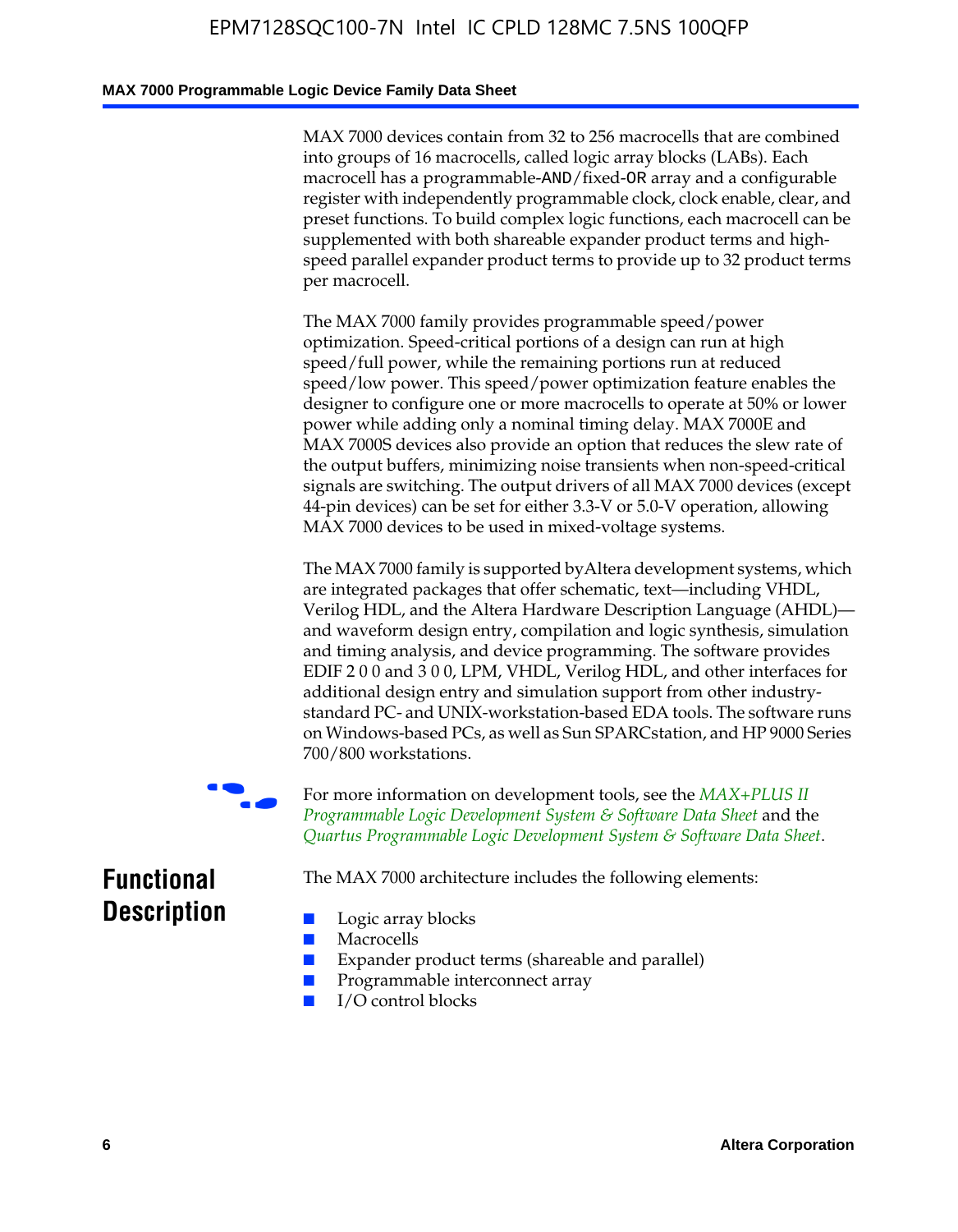#### **MAX 7000 Programmable Logic Device Family Data Sheet**

MAX 7000 devices contain from 32 to 256 macrocells that are combined into groups of 16 macrocells, called logic array blocks (LABs). Each macrocell has a programmable-AND/fixed-OR array and a configurable register with independently programmable clock, clock enable, clear, and preset functions. To build complex logic functions, each macrocell can be supplemented with both shareable expander product terms and highspeed parallel expander product terms to provide up to 32 product terms per macrocell.

The MAX 7000 family provides programmable speed/power optimization. Speed-critical portions of a design can run at high speed/full power, while the remaining portions run at reduced speed/low power. This speed/power optimization feature enables the designer to configure one or more macrocells to operate at 50% or lower power while adding only a nominal timing delay. MAX 7000E and MAX 7000S devices also provide an option that reduces the slew rate of the output buffers, minimizing noise transients when non-speed-critical signals are switching. The output drivers of all MAX 7000 devices (except 44-pin devices) can be set for either 3.3-V or 5.0-V operation, allowing MAX 7000 devices to be used in mixed-voltage systems.

The MAX 7000 family is supported byAltera development systems, which are integrated packages that offer schematic, text—including VHDL, Verilog HDL, and the Altera Hardware Description Language (AHDL) and waveform design entry, compilation and logic synthesis, simulation and timing analysis, and device programming. The [software provides](http://www.altera.com/literature/ds/dsmii.pdf)  [EDIF 2 0 0 and 3 0 0, LPM, VHDL, Verilog HDL, and other in](http://www.altera.com/literature/ds/dsmii.pdf)terfaces for [additional design entry and simulation support from other industry](http://www.altera.com/literature/ds/quartus.pdf)standard PC- and UNIX-workstation-based EDA tools. The software runs on Windows-based PCs, as well as Sun SPARCstation, and HP 9000 Series 700/800 workstations.

For more information on development tools, see the **MAX+PLUS II** *Programmable Logic Development System & Software Data Sheet* and the *Quartus Programmable Logic Development System & Software Data Sheet*.

The MAX 7000 architecture includes the following elements:

### **Functional Description**

- Logic array blocks
- **Macrocells**
- Expander product terms (shareable and parallel)
- Programmable interconnect array
- I/O control blocks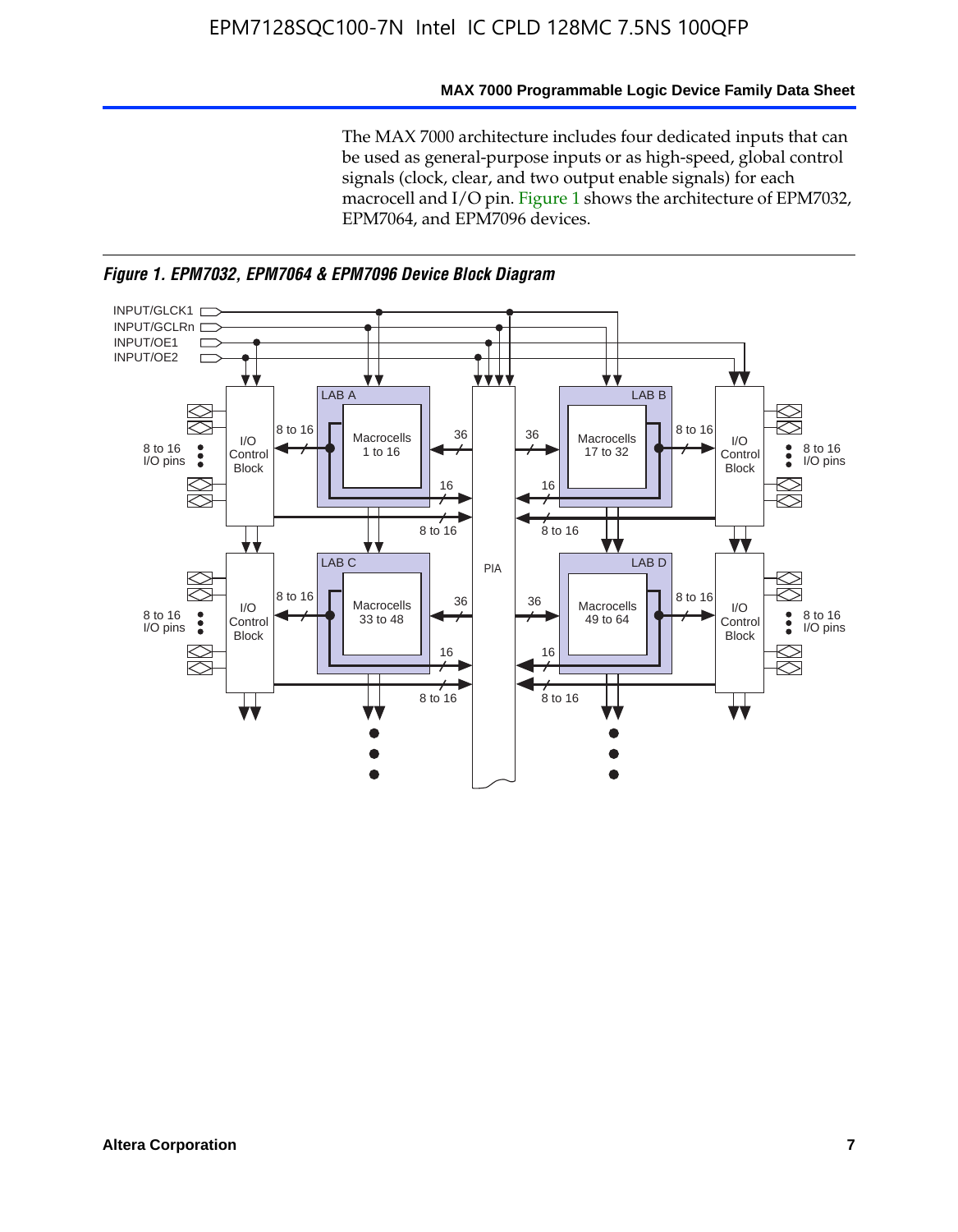#### **MAX 7000 Programmable Logic Device Family Data Sheet**

The MAX 7000 architecture includes four dedicated inputs that can be used as general-purpose inputs or as high-speed, global control signals (clock, clear, and two output enable signals) for each macrocell and I/O pin. Figure 1 shows the architecture of EPM7032, EPM7064, and EPM7096 devices.



*Figure 1. EPM7032, EPM7064 & EPM7096 Device Block Diagram*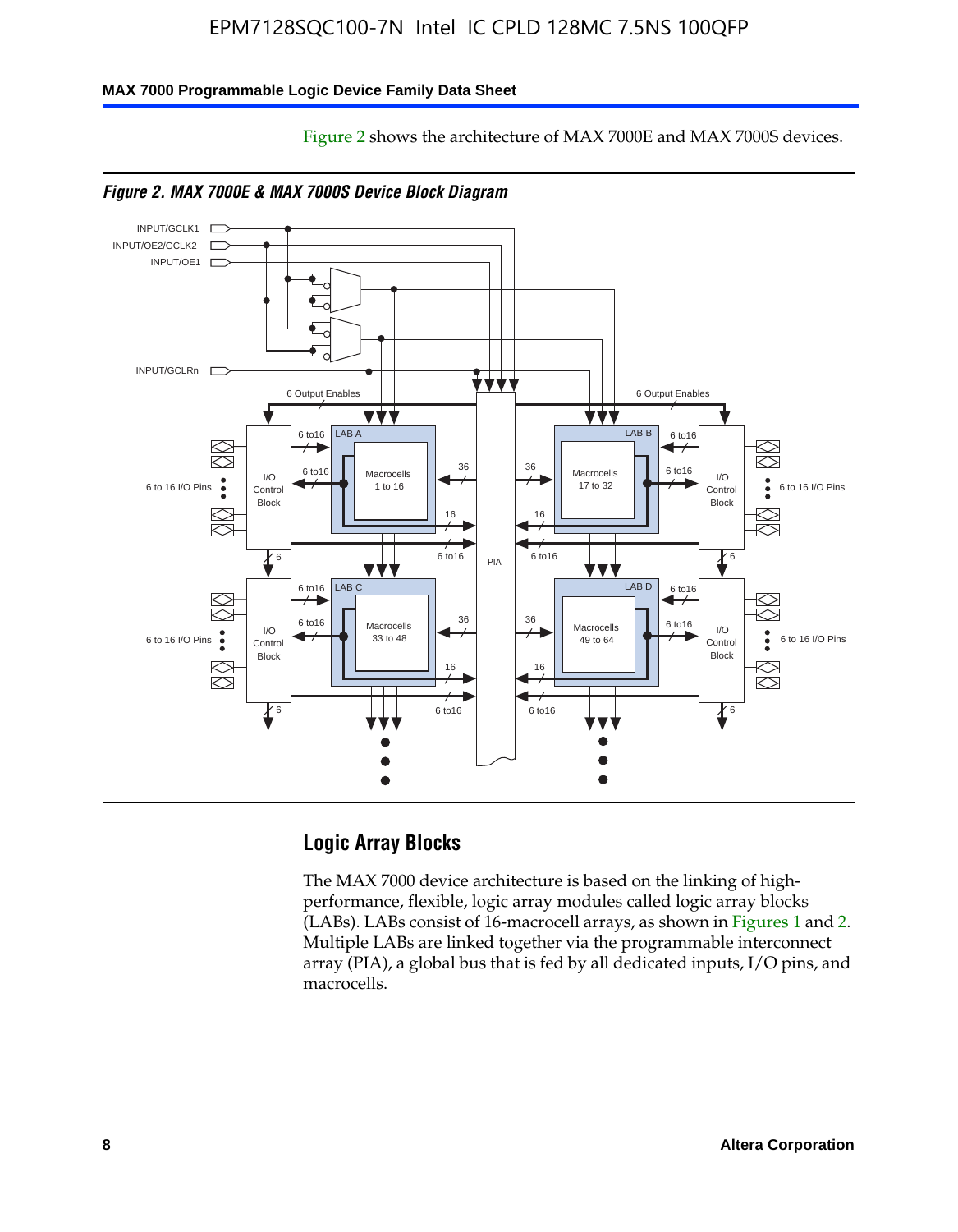Figure 2 shows the architecture of MAX 7000E and MAX 7000S devices.

#### **MAX 7000 Programmable Logic Device Family Data Sheet**



### **Logic Array Blocks**

The MAX 7000 device architecture is based on the linking of highperformance, flexible, logic array modules called logic array blocks (LABs). LABs consist of 16-macrocell arrays, as shown in Figures 1 and 2. Multiple LABs are linked together via the programmable interconnect array (PIA), a global bus that is fed by all dedicated inputs, I/O pins, and macrocells.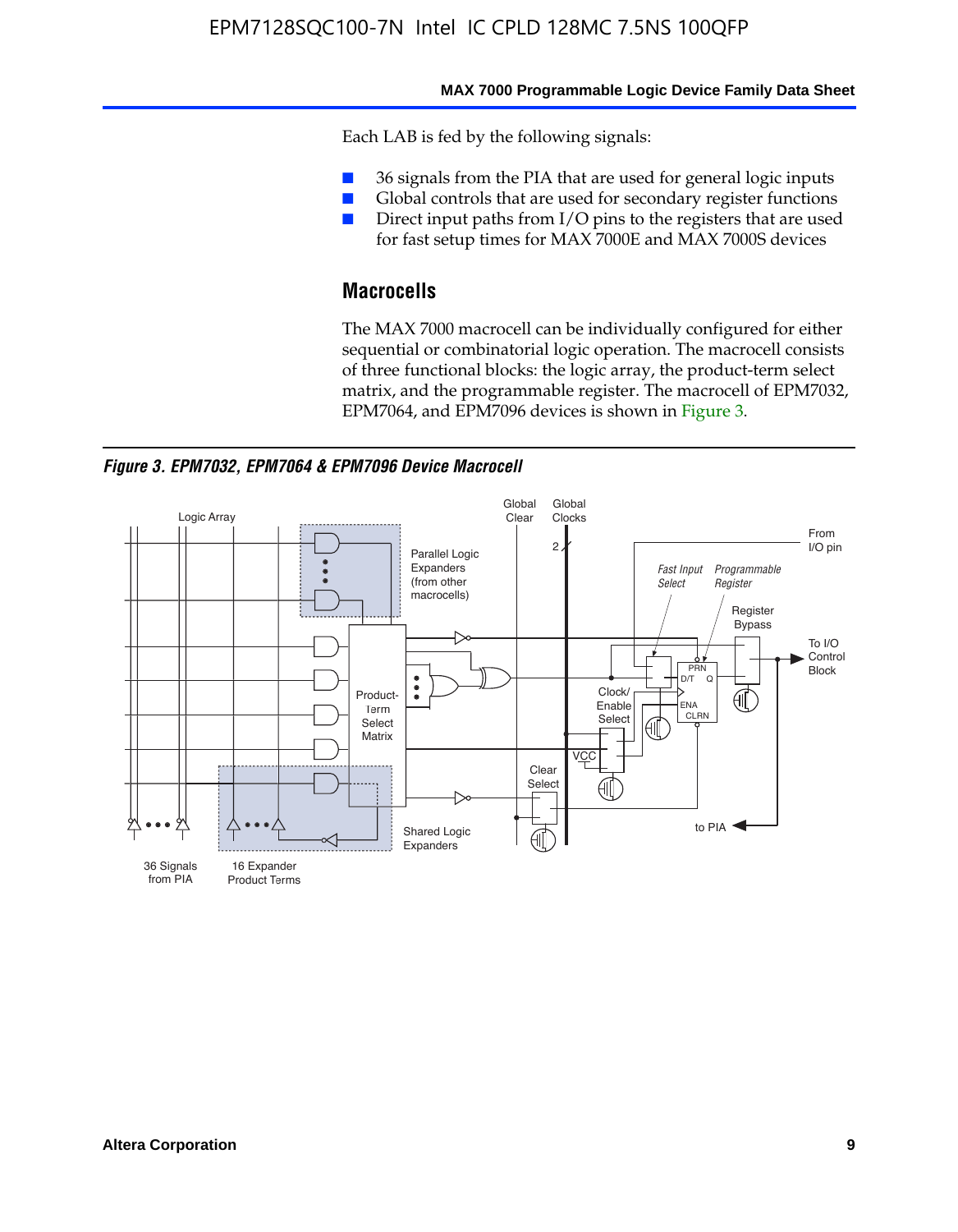#### **MAX 7000 Programmable Logic Device Family Data Sheet**

Each LAB is fed by the following signals:

- 36 signals from the PIA that are used for general logic inputs
- Global controls that are used for secondary register functions
- Direct input paths from I/O pins to the registers that are used for fast setup times for MAX 7000E and MAX 7000S devices

### **Macrocells**

The MAX 7000 macrocell can be individually configured for either sequential or combinatorial logic operation. The macrocell consists of three functional blocks: the logic array, the product-term select matrix, and the programmable register. The macrocell of EPM7032, EPM7064, and EPM7096 devices is shown in Figure 3.

*Figure 3. EPM7032, EPM7064 & EPM7096 Device Macrocell*

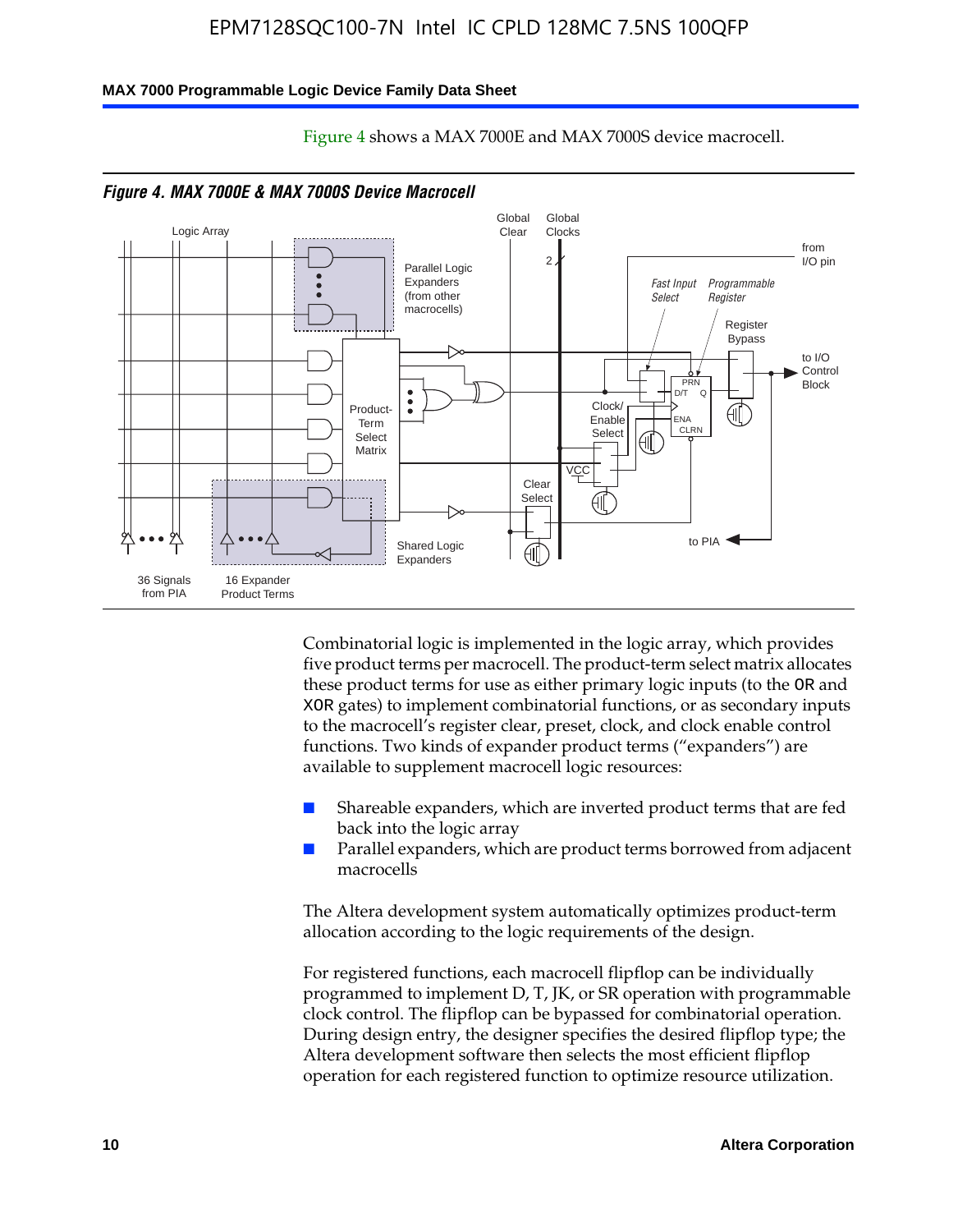#### **MAX 7000 Programmable Logic Device Family Data Sheet**



Figure 4 shows a MAX 7000E and MAX 7000S device macrocell.

Combinatorial logic is implemented in the logic array, which provides five product terms per macrocell. The product-term select matrix allocates these product terms for use as either primary logic inputs (to the OR and XOR gates) to implement combinatorial functions, or as secondary inputs to the macrocell's register clear, preset, clock, and clock enable control functions. Two kinds of expander product terms ("expanders") are available to supplement macrocell logic resources:

- Shareable expanders, which are inverted product terms that are fed back into the logic array
- Parallel expanders, which are product terms borrowed from adjacent macrocells

The Altera development system automatically optimizes product-term allocation according to the logic requirements of the design.

For registered functions, each macrocell flipflop can be individually programmed to implement D, T, JK, or SR operation with programmable clock control. The flipflop can be bypassed for combinatorial operation. During design entry, the designer specifies the desired flipflop type; the Altera development software then selects the most efficient flipflop operation for each registered function to optimize resource utilization.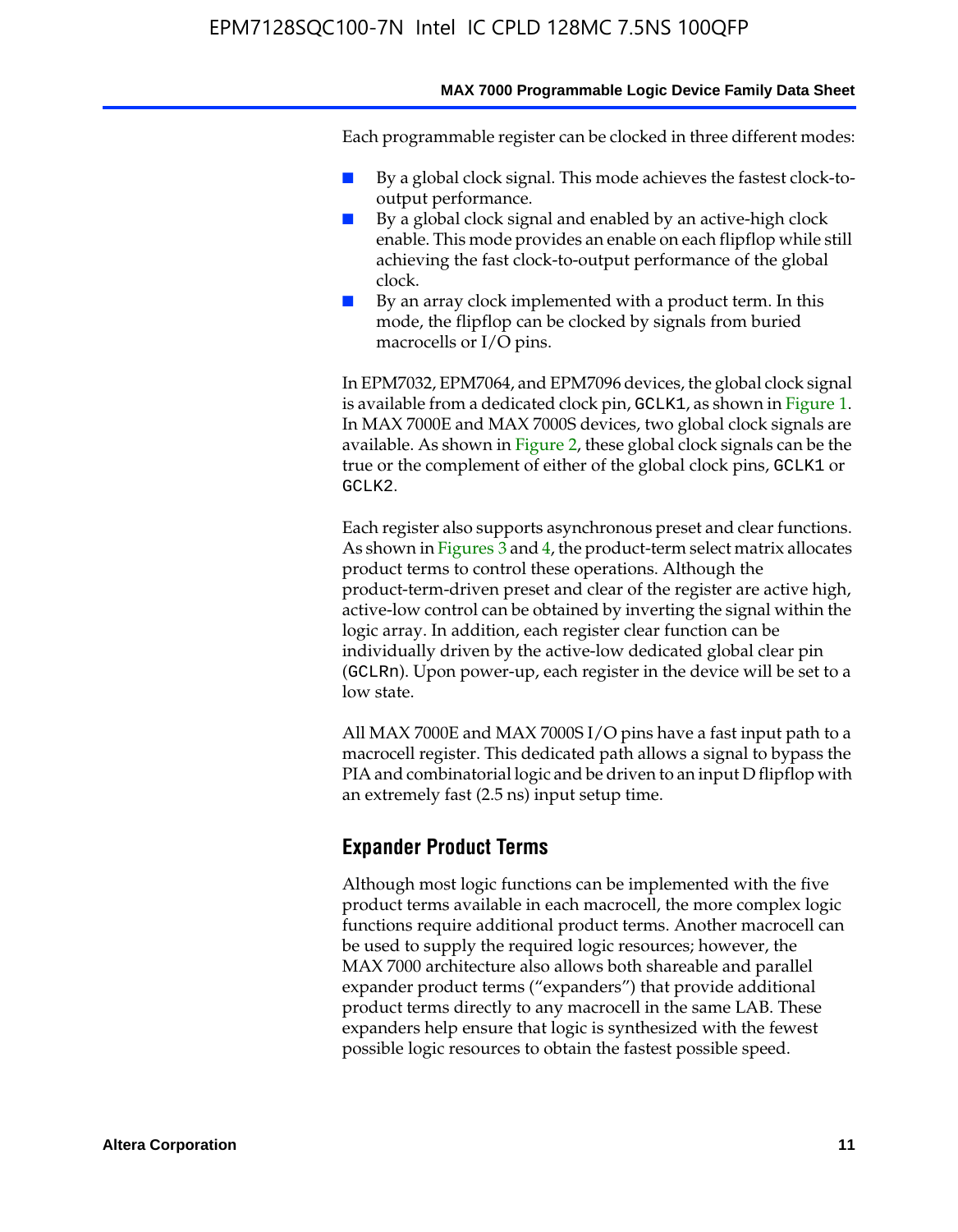#### **MAX 7000 Programmable Logic Device Family Data Sheet**

Each programmable register can be clocked in three different modes:

- By a global clock signal. This mode achieves the fastest clock-tooutput performance.
- By a global clock signal and enabled by an active-high clock enable. This mode provides an enable on each flipflop while still achieving the fast clock-to-output performance of the global clock.
- By an array clock implemented with a product term. In this mode, the flipflop can be clocked by signals from buried macrocells or I/O pins.

In EPM7032, EPM7064, and EPM7096 devices, the global clock signal is available from a dedicated clock pin, GCLK1, as shown in Figure 1. In MAX 7000E and MAX 7000S devices, two global clock signals are available. As shown in Figure 2, these global clock signals can be the true or the complement of either of the global clock pins, GCLK1 or GCLK2.

Each register also supports asynchronous preset and clear functions. As shown in Figures 3 and 4, the product-term select matrix allocates product terms to control these operations. Although the product-term-driven preset and clear of the register are active high, active-low control can be obtained by inverting the signal within the logic array. In addition, each register clear function can be individually driven by the active-low dedicated global clear pin (GCLRn). Upon power-up, each register in the device will be set to a low state.

All MAX 7000E and MAX 7000S I/O pins have a fast input path to a macrocell register. This dedicated path allows a signal to bypass the PIA and combinatorial logic and be driven to an input D flipflop with an extremely fast (2.5 ns) input setup time.

### **Expander Product Terms**

Although most logic functions can be implemented with the five product terms available in each macrocell, the more complex logic functions require additional product terms. Another macrocell can be used to supply the required logic resources; however, the MAX 7000 architecture also allows both shareable and parallel expander product terms ("expanders") that provide additional product terms directly to any macrocell in the same LAB. These expanders help ensure that logic is synthesized with the fewest possible logic resources to obtain the fastest possible speed.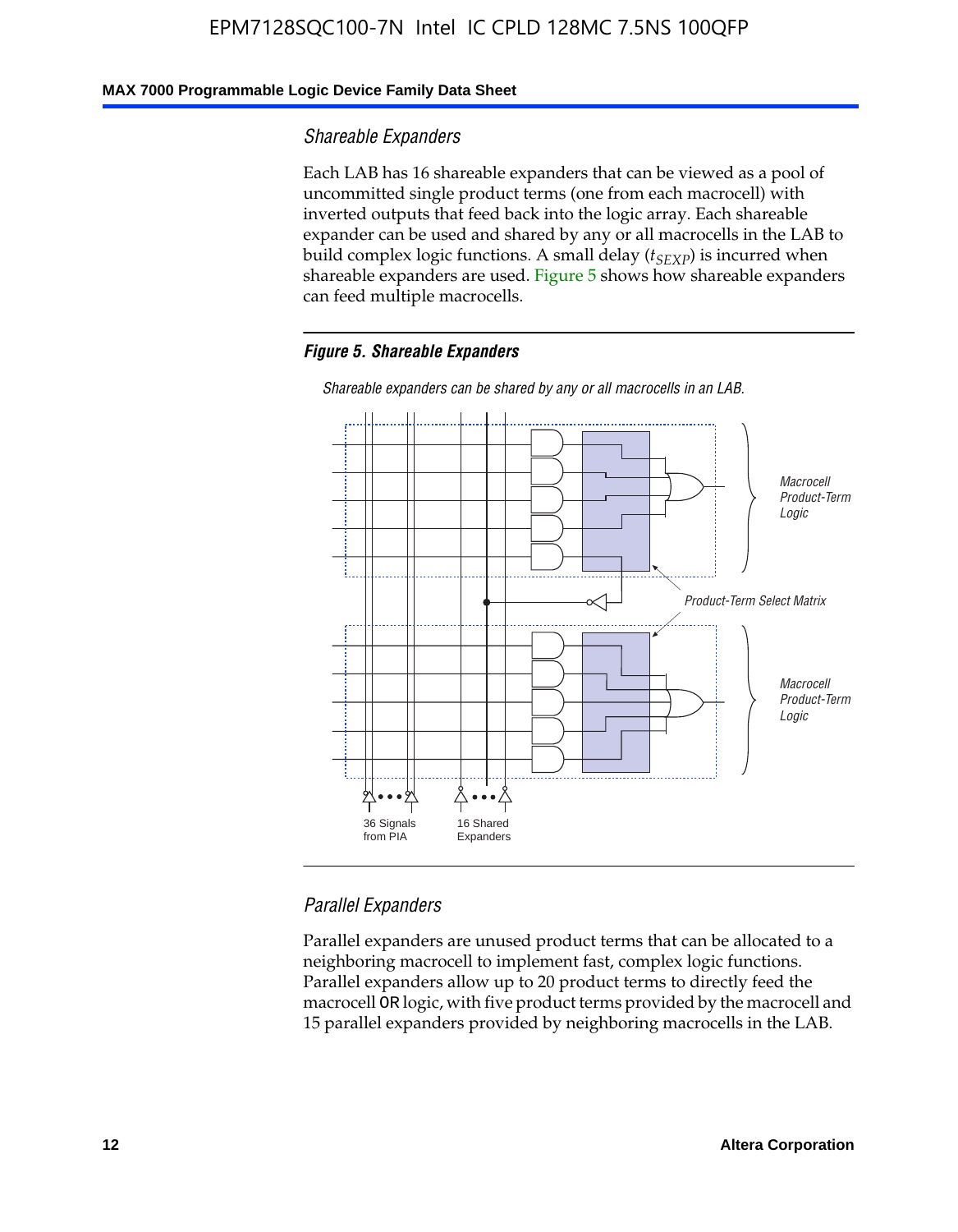### **MAX 7000 Programmable Logic Device Family Data Sheet**

#### *Shareable Expanders*

Each LAB has 16 shareable expanders that can be viewed as a pool of uncommitted single product terms (one from each macrocell) with inverted outputs that feed back into the logic array. Each shareable expander can be used and shared by any or all macrocells in the LAB to build complex logic functions. A small delay ( $t_{SEXP}$ ) is incurred when shareable expanders are used. Figure 5 shows how shareable expanders can feed multiple macrocells.

#### *Figure 5. Shareable Expanders*



*Shareable expanders can be shared by any or all macrocells in an LAB.*

### *Parallel Expanders*

Parallel expanders are unused product terms that can be allocated to a neighboring macrocell to implement fast, complex logic functions. Parallel expanders allow up to 20 product terms to directly feed the macrocell OR logic, with five product terms provided by the macrocell and 15 parallel expanders provided by neighboring macrocells in the LAB.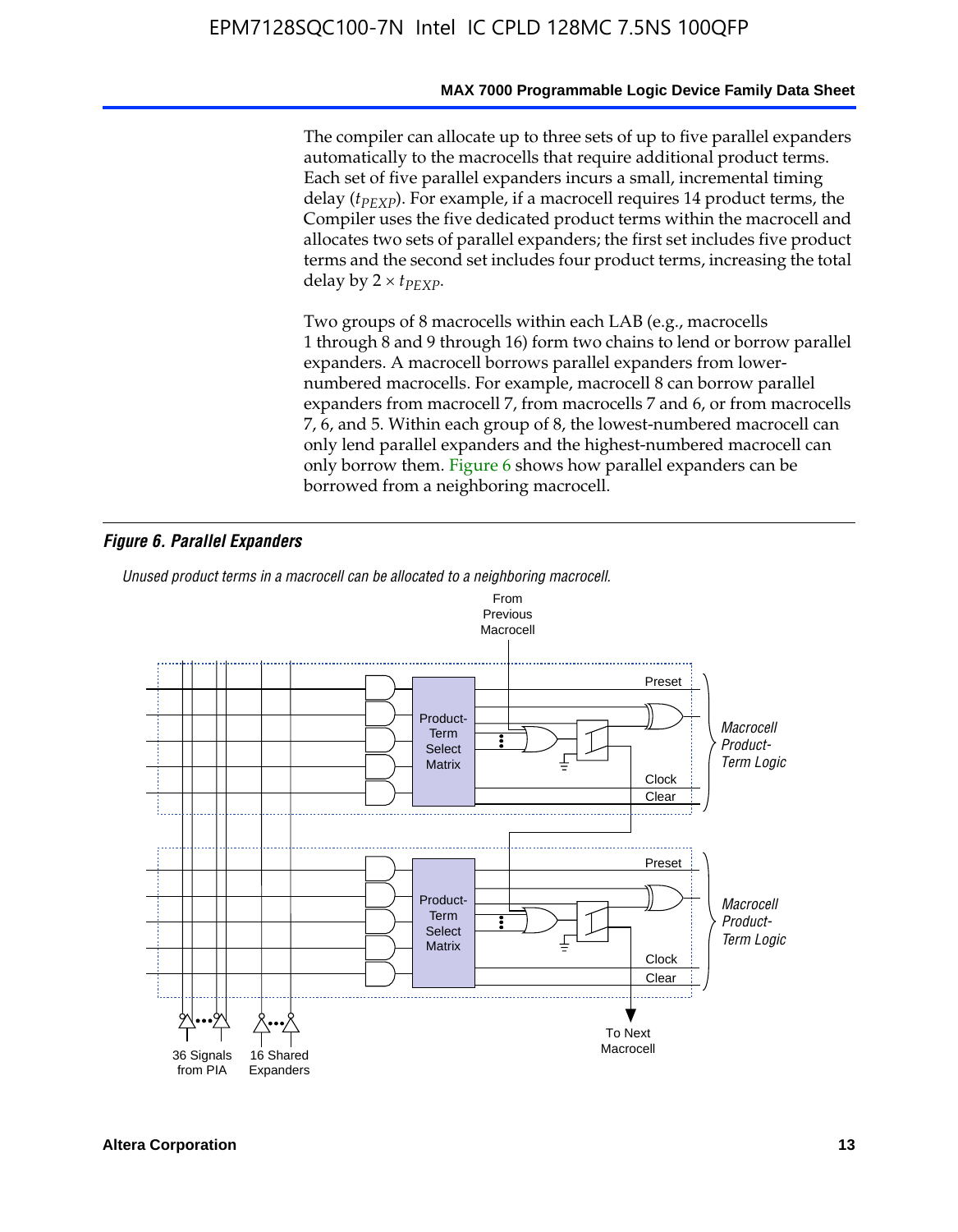#### **MAX 7000 Programmable Logic Device Family Data Sheet**

The compiler can allocate up to three sets of up to five parallel expanders automatically to the macrocells that require additional product terms. Each set of five parallel expanders incurs a small, incremental timing delay (*t<sub>PEXP</sub>*). For example, if a macrocell requires 14 product terms, the Compiler uses the five dedicated product terms within the macrocell and allocates two sets of parallel expanders; the first set includes five product terms and the second set includes four product terms, increasing the total delay by  $2 \times t_{PFXP}$ .

Two groups of 8 macrocells within each LAB (e.g., macrocells 1 through 8 and 9 through 16) form two chains to lend or borrow parallel expanders. A macrocell borrows parallel expanders from lowernumbered macrocells. For example, macrocell 8 can borrow parallel expanders from macrocell 7, from macrocells 7 and 6, or from macrocells 7, 6, and 5. Within each group of 8, the lowest-numbered macrocell can only lend parallel expanders and the highest-numbered macrocell can only borrow them. Figure 6 shows how parallel expanders can be borrowed from a neighboring macrocell.

#### *Figure 6. Parallel Expanders*

*Unused product terms in a macrocell can be allocated to a neighboring macrocell.*

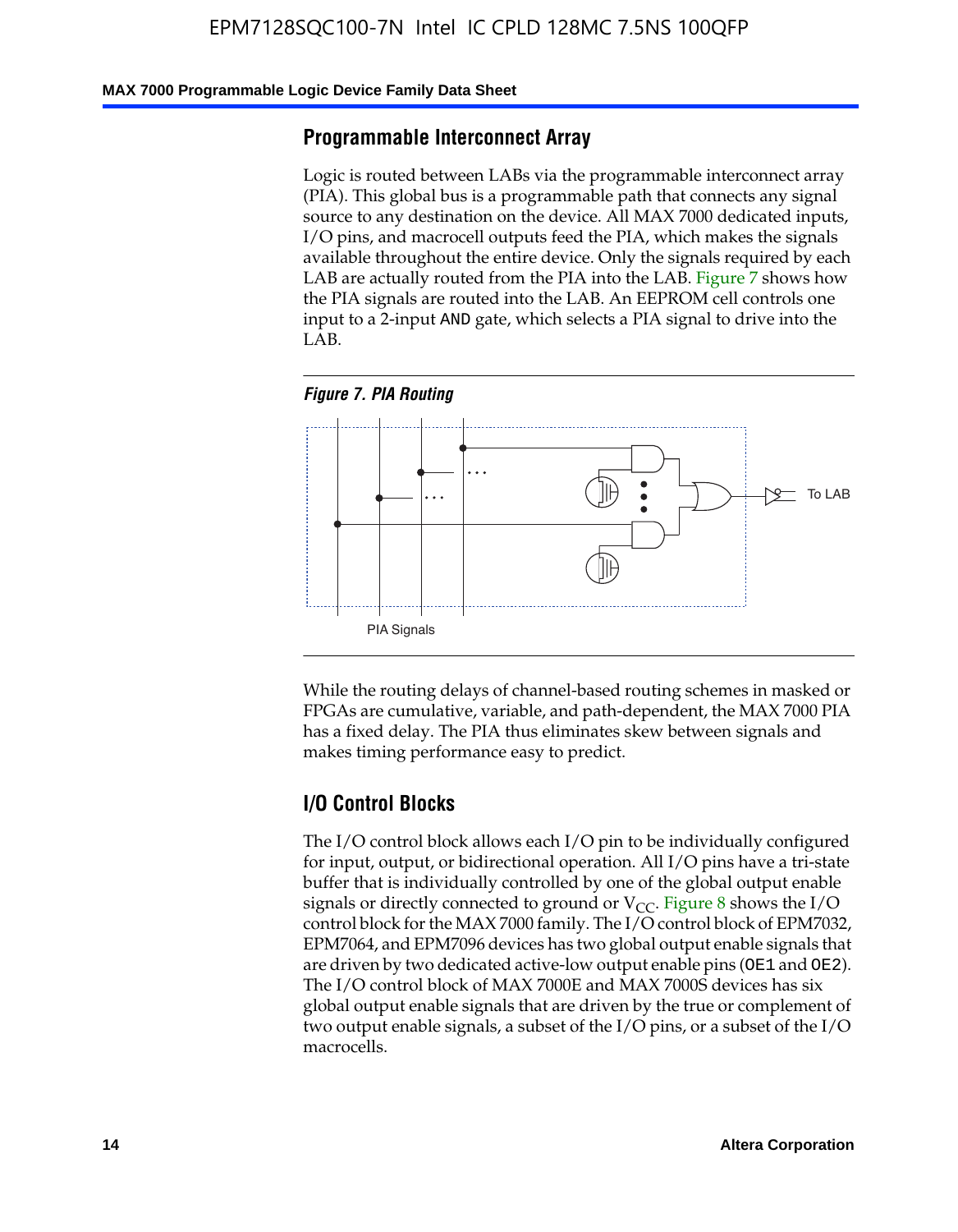#### **MAX 7000 Programmable Logic Device Family Data Sheet**

### **Programmable Interconnect Array**

Logic is routed between LABs via the programmable interconnect array (PIA). This global bus is a programmable path that connects any signal source to any destination on the device. All MAX 7000 dedicated inputs, I/O pins, and macrocell outputs feed the PIA, which makes the signals available throughout the entire device. Only the signals required by each LAB are actually routed from the PIA into the LAB. Figure 7 shows how the PIA signals are routed into the LAB. An EEPROM cell controls one input to a 2-input AND gate, which selects a PIA signal to drive into the LAB.





While the routing delays of channel-based routing schemes in masked or FPGAs are cumulative, variable, and path-dependent, the MAX 7000 PIA has a fixed delay. The PIA thus eliminates skew between signals and makes timing performance easy to predict.

### **I/O Control Blocks**

The I/O control block allows each I/O pin to be individually configured for input, output, or bidirectional operation. All I/O pins have a tri-state buffer that is individually controlled by one of the global output enable signals or directly connected to ground or  $V_{CC}$ . Figure 8 shows the I/O control block for the MAX 7000 family. The I/O control block of EPM7032, EPM7064, and EPM7096 devices has two global output enable signals that are driven by two dedicated active-low output enable pins (OE1 and OE2). The I/O control block of MAX 7000E and MAX 7000S devices has six global output enable signals that are driven by the true or complement of two output enable signals, a subset of the I/O pins, or a subset of the I/O macrocells.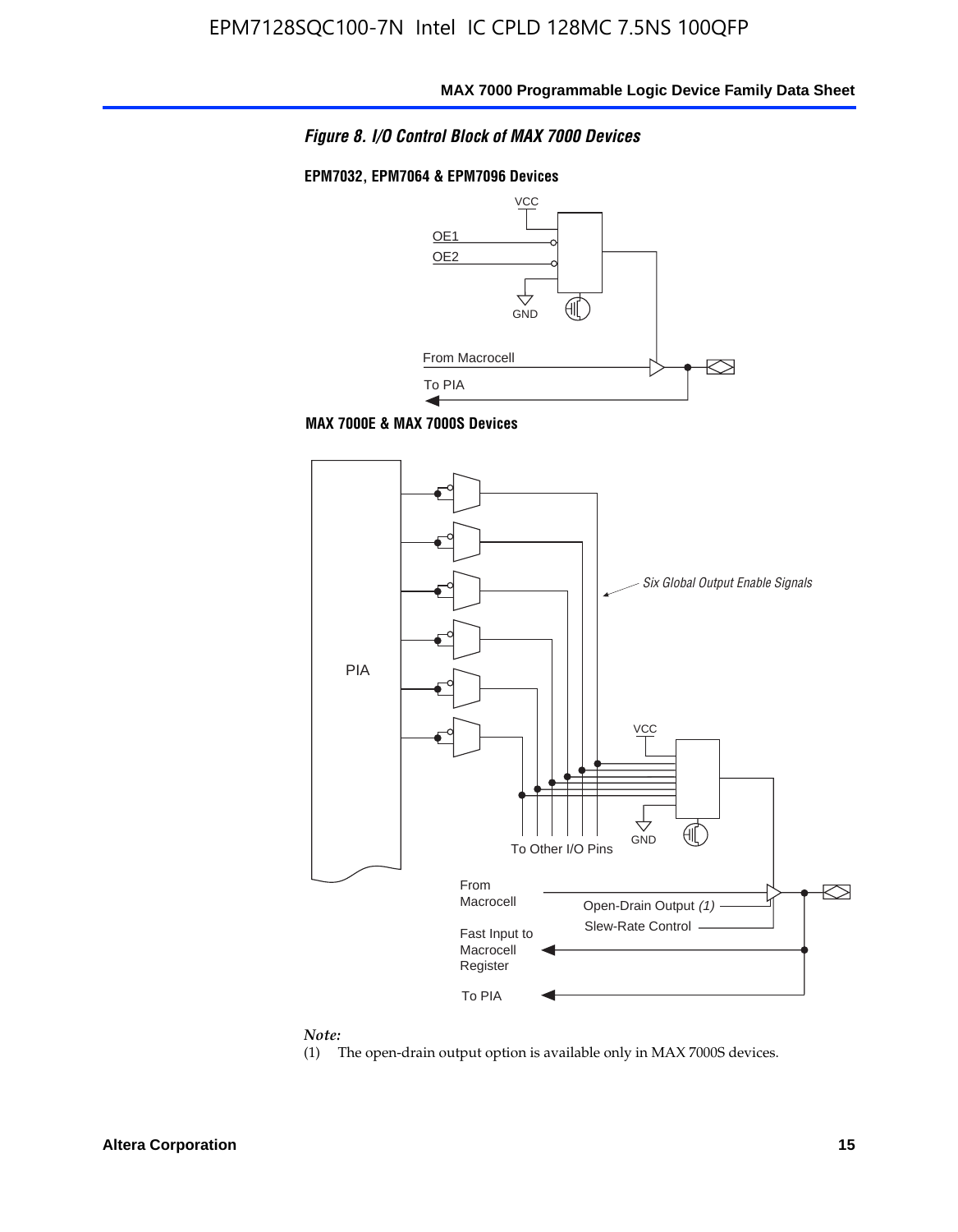*Figure 8. I/O Control Block of MAX 7000 Devices*

#### **EPM7032, EPM7064 & EPM7096 Devices**







#### *Note:*

(1) The open-drain output option is available only in MAX 7000S devices.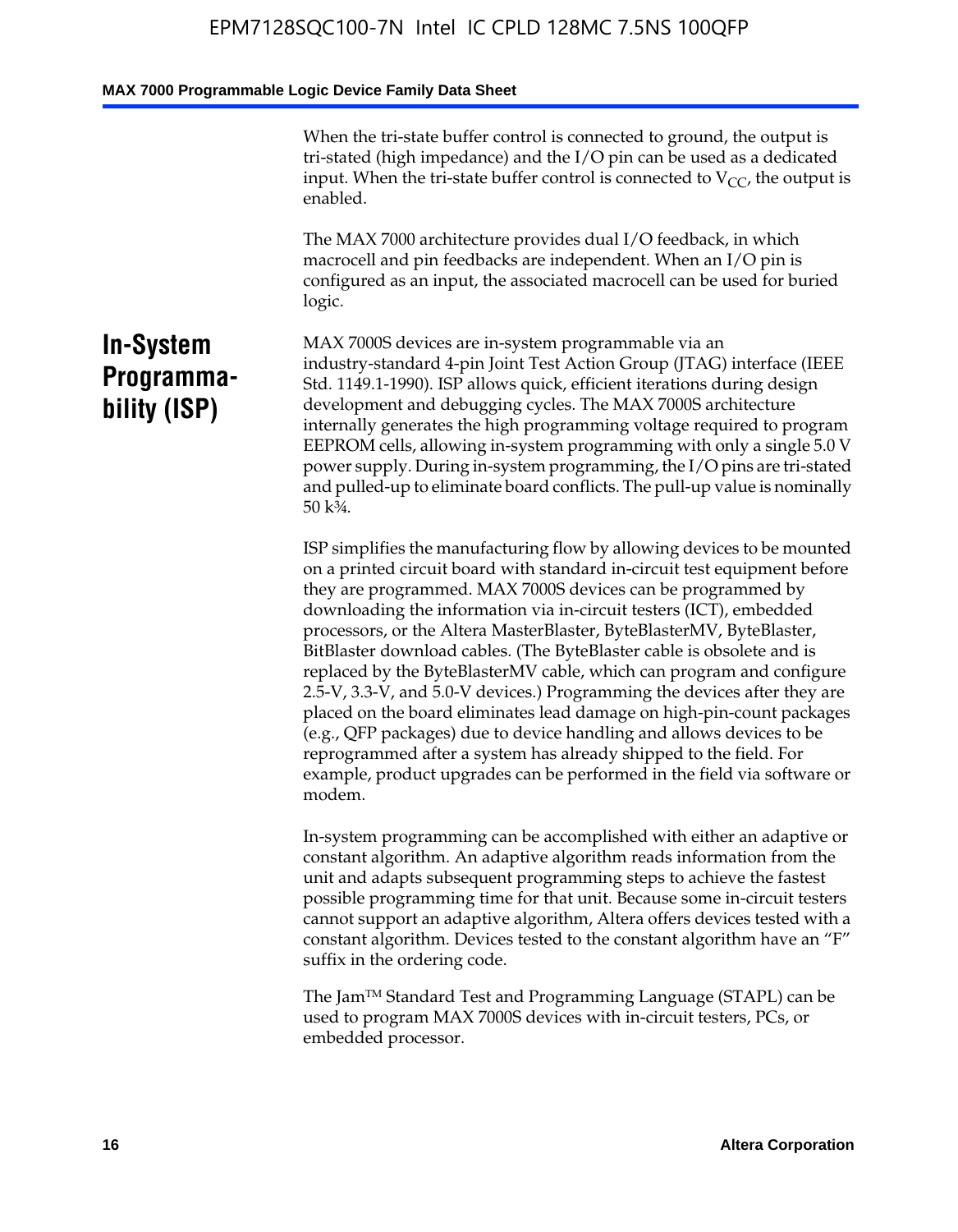When the tri-state buffer control is connected to ground, the output is tri-stated (high impedance) and the I/O pin can be used as a dedicated input. When the tri-state buffer control is connected to  $V_{CC}$ , the output is enabled.

The MAX 7000 architecture provides dual I/O feedback, in which macrocell and pin feedbacks are independent. When an I/O pin is configured as an input, the associated macrocell can be used for buried logic.

### **In-System Programmability (ISP)**

MAX 7000S devices are in-system programmable via an industry-standard 4-pin Joint Test Action Group (JTAG) interface (IEEE Std. 1149.1-1990). ISP allows quick, efficient iterations during design development and debugging cycles. The MAX 7000S architecture internally generates the high programming voltage required to program EEPROM cells, allowing in-system programming with only a single 5.0 V power supply. During in-system programming, the I/O pins are tri-stated and pulled-up to eliminate board conflicts. The pull-up value is nominally 50 k¾.

ISP simplifies the manufacturing flow by allowing devices to be mounted on a printed circuit board with standard in-circuit test equipment before they are programmed. MAX 7000S devices can be programmed by downloading the information via in-circuit testers (ICT), embedded processors, or the Altera MasterBlaster, ByteBlasterMV, ByteBlaster, BitBlaster download cables. (The ByteBlaster cable is obsolete and is replaced by the ByteBlasterMV cable, which can program and configure 2.5-V, 3.3-V, and 5.0-V devices.) Programming the devices after they are placed on the board eliminates lead damage on high-pin-count packages (e.g., QFP packages) due to device handling and allows devices to be reprogrammed after a system has already shipped to the field. For example, product upgrades can be performed in the field via software or modem.

In-system programming can be accomplished with either an adaptive or constant algorithm. An adaptive algorithm reads information from the unit and adapts subsequent programming steps to achieve the fastest possible programming time for that unit. Because some in-circuit testers cannot support an adaptive algorithm, Altera offers devices tested with a constant algorithm. Devices tested to the constant algorithm have an "F" suffix in the ordering code.

The Jam™ Standard Test and Programming Language (STAPL) can be used to program MAX 7000S devices with in-circuit testers, PCs, or embedded processor.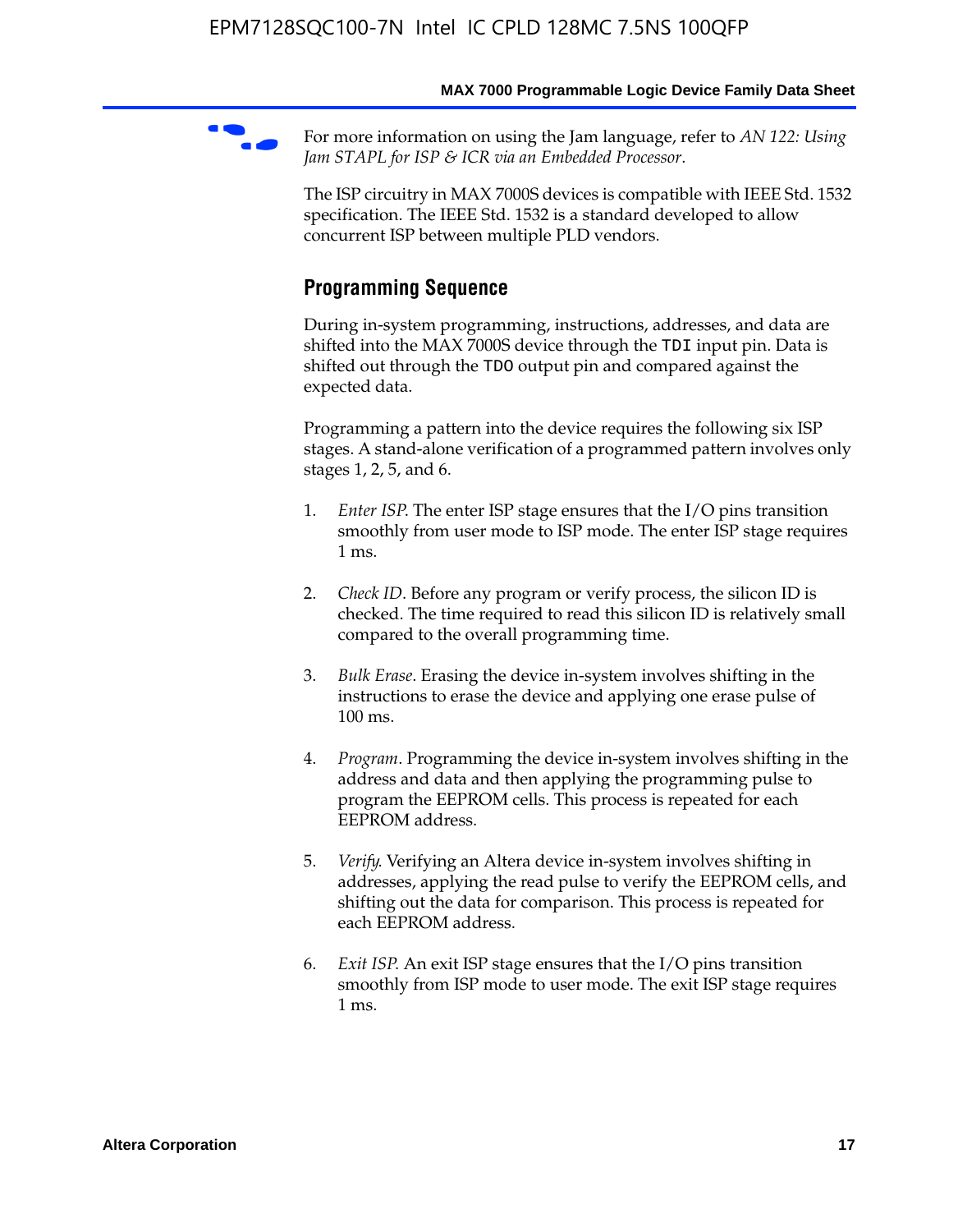For more information on using the Jam language, refer to *AN* 122: Using *Jam STAPL for ISP & ICR via an Embedded Processor*.

The ISP circuitry in MAX 7000S devices is compatible with IEEE Std. 1532 specification. The IEEE Std. 1532 is a standard developed to allow concurrent ISP between multiple PLD vendors.

### **Programming Sequence**

During in-system programming, instructions, addresses, and data are shifted into the MAX 7000S device through the TDI input pin. Data is shifted out through the TDO output pin and compared against the expected data.

Programming a pattern into the device requires the following six ISP stages. A stand-alone verification of a programmed pattern involves only stages 1, 2, 5, and 6.

- 1. *Enter ISP*. The enter ISP stage ensures that the I/O pins transition smoothly from user mode to ISP mode. The enter ISP stage requires 1 ms.
- 2. *Check ID*. Before any program or verify process, the silicon ID is checked. The time required to read this silicon ID is relatively small compared to the overall programming time.
- 3. *Bulk Erase*. Erasing the device in-system involves shifting in the instructions to erase the device and applying one erase pulse of 100 ms.
- 4. *Program*. Programming the device in-system involves shifting in the address and data and then applying the programming pulse to program the EEPROM cells. This process is repeated for each EEPROM address.
- 5. *Verify*. Verifying an Altera device in-system involves shifting in addresses, applying the read pulse to verify the EEPROM cells, and shifting out the data for comparison. This process is repeated for each EEPROM address.
- 6. *Exit ISP*. An exit ISP stage ensures that the I/O pins transition smoothly from ISP mode to user mode. The exit ISP stage requires 1 ms.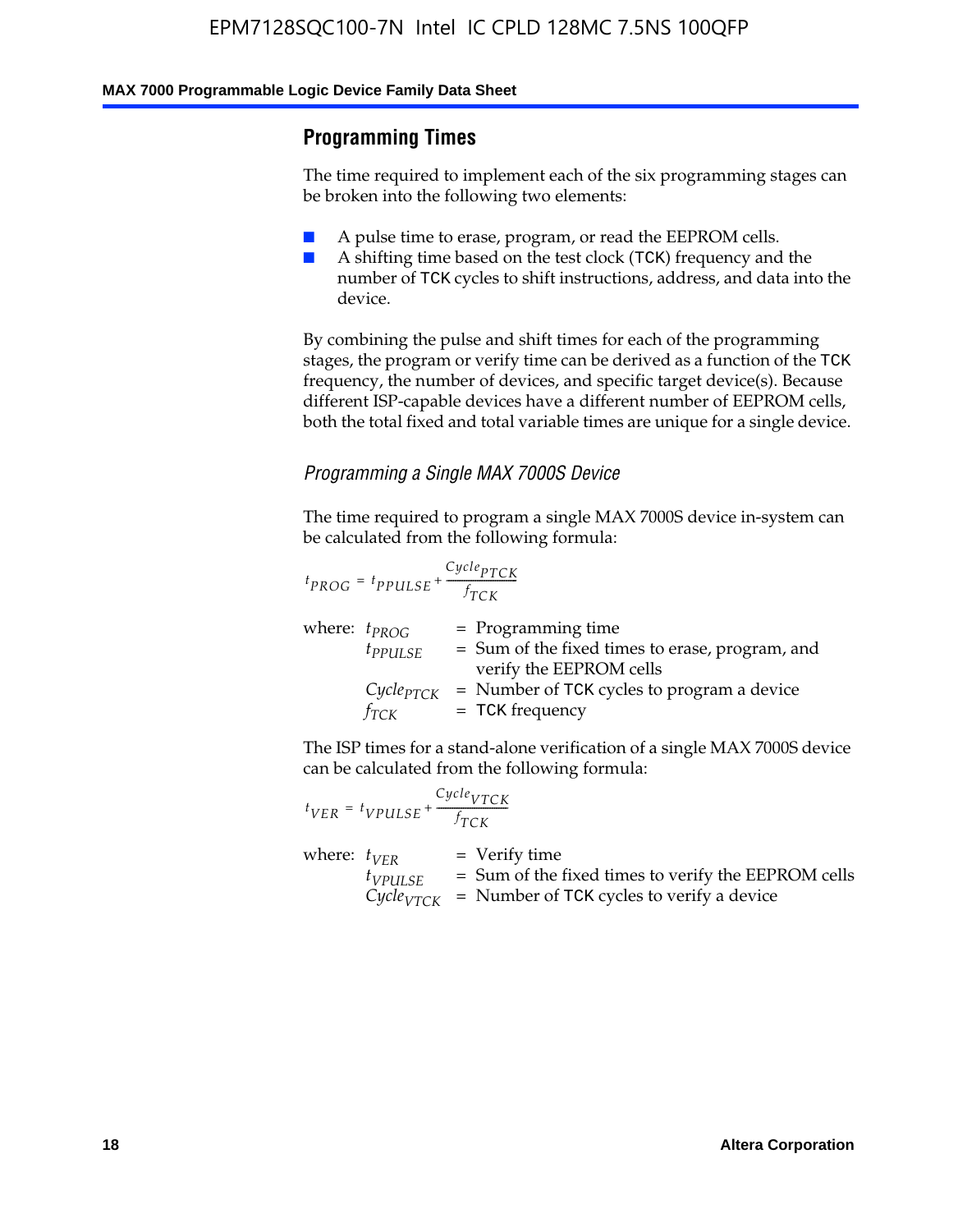### **Programming Times**

The time required to implement each of the six programming stages can be broken into the following two elements:

- A pulse time to erase, program, or read the EEPROM cells.
- A shifting time based on the test clock (TCK) frequency and the number of TCK cycles to shift instructions, address, and data into the device.

By combining the pulse and shift times for each of the programming stages, the program or verify time can be derived as a function of the TCK frequency, the number of devices, and specific target device(s). Because different ISP-capable devices have a different number of EEPROM cells, both the total fixed and total variable times are unique for a single device.

### *Programming a Single MAX 7000S Device*

The time required to program a single MAX 7000S device in-system can be calculated from the following formula:

$$
t_{PROG} = t_{PPULSE} + \frac{C_{ycle_{PTCK}}}{f_{TCK}}
$$
  
where:  $t_{PROG}$  = Programming time  
 $t_{PPULSE}$  = Sum of the fixed times to erase, program, and  
verify the EEPROM cells  
 $C_{ycle_{PTCK}}$  = Number of TCK cycles to program a device  
 $f_{TCK}$  = TCK frequency

The ISP times for a stand-alone verification of a single MAX 7000S device can be calculated from the following formula:

|                  | $t_{VER} = t_{VPULSE} + \frac{Cycle_{VTCK}}{f_{TCK}}$ |                                                                                                                                 |
|------------------|-------------------------------------------------------|---------------------------------------------------------------------------------------------------------------------------------|
| where: $t_{VFR}$ | $t_{VPULSE}$                                          | = Verify time<br>$=$ Sum of the fixed times to verify the EEPROM cells<br>$CycleVTCK$ = Number of TCK cycles to verify a device |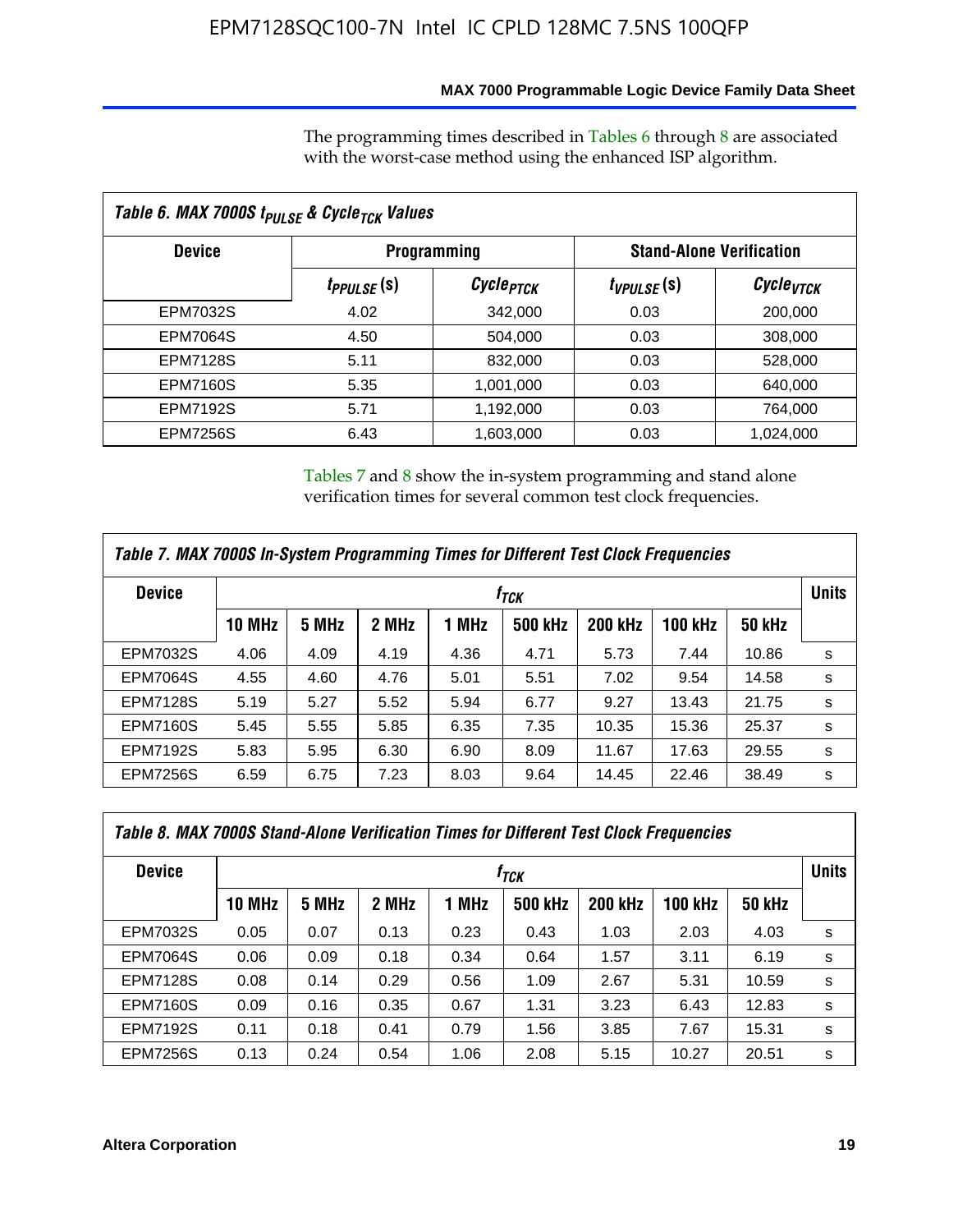### **MAX 7000 Programmable Logic Device Family Data Sheet**

The programming times described in Tables 6 through 8 are associated with the worst-case method using the enhanced ISP algorithm.

| Table 6. MAX 7000S t <sub>PULSE</sub> & Cycle <sub>TCK</sub> Values |                               |                       |                                 |                       |  |  |  |
|---------------------------------------------------------------------|-------------------------------|-----------------------|---------------------------------|-----------------------|--|--|--|
| <b>Device</b>                                                       | <b>Programming</b>            |                       | <b>Stand-Alone Verification</b> |                       |  |  |  |
|                                                                     | <i>t<sub>PPULSE</sub></i> (S) | Cycle <sub>PTCK</sub> | $t_{VPULSE}(s)$                 | Cycle <sub>VTCK</sub> |  |  |  |
| EPM7032S                                                            | 4.02                          | 342,000               | 0.03                            | 200,000               |  |  |  |
| <b>EPM7064S</b>                                                     | 4.50                          | 504.000               | 0.03                            | 308,000               |  |  |  |
| <b>EPM7128S</b>                                                     | 5.11                          | 832,000               | 0.03                            | 528,000               |  |  |  |
| <b>EPM7160S</b>                                                     | 5.35                          | 1,001,000             | 0.03                            | 640,000               |  |  |  |
| <b>EPM7192S</b>                                                     | 5.71                          | 1,192,000             | 0.03                            | 764,000               |  |  |  |
| <b>EPM7256S</b>                                                     | 6.43                          | 1,603,000             | 0.03                            | 1,024,000             |  |  |  |

Tables 7 and 8 show the in-system programming and stand alone verification times for several common test clock frequencies.

| Table 7. MAX 7000S In-System Programming Times for Different Test Clock Frequencies |                    |       |       |       |                |                |                |               |              |
|-------------------------------------------------------------------------------------|--------------------|-------|-------|-------|----------------|----------------|----------------|---------------|--------------|
| <b>Device</b>                                                                       | $t_{\textit{TCK}}$ |       |       |       |                |                |                |               | <b>Units</b> |
|                                                                                     | <b>10 MHz</b>      | 5 MHz | 2 MHz | 1 MHz | <b>500 kHz</b> | <b>200 kHz</b> | <b>100 kHz</b> | <b>50 kHz</b> |              |
| <b>EPM7032S</b>                                                                     | 4.06               | 4.09  | 4.19  | 4.36  | 4.71           | 5.73           | 7.44           | 10.86         | s            |
| <b>EPM7064S</b>                                                                     | 4.55               | 4.60  | 4.76  | 5.01  | 5.51           | 7.02           | 9.54           | 14.58         | s            |
| <b>EPM7128S</b>                                                                     | 5.19               | 5.27  | 5.52  | 5.94  | 6.77           | 9.27           | 13.43          | 21.75         | s            |
| <b>EPM7160S</b>                                                                     | 5.45               | 5.55  | 5.85  | 6.35  | 7.35           | 10.35          | 15.36          | 25.37         | s            |
| <b>EPM7192S</b>                                                                     | 5.83               | 5.95  | 6.30  | 6.90  | 8.09           | 11.67          | 17.63          | 29.55         | s            |
| <b>EPM7256S</b>                                                                     | 6.59               | 6.75  | 7.23  | 8.03  | 9.64           | 14.45          | 22.46          | 38.49         | s            |

| Table 8. MAX 7000S Stand-Alone Verification Times for Different Test Clock Frequencies |               |                  |       |       |                |                |                |               |   |
|----------------------------------------------------------------------------------------|---------------|------------------|-------|-------|----------------|----------------|----------------|---------------|---|
| <b>Device</b>                                                                          |               | f <sub>тск</sub> |       |       |                |                |                |               |   |
|                                                                                        | <b>10 MHz</b> | 5 MHz            | 2 MHz | 1 MHz | <b>500 kHz</b> | <b>200 kHz</b> | <b>100 kHz</b> | <b>50 kHz</b> |   |
| EPM7032S                                                                               | 0.05          | 0.07             | 0.13  | 0.23  | 0.43           | 1.03           | 2.03           | 4.03          | s |
| <b>EPM7064S</b>                                                                        | 0.06          | 0.09             | 0.18  | 0.34  | 0.64           | 1.57           | 3.11           | 6.19          | s |
| <b>EPM7128S</b>                                                                        | 0.08          | 0.14             | 0.29  | 0.56  | 1.09           | 2.67           | 5.31           | 10.59         | s |
| <b>EPM7160S</b>                                                                        | 0.09          | 0.16             | 0.35  | 0.67  | 1.31           | 3.23           | 6.43           | 12.83         | s |
| <b>EPM7192S</b>                                                                        | 0.11          | 0.18             | 0.41  | 0.79  | 1.56           | 3.85           | 7.67           | 15.31         | s |
| <b>EPM7256S</b>                                                                        | 0.13          | 0.24             | 0.54  | 1.06  | 2.08           | 5.15           | 10.27          | 20.51         | s |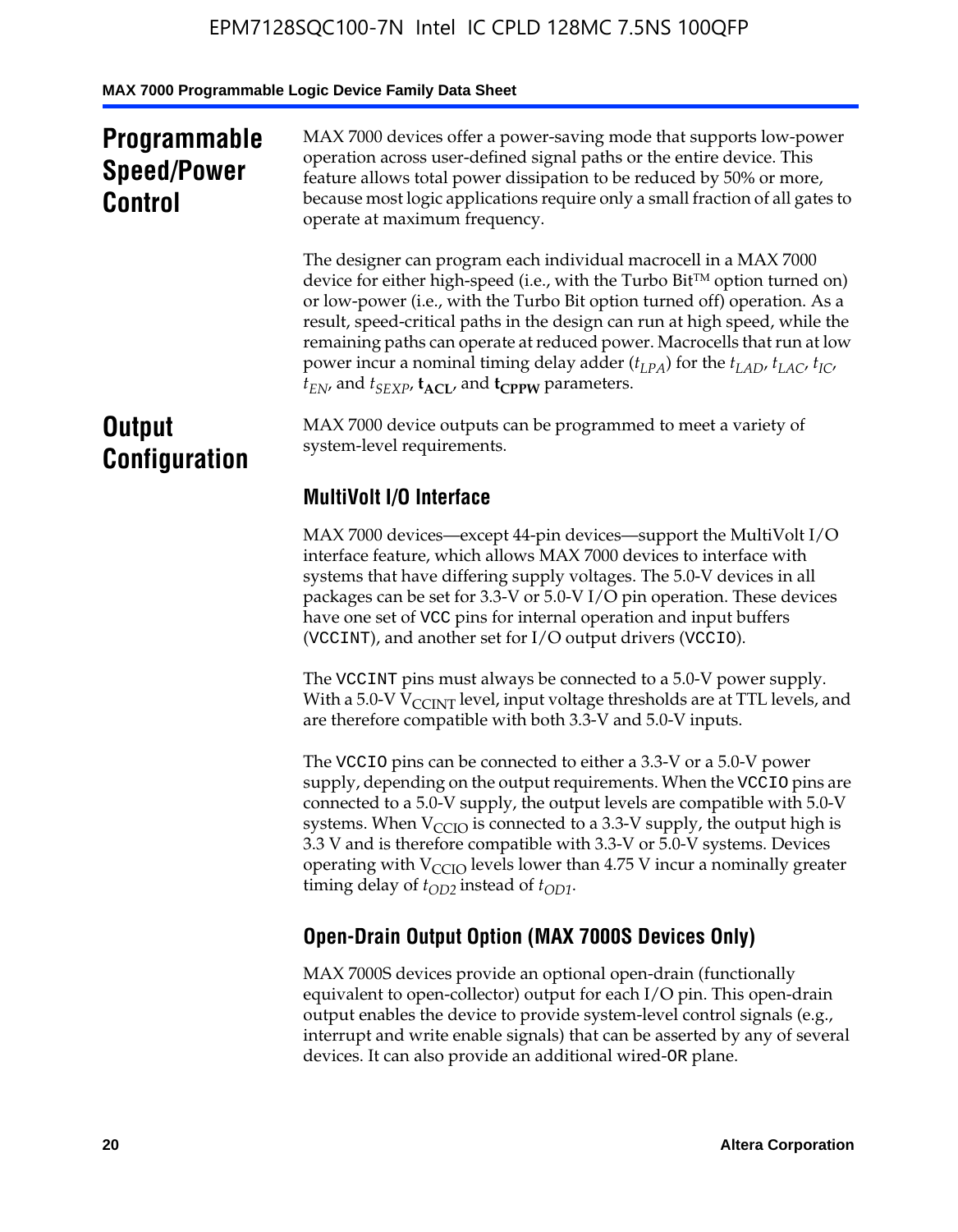### **Programmable Speed/Power Control**

MAX 7000 devices offer a power-saving mode that supports low-power operation across user-defined signal paths or the entire device. This feature allows total power dissipation to be reduced by 50% or more, because most logic applications require only a small fraction of all gates to operate at maximum frequency.

The designer can program each individual macrocell in a MAX 7000 device for either high-speed (i.e., with the Turbo  $Bit^{TM}$  option turned on) or low-power (i.e., with the Turbo Bit option turned off) operation. As a result, speed-critical paths in the design can run at high speed, while the remaining paths can operate at reduced power. Macrocells that run at low power incur a nominal timing delay adder  $(t_{LPA})$  for the  $t_{LAD}$ ,  $t_{LAC}$ ,  $t_{IC}$ ,  $t_{EN}$ , and  $t_{SEXP}$ ,  $t_{ACL}$ , and  $t_{CPPW}$  parameters.

### **Output Configuration**

MAX 7000 device outputs can be programmed to meet a variety of system-level requirements.

### **MultiVolt I/O Interface**

MAX 7000 devices—except 44-pin devices—support the MultiVolt I/O interface feature, which allows MAX 7000 devices to interface with systems that have differing supply voltages. The 5.0-V devices in all packages can be set for 3.3-V or 5.0-V I/O pin operation. These devices have one set of VCC pins for internal operation and input buffers (VCCINT), and another set for I/O output drivers (VCCIO).

The VCCINT pins must always be connected to a 5.0-V power supply. With a 5.0-V  $V_{\text{CCINT}}$  level, input voltage thresholds are at TTL levels, and are therefore compatible with both 3.3-V and 5.0-V inputs.

The VCCIO pins can be connected to either a 3.3-V or a 5.0-V power supply, depending on the output requirements. When the VCCIO pins are connected to a 5.0-V supply, the output levels are compatible with 5.0-V systems. When  $V_{\text{CGO}}$  is connected to a 3.3-V supply, the output high is 3.3 V and is therefore compatible with 3.3-V or 5.0-V systems. Devices operating with  $V_{\text{CCIO}}$  levels lower than 4.75 V incur a nominally greater timing delay of  $t_{OD2}$  instead of  $t_{OD1}$ .

### **Open-Drain Output Option (MAX 7000S Devices Only)**

MAX 7000S devices provide an optional open-drain (functionally equivalent to open-collector) output for each I/O pin. This open-drain output enables the device to provide system-level control signals (e.g., interrupt and write enable signals) that can be asserted by any of several devices. It can also provide an additional wired-OR plane.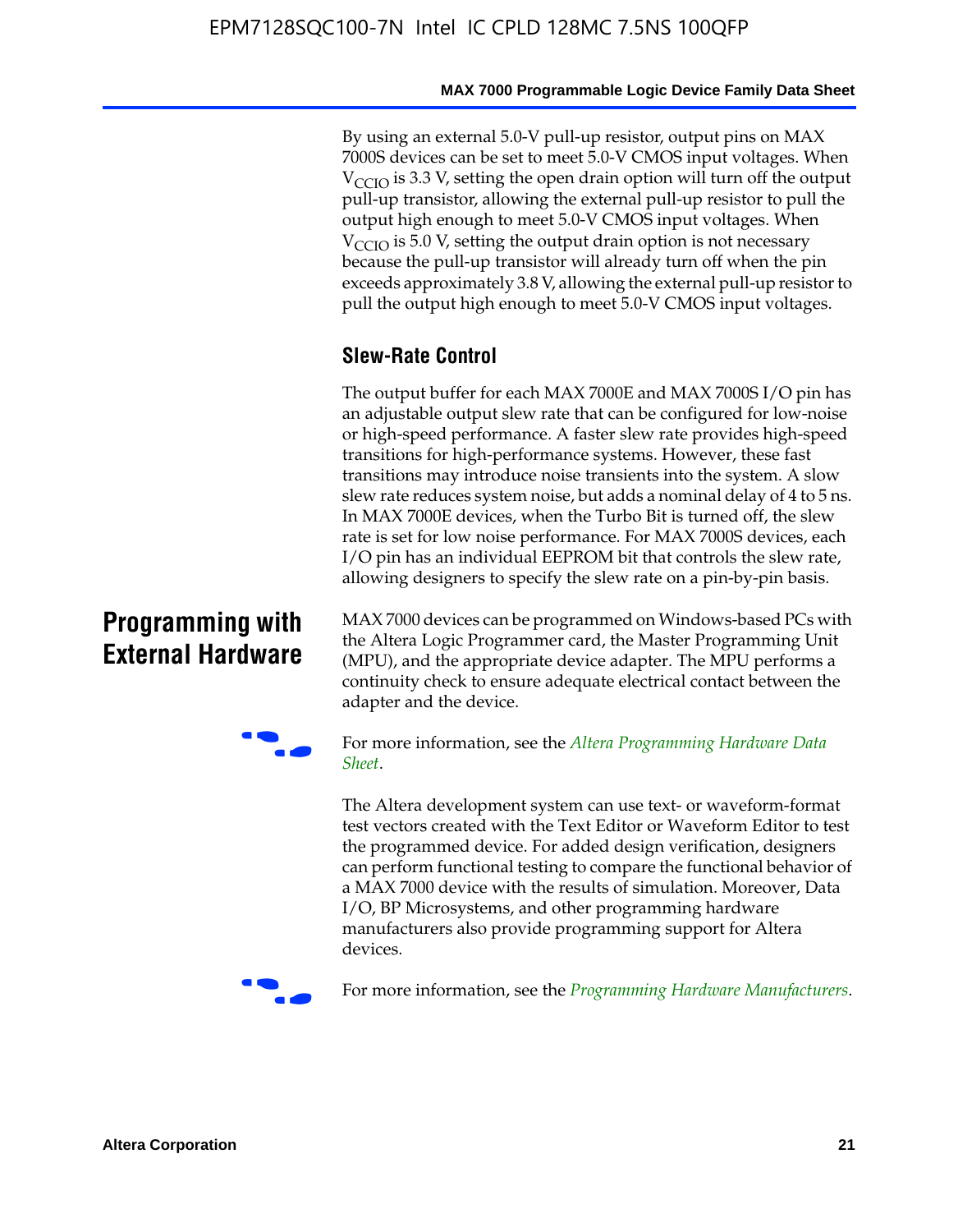By using an external 5.0-V pull-up resistor, output pins on MAX 7000S devices can be set to meet 5.0-V CMOS input voltages. When  $V<sub>CCIO</sub>$  is 3.3 V, setting the open drain option will turn off the output pull-up transistor, allowing the external pull-up resistor to pull the output high enough to meet 5.0-V CMOS input voltages. When  $V_{\text{CCIO}}$  is 5.0 V, setting the output drain option is not necessary because the pull-up transistor will already turn off when the pin exceeds approximately 3.8 V, allowing the external pull-up resistor to pull the output high enough to meet 5.0-V CMOS input voltages.

### **Slew-Rate Control**

The output buffer for each MAX 7000E and MAX 7000S I/O pin has an adjustable output slew rate that can be configured for low-noise or high-speed performance. A faster slew rate provides high-speed transitions for high-performance systems. However, these fast transitions may introduce noise transients into the system. A slow slew rate reduces system noise, but adds a nominal delay of 4 to 5 ns. In MAX 7000E devices, when the Turbo Bit is turned off, the slew rate is set for low noise performance. For MAX 7000S devices, each I/O pin has an individual EEPROM bit that controls the slew rate, allowing designers to specify the slew rate on a pin-by-pin basis.

### **Programming with External Hardware**

[MAX](http://www.altera.com/literature/ds/dspghd.pdf) 7000 devices can be prog[rammed on Windows-based PCs with](http://www.altera.com/literature/ds/dspghd.pdf)  the Altera Logic Programmer card, the Master Programming Unit (MPU), and the appropriate device adapter. The MPU performs a continuity check to ensure adequate electrical contact between the adapter and the device.



For more information, see the *Altera Programming Hardware Data Sheet*.

The Altera development system can use text- or waveform-format test vectors created with the Text Editor or Waveform Editor to test the programmed device. For added design verification, designers can perform functional testing to compare the functional behavior of a MAX 7000 device with the results of simulation. Moreover, Data I/O, BP Microsystems, and other programming hardware manufacturers also provide programming support for Altera devices.



For more information, see the *Programming Hardware Manufacturers*.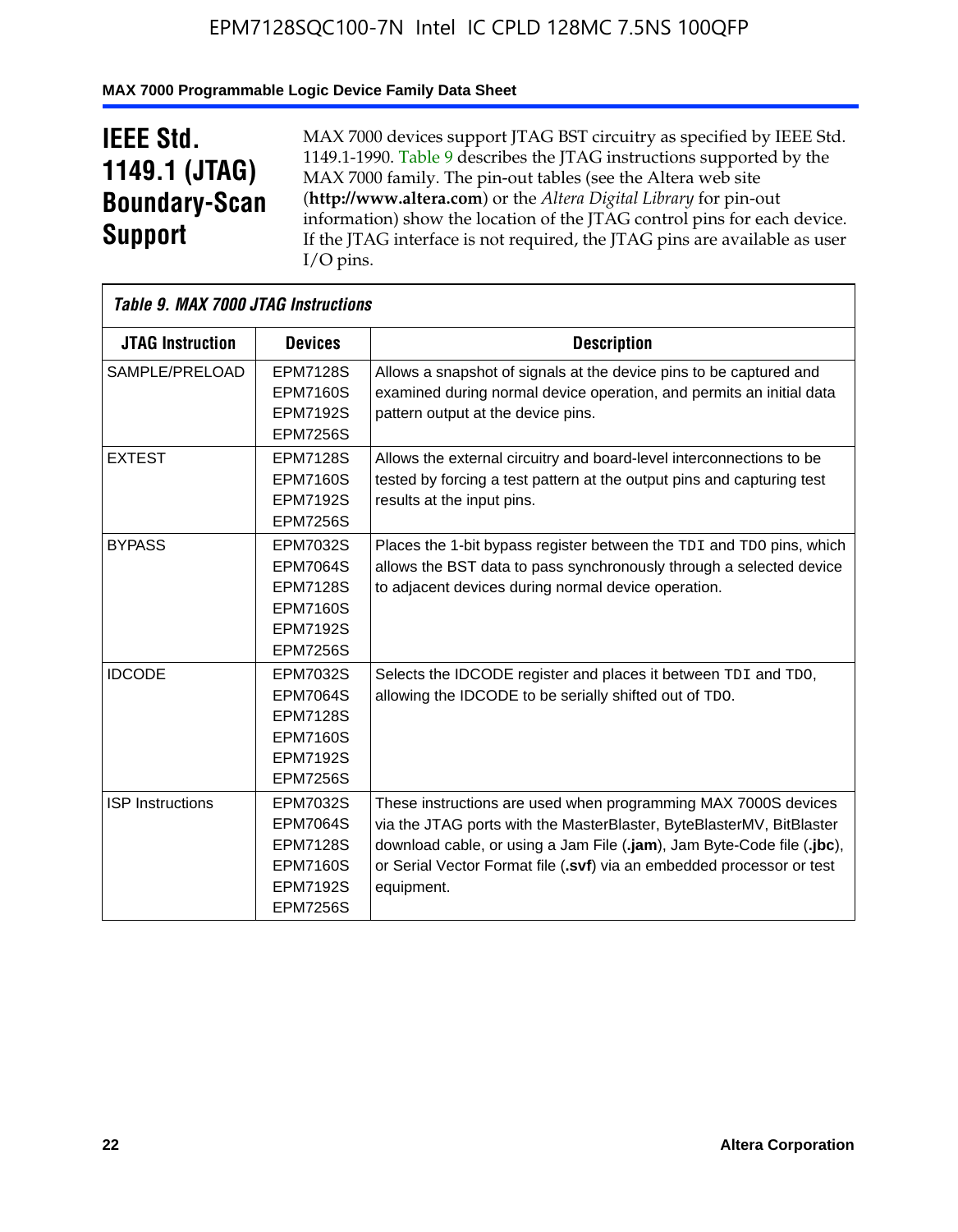### **MAX 7000 Programmable Logic Device Family Data Sheet**

## **IEEE Std. 1149.1 (JTAG) Boundary-Scan Support**

 $\mathsf{r}$ 

MAX 7000 devices support JTAG BST circuitry as specified by IEEE Std. 1149.1-1990. Table 9 describes the JTAG instructions supported by the MAX 7000 family. The pin-out tables (see the Altera web site (**http://www.altera.com**) or the *Altera Digital Library* for pin-out information) show the location of the JTAG control pins for each device. If the JTAG interface is not required, the JTAG pins are available as user I/O pins.

| Table 9. MAX 7000 JTAG Instructions |                                                                                                         |                                                                                                                                                                                                                                                                                                         |
|-------------------------------------|---------------------------------------------------------------------------------------------------------|---------------------------------------------------------------------------------------------------------------------------------------------------------------------------------------------------------------------------------------------------------------------------------------------------------|
| <b>JTAG Instruction</b>             | <b>Devices</b>                                                                                          | <b>Description</b>                                                                                                                                                                                                                                                                                      |
| SAMPLE/PRELOAD                      | <b>EPM7128S</b><br><b>EPM7160S</b><br><b>EPM7192S</b><br><b>EPM7256S</b>                                | Allows a snapshot of signals at the device pins to be captured and<br>examined during normal device operation, and permits an initial data<br>pattern output at the device pins.                                                                                                                        |
| <b>EXTEST</b>                       | <b>EPM7128S</b><br><b>EPM7160S</b><br><b>EPM7192S</b><br><b>EPM7256S</b>                                | Allows the external circuitry and board-level interconnections to be<br>tested by forcing a test pattern at the output pins and capturing test<br>results at the input pins.                                                                                                                            |
| <b>BYPASS</b>                       | EPM7032S<br><b>EPM7064S</b><br><b>EPM7128S</b><br><b>EPM7160S</b><br><b>EPM7192S</b><br><b>EPM7256S</b> | Places the 1-bit bypass register between the TDI and TDO pins, which<br>allows the BST data to pass synchronously through a selected device<br>to adjacent devices during normal device operation.                                                                                                      |
| <b>IDCODE</b>                       | EPM7032S<br><b>EPM7064S</b><br><b>EPM7128S</b><br><b>EPM7160S</b><br><b>EPM7192S</b><br><b>EPM7256S</b> | Selects the IDCODE register and places it between TDI and TDO,<br>allowing the IDCODE to be serially shifted out of TDO.                                                                                                                                                                                |
| <b>ISP</b> Instructions             | EPM7032S<br><b>EPM7064S</b><br><b>EPM7128S</b><br><b>EPM7160S</b><br><b>EPM7192S</b><br><b>EPM7256S</b> | These instructions are used when programming MAX 7000S devices<br>via the JTAG ports with the MasterBlaster, ByteBlasterMV, BitBlaster<br>download cable, or using a Jam File (.jam), Jam Byte-Code file (.jbc),<br>or Serial Vector Format file (.svf) via an embedded processor or test<br>equipment. |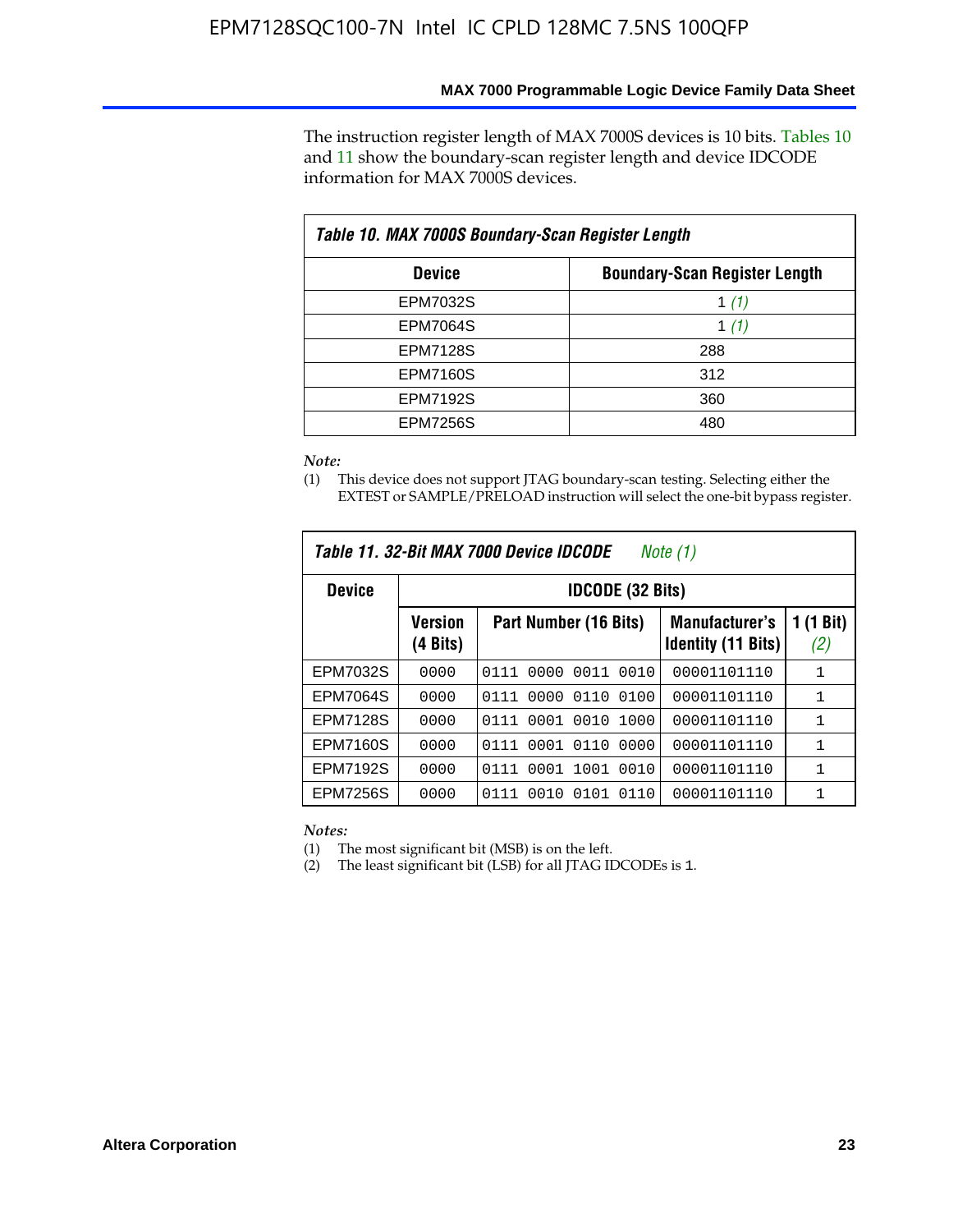The instruction register length of MAX 7000S devices is 10 bits. Tables 10 and 11 show the boundary-scan register length and device IDCODE information for MAX 7000S devices.

| Table 10. MAX 7000S Boundary-Scan Register Length |                                      |  |  |  |  |  |
|---------------------------------------------------|--------------------------------------|--|--|--|--|--|
| <b>Device</b>                                     | <b>Boundary-Scan Register Length</b> |  |  |  |  |  |
| EPM7032S                                          | 1 $(1)$                              |  |  |  |  |  |
| <b>EPM7064S</b>                                   | 1 $(1)$                              |  |  |  |  |  |
| <b>EPM7128S</b>                                   | 288                                  |  |  |  |  |  |
| <b>EPM7160S</b>                                   | 312                                  |  |  |  |  |  |
| <b>EPM7192S</b>                                   | 360                                  |  |  |  |  |  |
| <b>EPM7256S</b>                                   | 480                                  |  |  |  |  |  |

*Note:*

(1) This device does not support JTAG boundary-scan testing. Selecting either the EXTEST or SAMPLE/PRELOAD instruction will select the one-bit bypass register.

| Table 11, 32-Bit MAX 7000 Device IDCODE<br>Note (1) |                            |                              |                                                    |                  |  |  |  |
|-----------------------------------------------------|----------------------------|------------------------------|----------------------------------------------------|------------------|--|--|--|
| <b>Device</b>                                       |                            | <b>IDCODE (32 Bits)</b>      |                                                    |                  |  |  |  |
|                                                     | <b>Version</b><br>(4 Bits) | Part Number (16 Bits)        | <b>Manufacturer's</b><br><b>Identity (11 Bits)</b> | 1 (1 Bit)<br>(2) |  |  |  |
| EPM7032S                                            | 0000                       | 0010<br>0111<br>0000<br>0011 | 00001101110                                        | 1                |  |  |  |
| <b>EPM7064S</b>                                     | 0000                       | 0000<br>0110<br>0100<br>0111 | 00001101110                                        | 1                |  |  |  |
| <b>EPM7128S</b>                                     | 0000                       | 0001 0010<br>1000<br>0111    | 00001101110                                        | 1                |  |  |  |
| <b>EPM7160S</b>                                     | 0000                       | 0001<br>0110<br>0000<br>0111 | 00001101110                                        | $\mathbf{1}$     |  |  |  |
| <b>EPM7192S</b>                                     | 0000                       | 1001<br>0010<br>0111<br>0001 | 00001101110                                        | 1                |  |  |  |
| EPM7256S                                            | 0000                       | 0111<br>0010<br>0101<br>0110 | 00001101110                                        | 1                |  |  |  |

*Notes:*

(1) The most significant bit (MSB) is on the left.

(2) The least significant bit (LSB) for all JTAG IDCODEs is 1.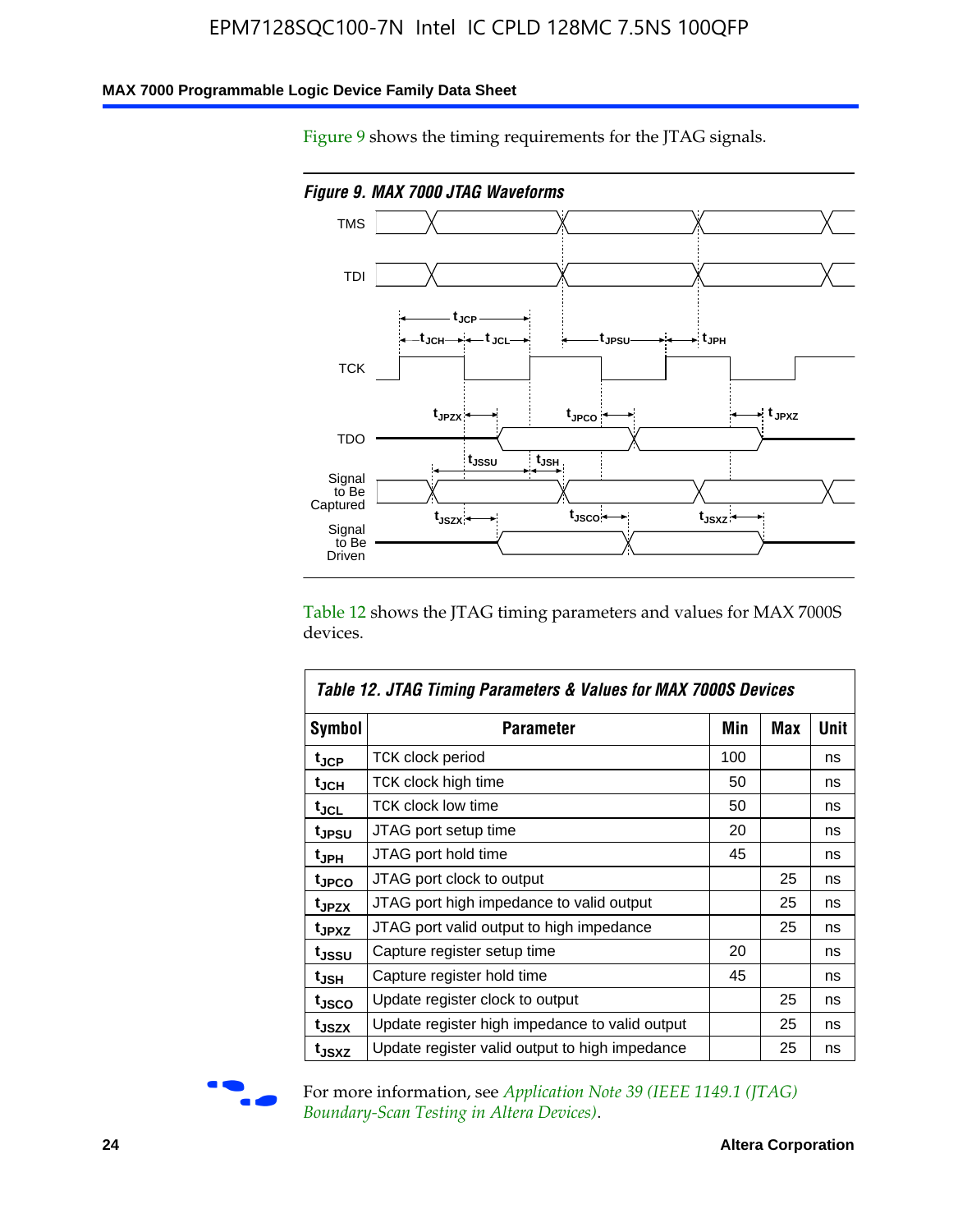### **MAX 7000 Programmable Logic Device Family Data Sheet**

Figure 9 shows the timing requirements for the JTAG signals.



Table 12 shows the JTAG timing parameters and values for MAX 7000S devices.

|                    | Table 12. JTAG Timing Parameters & Values for MAX 7000S Devices |     |     |      |
|--------------------|-----------------------------------------------------------------|-----|-----|------|
| <b>Symbol</b>      | Parameter                                                       | Min | Max | Unit |
| t <sub>JCP</sub>   | <b>TCK clock period</b>                                         | 100 |     | ns   |
| t <sub>JCH</sub>   | TCK clock high time                                             | 50  |     | ns   |
| $t_{JCL}$          | TCK clock low time                                              | 50  |     | ns   |
| t <sub>JPSU</sub>  | JTAG port setup time                                            | 20  |     | ns   |
| t <sub>JPH</sub>   | JTAG port hold time                                             | 45  |     | ns   |
| <sup>t</sup> JPCO  | JTAG port clock to output                                       |     | 25  | ns   |
| t <sub>JPZX</sub>  | JTAG port high impedance to valid output                        |     | 25  | ns   |
| t <sub>JPXZ</sub>  | JTAG port valid output to high impedance                        |     | 25  | ns   |
| tjssu              | Capture register setup time                                     | 20  |     | ns   |
| $t_{\mathsf{JSH}}$ | Capture register hold time                                      | 45  |     | ns   |
| tjsco              | Update register clock to output                                 |     | 25  | ns   |
| t <sub>JSZX</sub>  | Update register high impedance to valid output                  |     | 25  | ns   |
| t <sub>JSXZ</sub>  | Update register valid output to high impedance                  |     | 25  | ns   |



For more information, see *Application Note 39 (IEEE 1149.1 (JTAG) Boundary-Scan Testing in Altera Devices)*.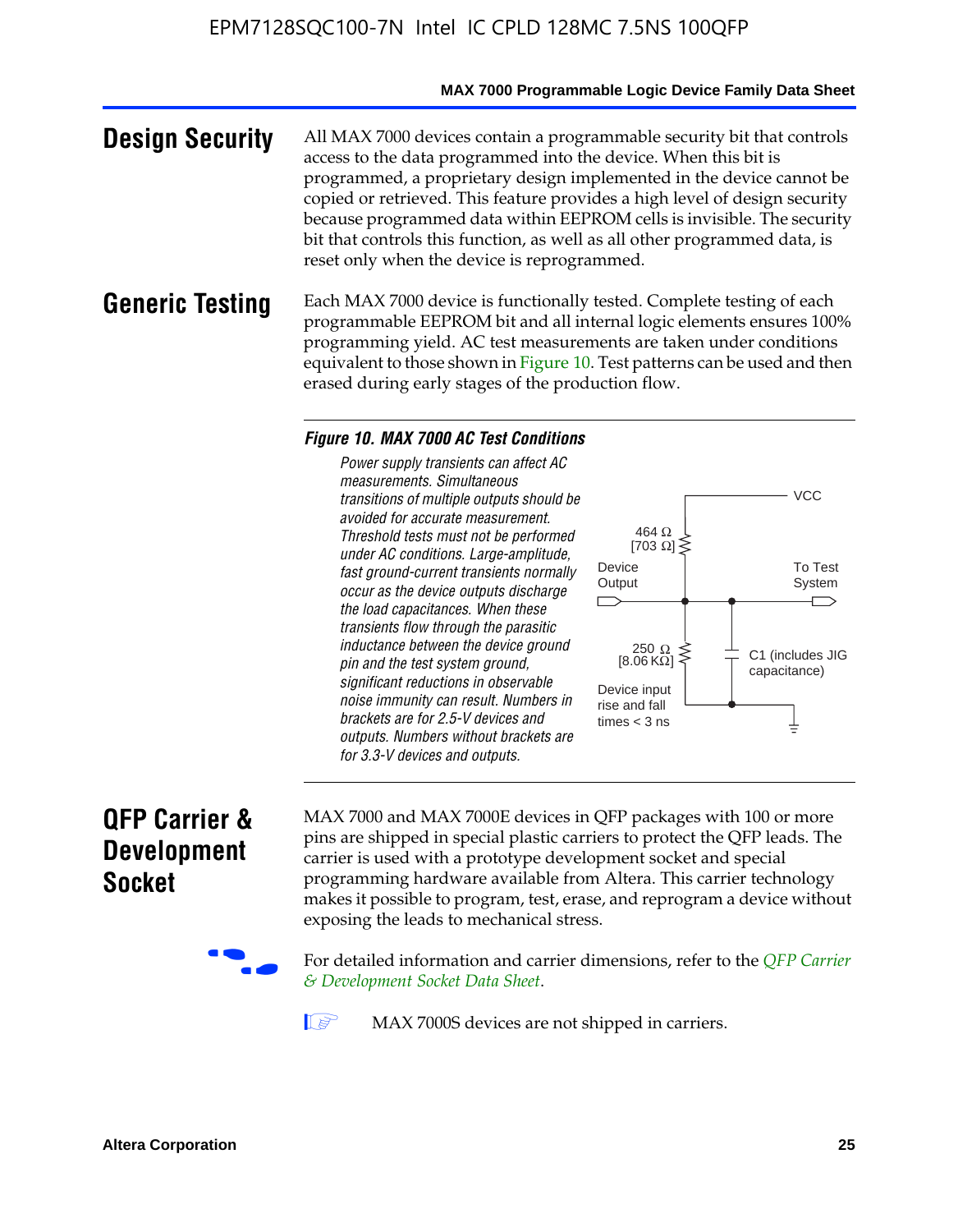#### **MAX 7000 Programmable Logic Device Family Data Sheet**

**Design Security** All MAX 7000 devices contain a programmable security bit that controls access to the data programmed into the device. When this bit is programmed, a proprietary design implemented in the device cannot be copied or retrieved. This feature provides a high level of design security because programmed data within EEPROM cells is invisible. The security bit that controls this function, as well as all other programmed data, is reset only when the device is reprogrammed.

### **Generic Testing** Each MAX 7000 device is functionally tested. Complete testing of each programmable EEPROM bit and all internal logic elements ensures 100% programming yield. AC test measurements are taken under conditions equivalent to those shown in Figure 10. Test patterns can be used and then erased during early stages of the production flow.

#### *Figure 10. MAX 7000 AC Test Conditions*

*Power supply transients can affect AC measurements. Simultaneous transitions of multiple outputs should be avoided for accurate measurement. Threshold tests must not be performed under AC conditions. Large-amplitude, fast ground-current transients normally occur as the device outputs discharge the load capacitances. When these transients flow through the parasitic inductance between the device ground pin and the test system ground, significant reductions in observable noise immunity can result. Numbers in brackets are for 2.5-V devices and outputs. Numbers without brackets are for 3.3-V devices and outputs.*



### **QFP Carrier & Development Socket**

MAX 7000 and MAX 7000E devices in QFP packages with 10[0 or more](http://www.altera.com/literature/ds/dsqfp.pdf)  [pins are shipped in special plas](http://www.altera.com/literature/ds/dsqfp.pdf)tic carriers to protect the QFP leads. The carrier is used with a prototype development socket and special programming hardware available from Altera. This carrier technology makes it possible to program, test, erase, and reprogram a device without exposing the leads to mechanical stress.

For detailed information and carrier dimensions, refer to the *QFP Carrier & Development Socket Data Sheet*.

MAX 7000S devices are not shipped in carriers.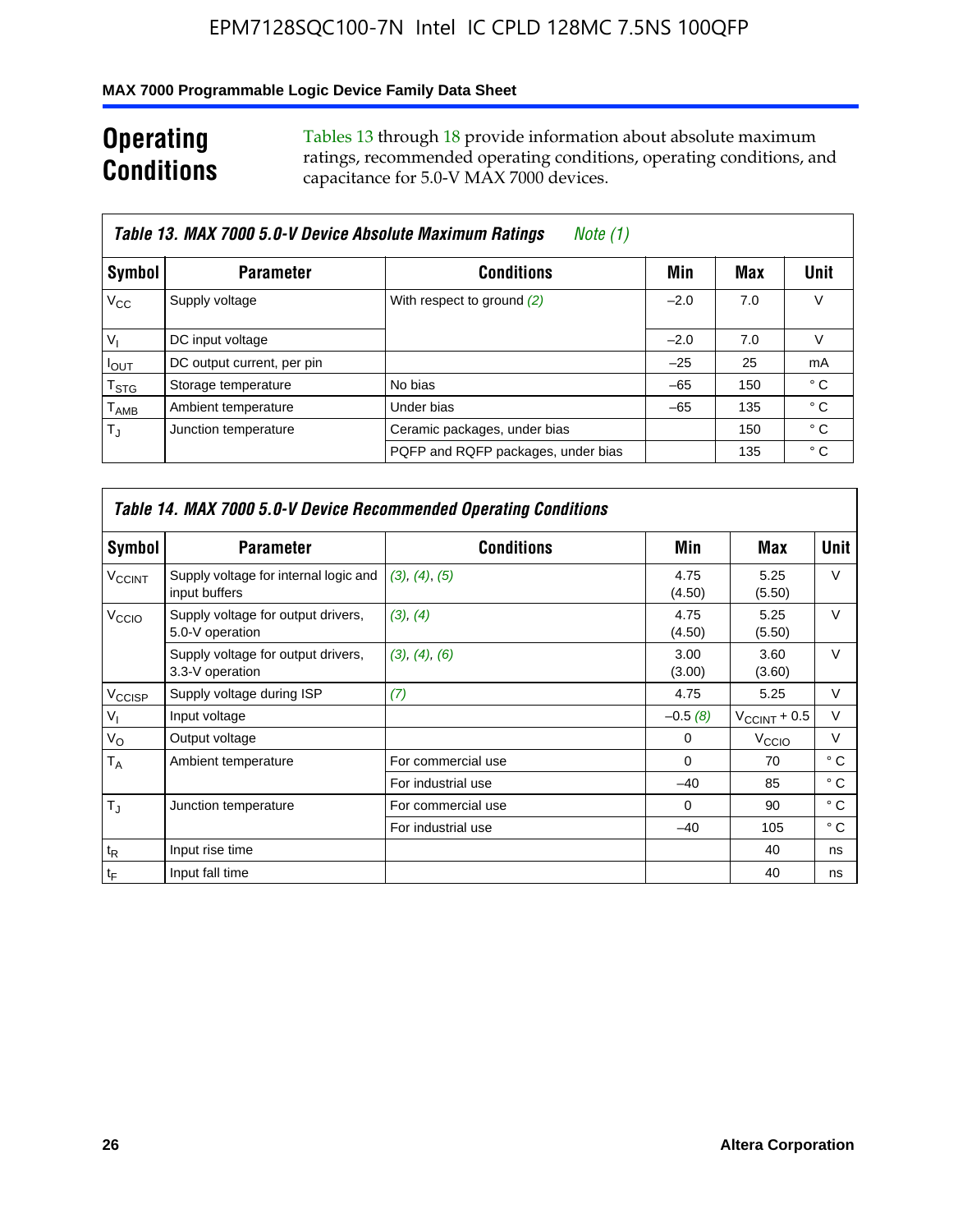### **MAX 7000 Programmable Logic Device Family Data Sheet**

### **Operating Conditions**

Tables 13 through 18 provide information about absolute maximum ratings, recommended operating conditions, operating conditions, and capacitance for 5.0-V MAX 7000 devices.

|                             | Table 13. MAX 7000 5.0-V Device Absolute Maximum Ratings<br>Note (1) |                                    |        |     |      |  |  |  |
|-----------------------------|----------------------------------------------------------------------|------------------------------------|--------|-----|------|--|--|--|
| Symbol                      | <b>Parameter</b>                                                     | <b>Conditions</b>                  | Min    | Max | Unit |  |  |  |
| $V_{\rm CC}$                | Supply voltage                                                       | With respect to ground (2)         | $-2.0$ | 7.0 | V    |  |  |  |
| $V_{1}$                     | DC input voltage                                                     |                                    | $-2.0$ | 7.0 | V    |  |  |  |
| $I_{\text{OUT}}$            | DC output current, per pin                                           |                                    | $-25$  | 25  | mA   |  |  |  |
| $\mathsf{T}_{\text{STG}}$   | Storage temperature                                                  | No bias                            | $-65$  | 150 | ° C  |  |  |  |
| $\mathsf{T}_{\mathsf{AMB}}$ | Ambient temperature                                                  | Under bias                         | $-65$  | 135 | ° C  |  |  |  |
| $T_{\rm J}$                 | Junction temperature                                                 | Ceramic packages, under bias       |        | 150 | ° C  |  |  |  |
|                             |                                                                      | PQFP and RQFP packages, under bias |        | 135 | ° C  |  |  |  |

|                          |                                                        | Table 14. MAX 7000 5.0-V Device Recommended Operating Conditions |                |                          |              |
|--------------------------|--------------------------------------------------------|------------------------------------------------------------------|----------------|--------------------------|--------------|
| Symbol                   | <b>Parameter</b>                                       | <b>Conditions</b>                                                | Min            | Max                      | Unit         |
| <b>V<sub>CCINT</sub></b> | Supply voltage for internal logic and<br>input buffers | (3), (4), (5)                                                    | 4.75<br>(4.50) | 5.25<br>(5.50)           | $\vee$       |
| V <sub>CCIO</sub>        | Supply voltage for output drivers,<br>5.0-V operation  | (3), (4)                                                         | 4.75<br>(4.50) | 5.25<br>(5.50)           | V            |
|                          | Supply voltage for output drivers,<br>3.3-V operation  | (3), (4), (6)                                                    | 3.00<br>(3.00) | 3.60<br>(3.60)           | $\vee$       |
| V <sub>CCISP</sub>       | Supply voltage during ISP                              | (7)                                                              | 4.75           | 5.25                     | $\vee$       |
| $V_{1}$                  | Input voltage                                          |                                                                  | $-0.5(8)$      | $V_{\text{CCINT}} + 0.5$ | V            |
| $V_{\rm O}$              | Output voltage                                         |                                                                  | 0              | V <sub>CCIO</sub>        | V            |
| T <sub>A</sub>           | Ambient temperature                                    | For commercial use                                               | $\Omega$       | 70                       | $^{\circ}$ C |
|                          |                                                        | For industrial use                                               | $-40$          | 85                       | $^{\circ}$ C |
| $T_{\rm J}$              | Junction temperature                                   | For commercial use                                               | $\Omega$       | 90                       | ° C          |
|                          |                                                        | For industrial use                                               | $-40$          | 105                      | $^{\circ}$ C |
| $t_{\mathsf{R}}$         | Input rise time                                        |                                                                  |                | 40                       | ns           |
| $t_F$                    | Input fall time                                        |                                                                  |                | 40                       | ns           |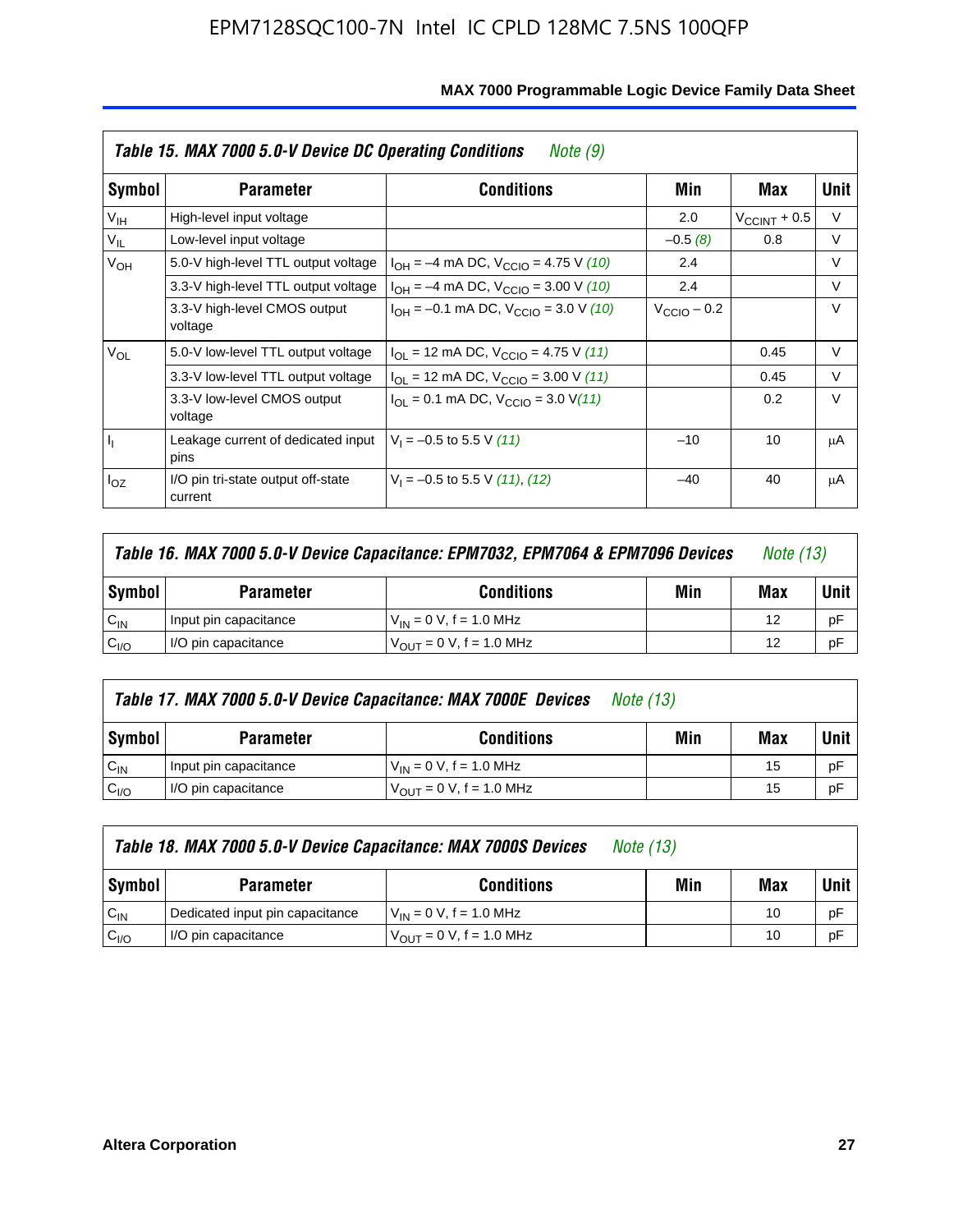|                 | Table 15. MAX 7000 5.0-V Device DC Operating Conditions | Note (9)                                                                  |                         |                          |        |
|-----------------|---------------------------------------------------------|---------------------------------------------------------------------------|-------------------------|--------------------------|--------|
| Symbol          | <b>Parameter</b>                                        | <b>Conditions</b>                                                         | Min                     | Max                      | Unit   |
| V <sub>IH</sub> | High-level input voltage                                |                                                                           | 2.0                     | $V_{\text{CCINT}} + 0.5$ | V      |
| $V_{IL}$        | Low-level input voltage                                 |                                                                           | $-0.5(8)$               | 0.8                      | V      |
| V <sub>OH</sub> | 5.0-V high-level TTL output voltage                     | $I_{OH} = -4$ mA DC, $V_{CClO} = 4.75$ V (10)                             | 2.4                     |                          | $\vee$ |
|                 | 3.3-V high-level TTL output voltage                     | $I_{OH} = -4$ mA DC, $V_{CClO} = 3.00$ V (10)                             | 2.4                     |                          | V      |
|                 | 3.3-V high-level CMOS output<br>voltage                 | $I_{OH} = -0.1$ mA DC, $V_{CClO} = 3.0$ V (10)                            | $V_{\text{CClO}} - 0.2$ |                          | $\vee$ |
| $V_{OL}$        | 5.0-V low-level TTL output voltage                      | $I_{\text{OI}}$ = 12 mA DC, $V_{\text{CCIO}}$ = 4.75 V (11)               |                         | 0.45                     | V      |
|                 | 3.3-V low-level TTL output voltage                      | $I_{OL}$ = 12 mA DC, $V_{CClO}$ = 3.00 V (11)                             |                         | 0.45                     | V      |
|                 | 3.3-V low-level CMOS output<br>voltage                  | $I_{\text{OI}} = 0.1 \text{ mA DC}, V_{\text{CCIO}} = 3.0 \text{ V} (11)$ |                         | 0.2                      | $\vee$ |
| 4               | Leakage current of dedicated input<br>pins              | $V_1 = -0.5$ to 5.5 V (11)                                                | $-10$                   | 10                       | μA     |
| $I_{OZ}$        | I/O pin tri-state output off-state<br>current           | $V_1 = -0.5$ to 5.5 V (11), (12)                                          | $-40$                   | 40                       | μA     |

| <b>Symbol</b><br><b>Conditions</b><br><b>Parameter</b>                   | Min | Max | Unit |
|--------------------------------------------------------------------------|-----|-----|------|
| $C_{IN}$<br>$V_{IN} = 0 V$ , f = 1.0 MHz<br>Input pin capacitance        |     | 12  | pF   |
| C <sub>I/O</sub><br>$V_{OUT} = 0 V$ , f = 1.0 MHz<br>I/O pin capacitance |     | 12  | рF   |

|                  | Table 17. MAX 7000 5.0-V Device Capacitance: MAX 7000E Devices | <i>Note (13)</i>              |     |     |      |
|------------------|----------------------------------------------------------------|-------------------------------|-----|-----|------|
| <b>Symbol</b>    | <b>Parameter</b>                                               | <b>Conditions</b>             | Min | Max | Unit |
| $C_{IN}$         | Input pin capacitance                                          | $V_{IN} = 0 V$ , f = 1.0 MHz  |     | 15  | pF   |
| C <sub>I/O</sub> | I/O pin capacitance                                            | $V_{OUT} = 0 V$ , f = 1.0 MHz |     | 15  | pF   |

| Table 18. MAX 7000 5.0-V Device Capacitance: MAX 7000S Devices<br><i>Note (13)</i> |                                 |                                                     |     |     |             |
|------------------------------------------------------------------------------------|---------------------------------|-----------------------------------------------------|-----|-----|-------------|
| Symbol                                                                             | <b>Parameter</b>                | <b>Conditions</b>                                   | Min | Max | <b>Unit</b> |
| $C_{IN}$                                                                           | Dedicated input pin capacitance | $V_{IN} = 0 V$ , f = 1.0 MHz                        |     | 10  | pF          |
| C <sub>I/O</sub>                                                                   | I/O pin capacitance             | $V_{\text{OUT}} = 0 \text{ V}, f = 1.0 \text{ MHz}$ |     | 10  | pF          |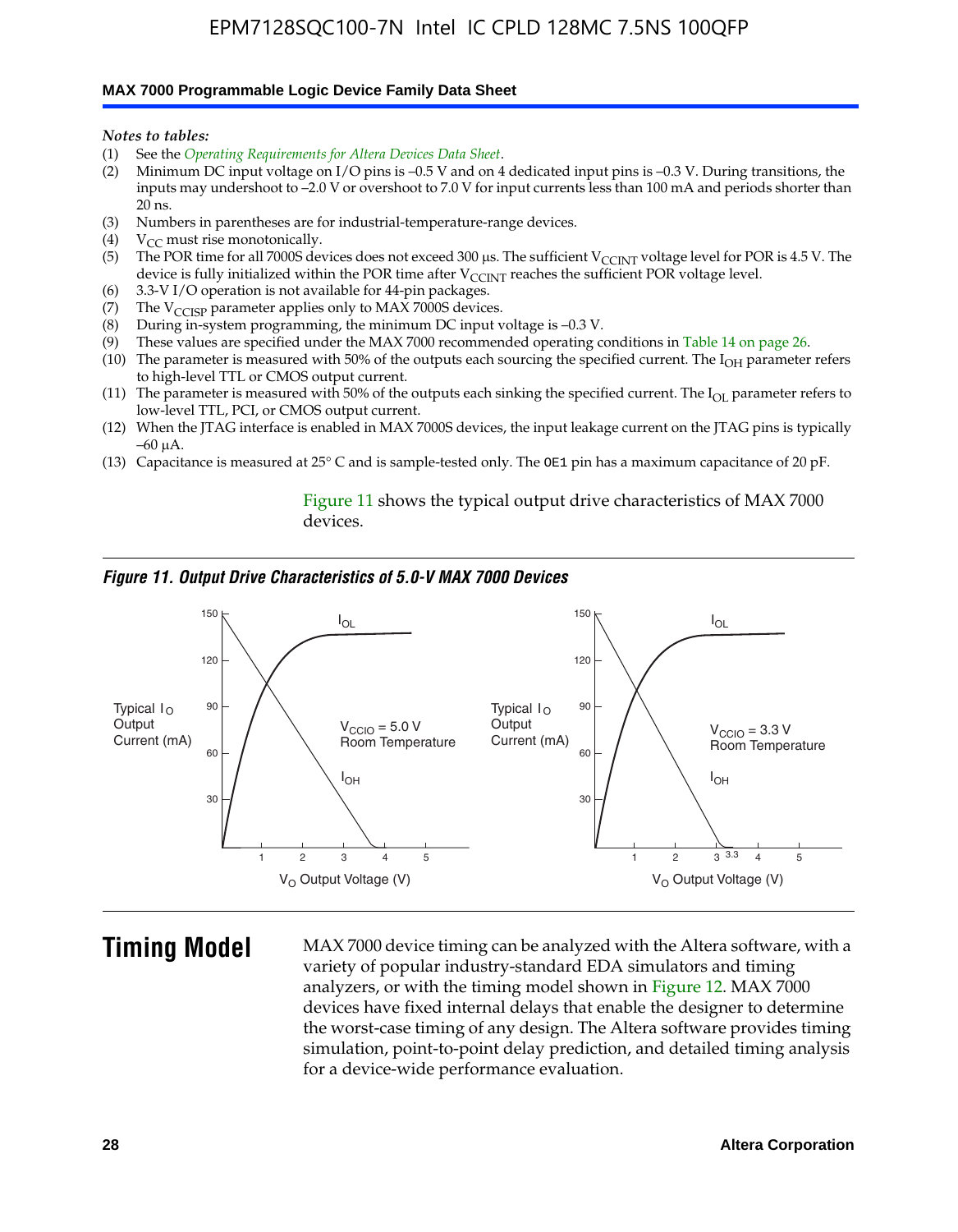#### **MAX 7000 Programmable Logic Device Family Data Sheet**

*Notes to tables:*

- (1) See the *Operating Requirements for Altera Devices Data Sheet*.
- (2) Minimum DC input voltage on I/O pins is –0.5 V and on 4 dedicated input pins is –0.3 V. During transitions, the inputs may undershoot to –2.0 V or overshoot to 7.0 V for input currents less than 100 mA and periods shorter than  $20$  ns.
- (3) Numbers in parentheses are for industrial-temperature-range devices.<br>(4)  ${\rm V}_{CC}$  must rise monotonically.
- $V_{CC}$  must rise monotonically.
- (5) The POR time for all 7000S devices does not exceed 300 µs. The sufficient V<sub>CCINT</sub> voltage level for POR is 4.5 V. The device is fully initialized within the POR time after  $V_{\text{CCINT}}$  reaches the sufficient POR voltage level.
- (6) 3.3-V I/O operation is not available for 44-pin packages.
- (7) The  $V_{\text{CCISP}}$  parameter applies only to MAX 7000S devices.
- (8) During in-system programming, the minimum DC input voltage is –0.3 V.
- (9) These values are specified under the MAX 7000 recommended operating conditions in Table 14 on page 26.
- (10) The parameter is measured with 50% of the outputs each sourcing the specified current. The  $I_{OH}$  parameter refers to high-level TTL or CMOS output current.
- (11) The parameter is measured with 50% of the outputs each sinking the specified current. The  $I_{OL}$  parameter refers to low-level TTL, PCI, or CMOS output current.
- (12) When the JTAG interface is enabled in MAX 7000S devices, the input leakage current on the JTAG pins is typically –60 μA.
- (13) Capacitance is measured at 25° C and is sample-tested only. The OE1 pin has a maximum capacitance of 20 pF.

Figure 11 shows the typical output drive characteristics of MAX 7000 devices.

#### *Figure 11. Output Drive Characteristics of 5.0-V MAX 7000 Devices*



**Timing Model** MAX 7000 device timing can be analyzed with the Altera software, with a variety of popular industry-standard EDA simulators and timing analyzers, or with the timing model shown in Figure 12. MAX 7000 devices have fixed internal delays that enable the designer to determine the worst-case timing of any design. The Altera software provides timing simulation, point-to-point delay prediction, and detailed timing analysis for a device-wide performance evaluation.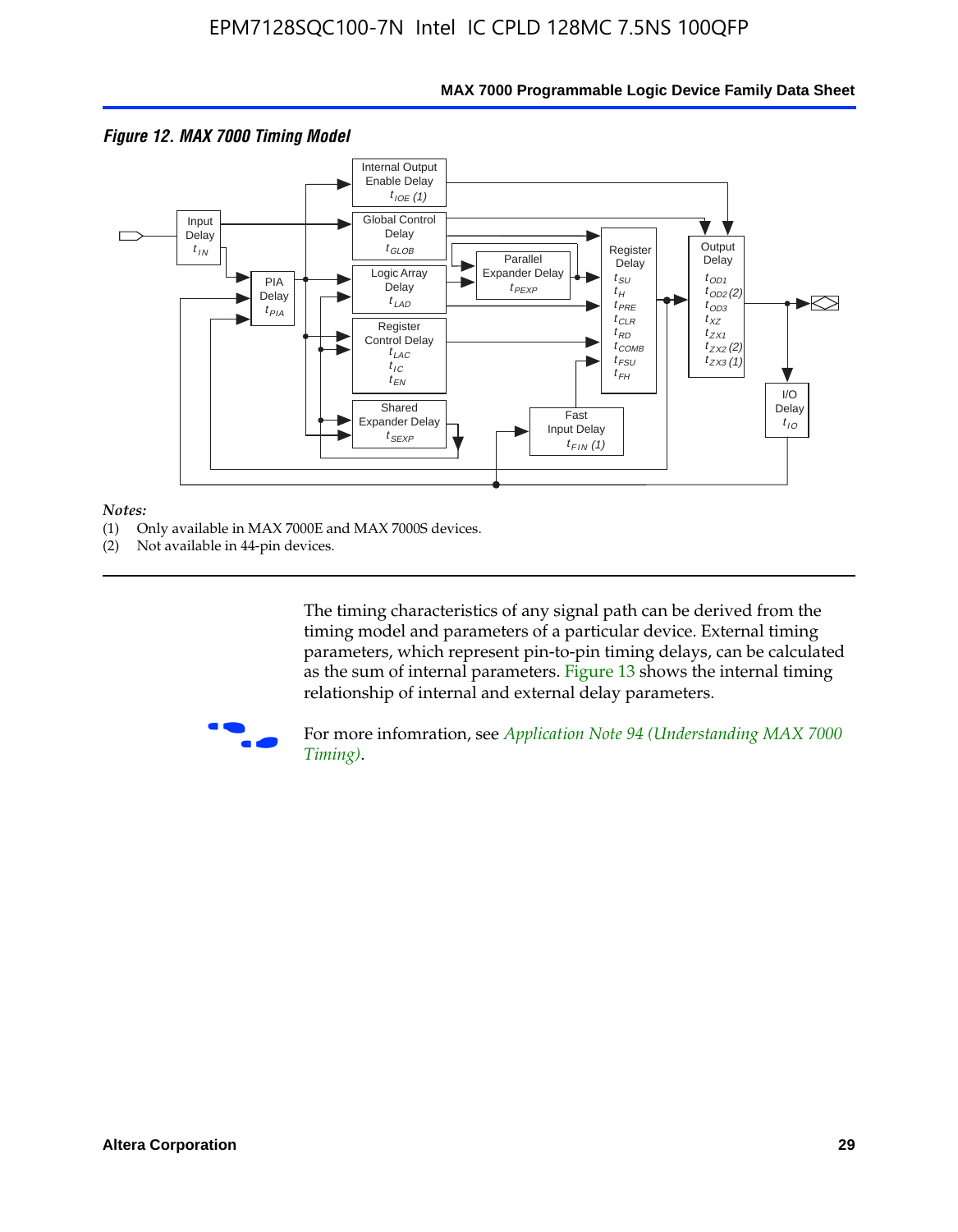

### **MAX 7000 Programmable Logic Device Family Data Sheet**

#### *Notes:*

- (1) Only available in MAX 7000E and MAX 7000S devices.
- (2) Not available in 44-pin devices.

[The tim](http://www.altera.com/literature/an/an094.pdf)ing characteristics [of any signal path can be derived from the](http://www.altera.com/literature/an/an094.pdf)  timing model and parameters of a particular device. External timing parameters, which represent pin-to-pin timing delays, can be calculated as the sum of internal parameters. Figure 13 shows the internal timing relationship of internal and external delay parameters.



For more infomration, see *Application Note 94 (Understanding MAX 7000 Timing)*.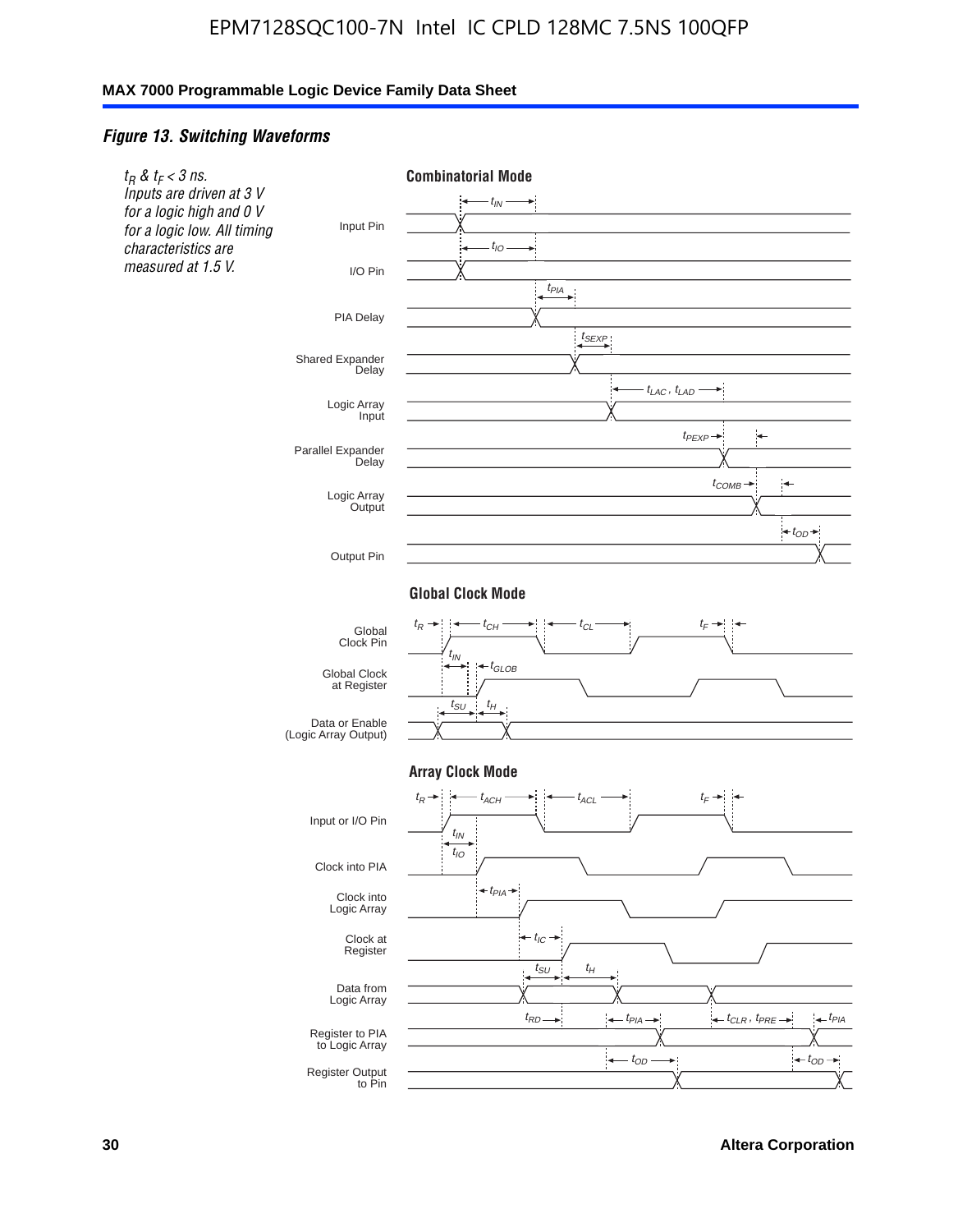### *Figure 13. Switching Waveforms*

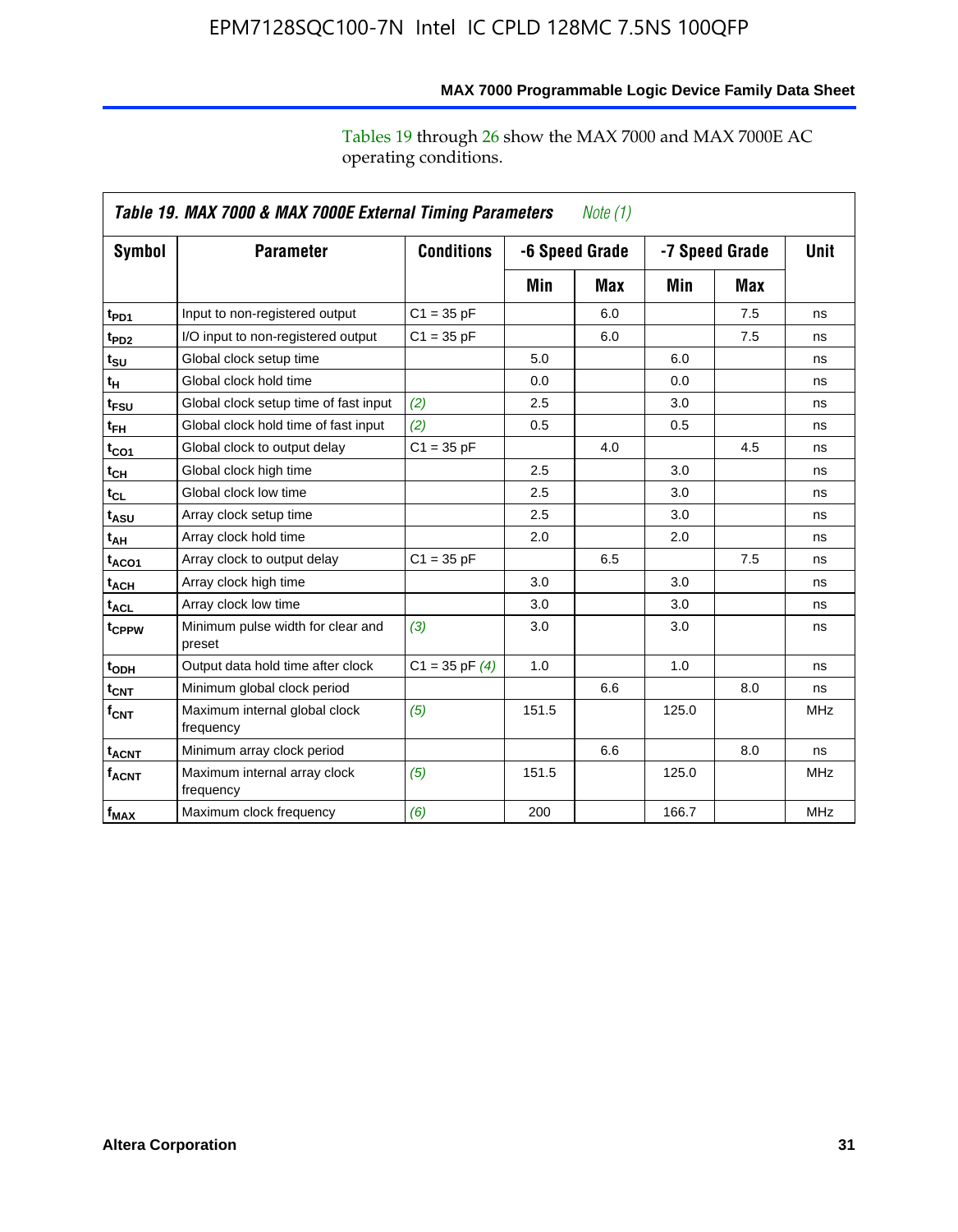operating conditions.

|                         | Table 19. MAX 7000 & MAX 7000E External Timing Parameters<br>Note (1) |                    |                |     |       |                |             |  |
|-------------------------|-----------------------------------------------------------------------|--------------------|----------------|-----|-------|----------------|-------------|--|
| Symbol                  | <b>Parameter</b>                                                      | <b>Conditions</b>  | -6 Speed Grade |     |       | -7 Speed Grade | <b>Unit</b> |  |
|                         |                                                                       |                    | Min            | Max | Min   | Max            |             |  |
| t <sub>PD1</sub>        | Input to non-registered output                                        | $C1 = 35 pF$       |                | 6.0 |       | 7.5            | ns          |  |
| t <sub>PD2</sub>        | I/O input to non-registered output                                    | $C1 = 35 pF$       |                | 6.0 |       | 7.5            | ns          |  |
| t <sub>su</sub>         | Global clock setup time                                               |                    | 5.0            |     | 6.0   |                | ns          |  |
| tμ                      | Global clock hold time                                                |                    | 0.0            |     | 0.0   |                | ns          |  |
| t <sub>FSU</sub>        | Global clock setup time of fast input                                 | (2)                | 2.5            |     | 3.0   |                | ns          |  |
| $t_{FH}$                | Global clock hold time of fast input                                  | (2)                | 0.5            |     | 0.5   |                | ns          |  |
| t <sub>CO1</sub>        | Global clock to output delay                                          | $C1 = 35 pF$       |                | 4.0 |       | 4.5            | ns          |  |
| t <sub>СН</sub>         | Global clock high time                                                |                    | 2.5            |     | 3.0   |                | ns          |  |
| $t_{CL}$                | Global clock low time                                                 |                    | 2.5            |     | 3.0   |                | ns          |  |
| t <sub>ASU</sub>        | Array clock setup time                                                |                    | 2.5            |     | 3.0   |                | ns          |  |
| t <sub>АН</sub>         | Array clock hold time                                                 |                    | 2.0            |     | 2.0   |                | ns          |  |
| t <sub>ACO1</sub>       | Array clock to output delay                                           | $C1 = 35 pF$       |                | 6.5 |       | 7.5            | ns          |  |
| $t_{\sf ACH}$           | Array clock high time                                                 |                    | 3.0            |     | 3.0   |                | ns          |  |
| $t_{\sf ACL}$           | Array clock low time                                                  |                    | 3.0            |     | 3.0   |                | ns          |  |
| t <sub>CPPW</sub>       | Minimum pulse width for clear and<br>preset                           | (3)                | 3.0            |     | 3.0   |                | ns          |  |
| t <sub>ODH</sub>        | Output data hold time after clock                                     | $C1 = 35$ pF $(4)$ | 1.0            |     | 1.0   |                | ns          |  |
| $t_{\mathsf{CNT}}$      | Minimum global clock period                                           |                    |                | 6.6 |       | 8.0            | ns          |  |
| $f_{\mathsf{CNT}}$      | Maximum internal global clock<br>frequency                            | (5)                | 151.5          |     | 125.0 |                | <b>MHz</b>  |  |
| <b>t<sub>ACNT</sub></b> | Minimum array clock period                                            |                    |                | 6.6 |       | 8.0            | ns          |  |
| <b>f<sub>ACNT</sub></b> | Maximum internal array clock<br>frequency                             | (5)                | 151.5          |     | 125.0 |                | <b>MHz</b>  |  |
| $f_{MAX}$               | Maximum clock frequency                                               | (6)                | 200            |     | 166.7 |                | <b>MHz</b>  |  |

**MAX 7000 Programmable Logic Device Family Data Sheet**

Tables 19 through 26 show the MAX 7000 and MAX 7000E AC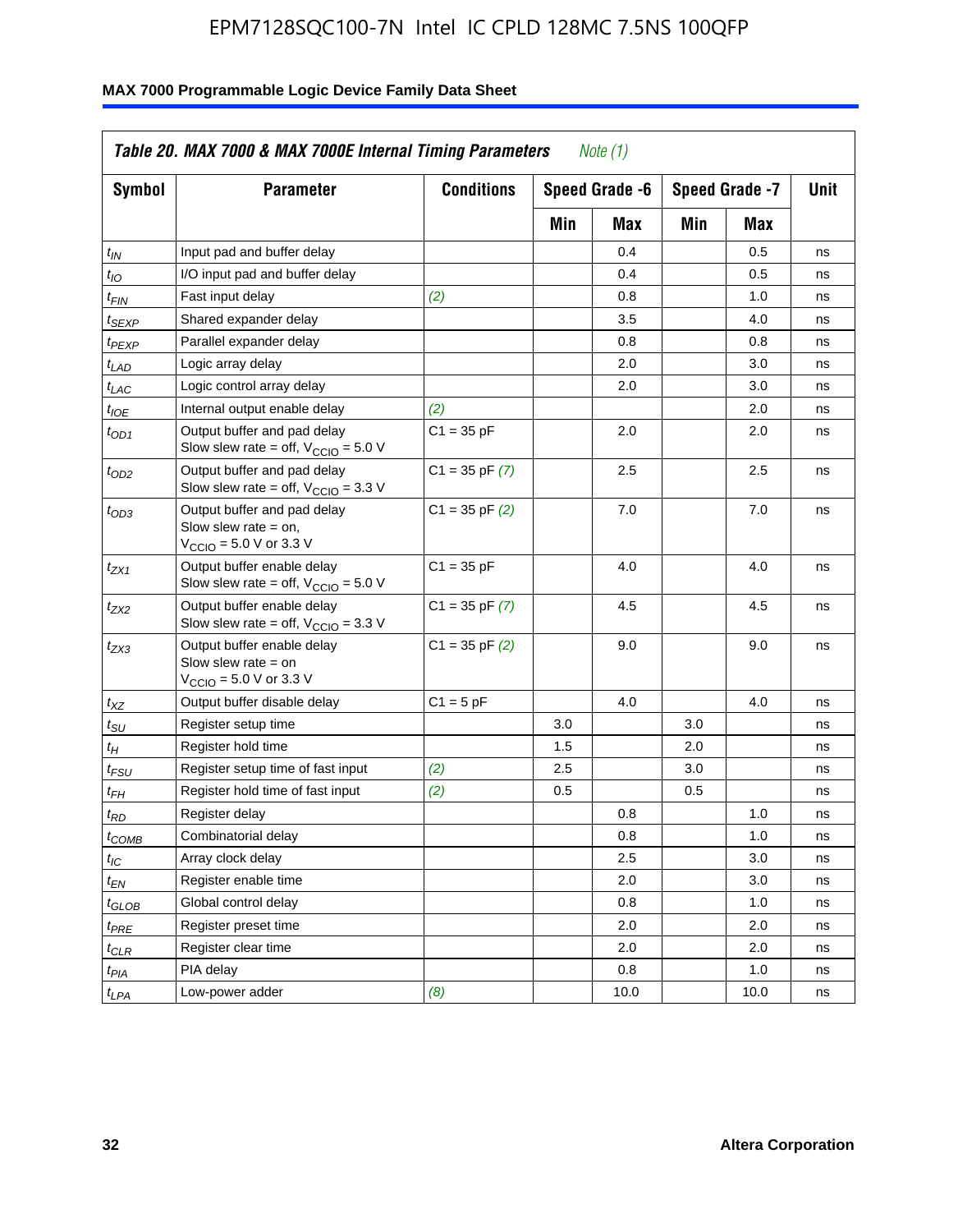| Symbol                      | <b>Parameter</b>                                                                                             | <b>Conditions</b>  | Speed Grade -6 |      |     | Speed Grade -7 |    |
|-----------------------------|--------------------------------------------------------------------------------------------------------------|--------------------|----------------|------|-----|----------------|----|
|                             |                                                                                                              |                    | Min            | Max  | Min | Max            |    |
| $t_{IN}$                    | Input pad and buffer delay                                                                                   |                    |                | 0.4  |     | 0.5            | ns |
| $t_{IO}$                    | I/O input pad and buffer delay                                                                               |                    |                | 0.4  |     | 0.5            | ns |
| $t_{\textit{FIN}}$          | Fast input delay                                                                                             | (2)                |                | 0.8  |     | 1.0            | ns |
| <sup>t</sup> SEXP           | Shared expander delay                                                                                        |                    |                | 3.5  |     | 4.0            | ns |
| t <sub>PEXP</sub>           | Parallel expander delay                                                                                      |                    |                | 0.8  |     | 0.8            | ns |
| t <sub>LAD</sub>            | Logic array delay                                                                                            |                    |                | 2.0  |     | 3.0            | ns |
| $t_{LAC}$                   | Logic control array delay                                                                                    |                    |                | 2.0  |     | 3.0            | ns |
| $t_{IOE}$                   | Internal output enable delay                                                                                 | (2)                |                |      |     | 2.0            | ns |
| $t_{OD1}$                   | Output buffer and pad delay<br>Slow slew rate = off, $V_{\text{CCIO}} = 5.0 V$                               | $C1 = 35$ pF       |                | 2.0  |     | 2.0            | ns |
| $t_{OD2}$                   | Output buffer and pad delay<br>Slow slew rate = off, $V_{\text{CCIO}} = 3.3$ V                               | $C1 = 35$ pF $(7)$ |                | 2.5  |     | 2.5            | ns |
| $t_{OD3}$                   | Output buffer and pad delay<br>Slow slew rate $=$ on,<br>$V_{\text{CCIO}} = 5.0 \text{ V or } 3.3 \text{ V}$ | $C1 = 35$ pF $(2)$ |                | 7.0  |     | 7.0            | ns |
| $t_{ZX1}$                   | Output buffer enable delay<br>Slow slew rate = off, $V_{\text{CCIO}} = 5.0 V$                                | $C1 = 35 pF$       |                | 4.0  |     | 4.0            | ns |
| $t_{ZX2}$                   | Output buffer enable delay<br>Slow slew rate = off, $V_{\text{CCIO}} = 3.3$ V                                | $C1 = 35$ pF $(7)$ |                | 4.5  |     | 4.5            | ns |
| tzx3                        | Output buffer enable delay<br>Slow slew rate $=$ on<br>$V_{\text{CCIO}} = 5.0 \text{ V or } 3.3 \text{ V}$   | $C1 = 35$ pF $(2)$ |                | 9.0  |     | 9.0            | ns |
| $t_{\mathsf{XZ}}$           | Output buffer disable delay                                                                                  | $C1 = 5pF$         |                | 4.0  |     | 4.0            | ns |
| $t_{\scriptstyle\text{SU}}$ | Register setup time                                                                                          |                    | 3.0            |      | 3.0 |                | ns |
| t <sub>Η</sub>              | Register hold time                                                                                           |                    | 1.5            |      | 2.0 |                | ns |
| $t_{\mathsf{FSU}}$          | Register setup time of fast input                                                                            | (2)                | 2.5            |      | 3.0 |                | ns |
| $t_{FH}$                    | Register hold time of fast input                                                                             | (2)                | 0.5            |      | 0.5 |                | ns |
| t <sub>RD</sub>             | Register delay                                                                                               |                    |                | 0.8  |     | 1.0            | ns |
| $t_{COMB}$                  | Combinatorial delay                                                                                          |                    |                | 0.8  |     | 1.0            | ns |
| $t_{\mathcal{IC}}$          | Array clock delay                                                                                            |                    |                | 2.5  |     | 3.0            | ns |
| $t_{EN}$                    | Register enable time                                                                                         |                    |                | 2.0  |     | 3.0            | ns |
| $t_{GLOB}$                  | Global control delay                                                                                         |                    |                | 0.8  |     | 1.0            | ns |
| $t_{PRE}$                   | Register preset time                                                                                         |                    |                | 2.0  |     | 2.0            | ns |
| $t_{\sf CLR}$               | Register clear time                                                                                          |                    |                | 2.0  |     | 2.0            | ns |
| t <sub>PIA</sub>            | PIA delay                                                                                                    |                    |                | 0.8  |     | 1.0            | ns |
| $t_{LPA}$                   | Low-power adder                                                                                              | (8)                |                | 10.0 |     | 10.0           | ns |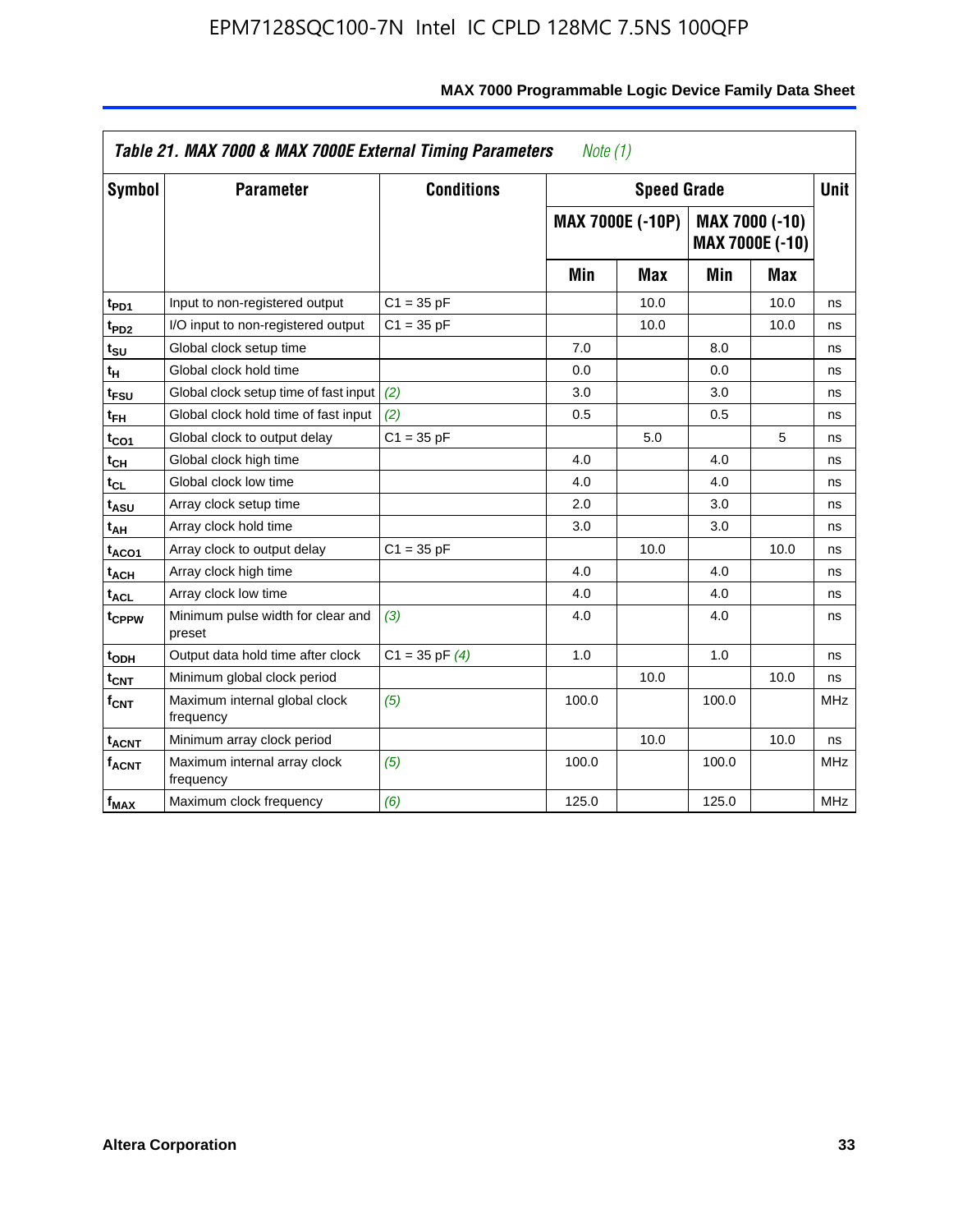| Symbol                       | <b>Parameter</b>                            | <b>Conditions</b>  |       | <b>Speed Grade</b>                                                  |       |      | <b>Unit</b> |
|------------------------------|---------------------------------------------|--------------------|-------|---------------------------------------------------------------------|-------|------|-------------|
|                              |                                             |                    |       | <b>MAX 7000E (-10P)</b><br>MAX 7000 (-10)<br><b>MAX 7000E (-10)</b> |       |      |             |
|                              |                                             |                    | Min   | <b>Max</b>                                                          | Min   | Max  |             |
| t <sub>PD1</sub>             | Input to non-registered output              | $C1 = 35 pF$       |       | 10.0                                                                |       | 10.0 | ns          |
| t <sub>PD2</sub>             | I/O input to non-registered output          | $C1 = 35 pF$       |       | 10.0                                                                |       | 10.0 | ns          |
| t <sub>su</sub>              | Global clock setup time                     |                    | 7.0   |                                                                     | 8.0   |      | ns          |
| tμ                           | Global clock hold time                      |                    | 0.0   |                                                                     | 0.0   |      | ns          |
| t <sub>FSU</sub>             | Global clock setup time of fast input       | (2)                | 3.0   |                                                                     | 3.0   |      | ns          |
| t <sub>FH</sub>              | Global clock hold time of fast input        | (2)                | 0.5   |                                                                     | 0.5   |      | ns          |
| t <sub>CO1</sub>             | Global clock to output delay                | $C1 = 35 pF$       |       | 5.0                                                                 |       | 5    | ns          |
| $\mathfrak{t}_{\textsf{CH}}$ | Global clock high time                      |                    | 4.0   |                                                                     | 4.0   |      | ns          |
| $t_{CL}$                     | Global clock low time                       |                    | 4.0   |                                                                     | 4.0   |      | ns          |
| t <sub>ASU</sub>             | Array clock setup time                      |                    | 2.0   |                                                                     | 3.0   |      | ns          |
| t <sub>АН</sub>              | Array clock hold time                       |                    | 3.0   |                                                                     | 3.0   |      | ns          |
| t <sub>ACO1</sub>            | Array clock to output delay                 | $C1 = 35 pF$       |       | 10.0                                                                |       | 10.0 | ns          |
| t <sub>ACH</sub>             | Array clock high time                       |                    | 4.0   |                                                                     | 4.0   |      | ns          |
| $t_{\sf ACL}$                | Array clock low time                        |                    | 4.0   |                                                                     | 4.0   |      | ns          |
| t <sub>CPPW</sub>            | Minimum pulse width for clear and<br>preset | (3)                | 4.0   |                                                                     | 4.0   |      | ns          |
| t <sub>ODH</sub>             | Output data hold time after clock           | $C1 = 35$ pF $(4)$ | 1.0   |                                                                     | 1.0   |      | ns          |
| $t_{\mathsf{CNT}}$           | Minimum global clock period                 |                    |       | 10.0                                                                |       | 10.0 | ns          |
| $f_{\mathsf{CNT}}$           | Maximum internal global clock<br>frequency  | (5)                | 100.0 |                                                                     | 100.0 |      | <b>MHz</b>  |
| <b>t<sub>ACNT</sub></b>      | Minimum array clock period                  |                    |       | 10.0                                                                |       | 10.0 | ns          |
| f <sub>ACNT</sub>            | Maximum internal array clock<br>frequency   | (5)                | 100.0 |                                                                     | 100.0 |      | <b>MHz</b>  |
| $f_{MAX}$                    | Maximum clock frequency                     | (6)                | 125.0 |                                                                     | 125.0 |      | <b>MHz</b>  |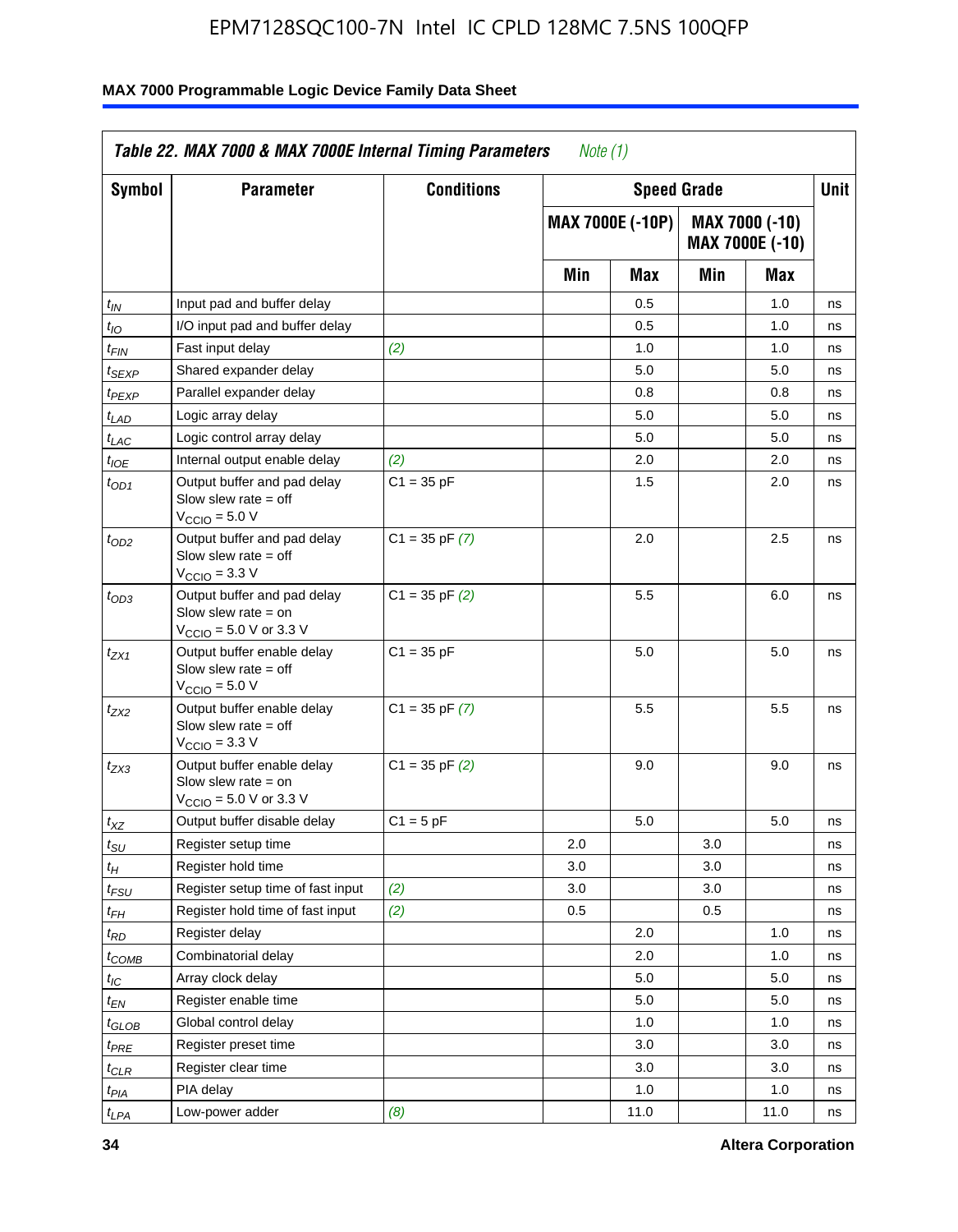| Symbol                      | <b>Parameter</b>                                                                                            | <b>Conditions</b>  |     | <b>Speed Grade</b>      |     |                                   | Unit |
|-----------------------------|-------------------------------------------------------------------------------------------------------------|--------------------|-----|-------------------------|-----|-----------------------------------|------|
|                             |                                                                                                             |                    |     | <b>MAX 7000E (-10P)</b> |     | MAX 7000 (-10)<br>MAX 7000E (-10) |      |
|                             |                                                                                                             |                    | Min | Max                     | Min | Max                               |      |
| $t_{IN}$                    | Input pad and buffer delay                                                                                  |                    |     | 0.5                     |     | 1.0                               | ns   |
| $t_{IO}$                    | I/O input pad and buffer delay                                                                              |                    |     | 0.5                     |     | 1.0                               | ns   |
| t <sub>FIN</sub>            | Fast input delay                                                                                            | (2)                |     | 1.0                     |     | 1.0                               | ns   |
| $t_{SEXP}$                  | Shared expander delay                                                                                       |                    |     | 5.0                     |     | 5.0                               | ns   |
| $t_{PEXP}$                  | Parallel expander delay                                                                                     |                    |     | 0.8                     |     | 0.8                               | ns   |
| t <sub>LAD</sub>            | Logic array delay                                                                                           |                    |     | 5.0                     |     | 5.0                               | ns   |
| $t_{LAC}$                   | Logic control array delay                                                                                   |                    |     | 5.0                     |     | 5.0                               | ns   |
| $t_{IOE}$                   | Internal output enable delay                                                                                | (2)                |     | 2.0                     |     | 2.0                               | ns   |
| $t_{OD1}$                   | Output buffer and pad delay<br>Slow slew rate $=$ off<br>V <sub>CCIO</sub> = 5.0 V                          | $C1 = 35 pF$       |     | 1.5                     |     | 2.0                               | ns   |
| $t_{OD2}$                   | Output buffer and pad delay<br>Slow slew rate $=$ off<br>$V_{\text{CCIO}} = 3.3 \text{ V}$                  | $C1 = 35$ pF $(7)$ |     | 2.0                     |     | 2.5                               | ns   |
| $t_{OD3}$                   | Output buffer and pad delay<br>Slow slew rate $=$ on<br>$V_{\text{CCIO}} = 5.0 \text{ V or } 3.3 \text{ V}$ | $C1 = 35$ pF $(2)$ |     | 5.5                     |     | 6.0                               | ns   |
| t <sub>ZX1</sub>            | Output buffer enable delay<br>Slow slew rate $=$ off<br>$VCCIO = 5.0 V$                                     | $C1 = 35 pF$       |     | 5.0                     |     | 5.0                               | ns   |
| t <sub>ZX2</sub>            | Output buffer enable delay<br>Slow slew rate $=$ off<br>$VCCIO = 3.3 V$                                     | $C1 = 35$ pF $(7)$ |     | 5.5                     |     | 5.5                               | ns   |
| t <sub>ZX3</sub>            | Output buffer enable delay<br>Slow slew rate $=$ on<br>$V_{\text{CCIO}} = 5.0 \text{ V or } 3.3 \text{ V}$  | $C1 = 35$ pF $(2)$ |     | 9.0                     |     | 9.0                               | ns   |
| $t_{XZ}$                    | Output buffer disable delay                                                                                 | $C1 = 5 pF$        |     | 5.0                     |     | 5.0                               | ns   |
| $t_{\scriptstyle\text{SU}}$ | Register setup time                                                                                         |                    | 2.0 |                         | 3.0 |                                   | ns   |
| $t_H$                       | Register hold time                                                                                          |                    | 3.0 |                         | 3.0 |                                   | ns   |
| $t_{\it FSU}$               | Register setup time of fast input                                                                           | (2)                | 3.0 |                         | 3.0 |                                   | ns   |
| $t_{FH}$                    | Register hold time of fast input                                                                            | (2)                | 0.5 |                         | 0.5 |                                   | ns   |
| t <sub>RD</sub>             | Register delay                                                                                              |                    |     | 2.0                     |     | 1.0                               | ns   |
| $t_{COMB}$                  | Combinatorial delay                                                                                         |                    |     | 2.0                     |     | 1.0                               | ns   |
| ЧC                          | Array clock delay                                                                                           |                    |     | 5.0                     |     | 5.0                               | ns   |
| $t_{EN}$                    | Register enable time                                                                                        |                    |     | 5.0                     |     | 5.0                               | ns   |
| $t_{GLOB}$                  | Global control delay                                                                                        |                    |     | 1.0                     |     | 1.0                               | ns   |
| $t_{PRE}$                   | Register preset time                                                                                        |                    |     | 3.0                     |     | 3.0                               | ns   |
| $t_{CLR}$                   | Register clear time                                                                                         |                    |     | 3.0                     |     | 3.0                               | ns   |
| t <sub>PIA</sub>            | PIA delay                                                                                                   |                    |     | 1.0                     |     | 1.0                               | ns   |
| $t_{LPA}$                   | Low-power adder                                                                                             | (8)                |     | 11.0                    |     | 11.0                              | ns   |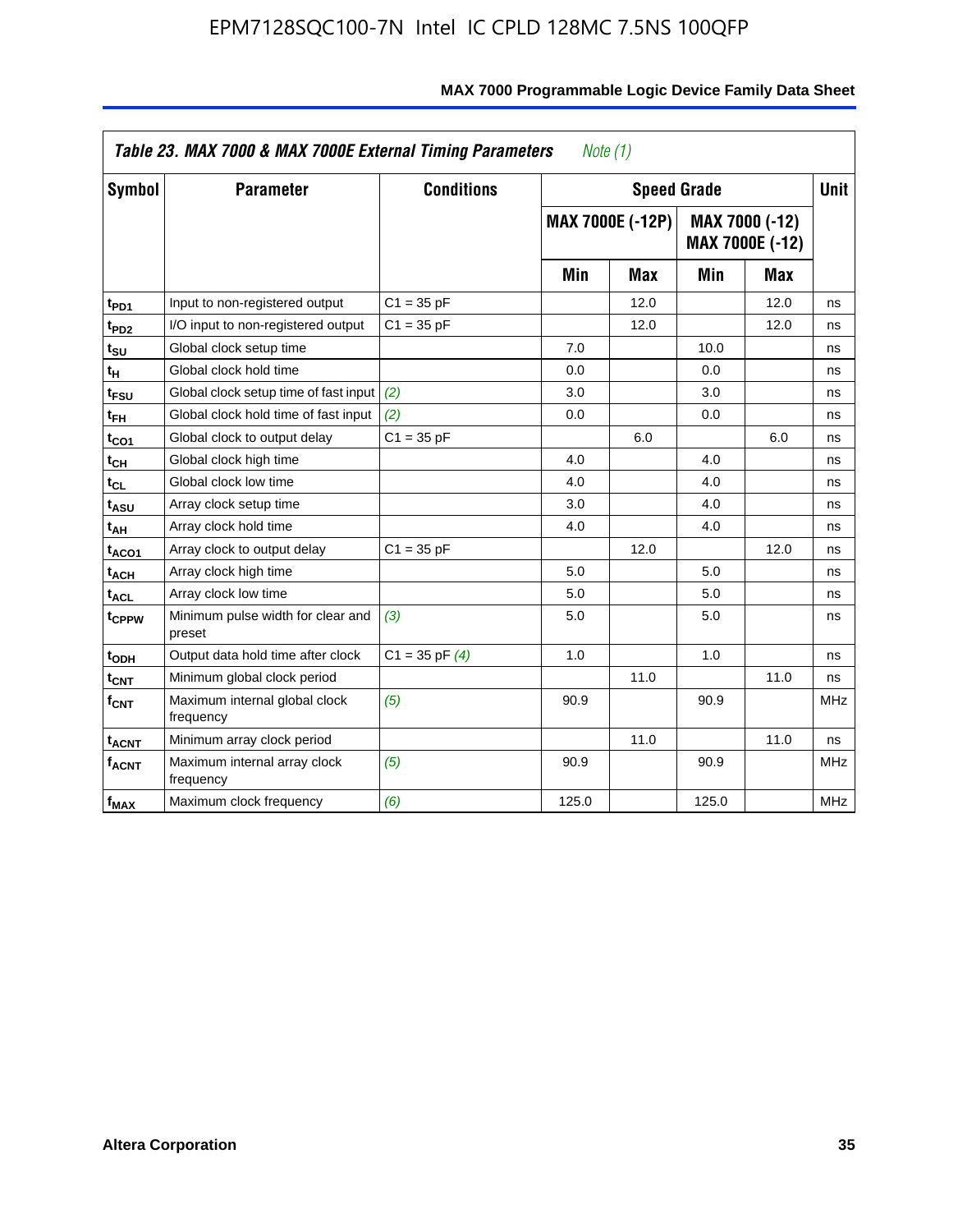|                             | Table 23. MAX 7000 & MAX 7000E External Timing Parameters |                    | Note $(1)$ |                         |       |                                          |             |
|-----------------------------|-----------------------------------------------------------|--------------------|------------|-------------------------|-------|------------------------------------------|-------------|
| Symbol                      | <b>Parameter</b>                                          | <b>Conditions</b>  |            | <b>Speed Grade</b>      |       |                                          | <b>Unit</b> |
|                             |                                                           |                    |            | <b>MAX 7000E (-12P)</b> |       | MAX 7000 (-12)<br><b>MAX 7000E (-12)</b> |             |
|                             |                                                           |                    | Min        | <b>Max</b>              | Min   | <b>Max</b>                               |             |
| t <sub>PD1</sub>            | Input to non-registered output                            | $C1 = 35 pF$       |            | 12.0                    |       | 12.0                                     | ns          |
| t <sub>PD2</sub>            | I/O input to non-registered output                        | $C1 = 35 pF$       |            | 12.0                    |       | 12.0                                     | ns          |
| t <sub>SU</sub>             | Global clock setup time                                   |                    | 7.0        |                         | 10.0  |                                          | ns          |
| tн                          | Global clock hold time                                    |                    | 0.0        |                         | 0.0   |                                          | ns          |
| t <sub>FSU</sub>            | Global clock setup time of fast input                     | (2)                | 3.0        |                         | 3.0   |                                          | ns          |
| t <sub>FH</sub>             | Global clock hold time of fast input                      | (2)                | 0.0        |                         | 0.0   |                                          | ns          |
| t <sub>CO1</sub>            | Global clock to output delay                              | $C1 = 35 pF$       |            | 6.0                     |       | 6.0                                      | ns          |
| $t_{\mathsf{CH}}$           | Global clock high time                                    |                    | 4.0        |                         | 4.0   |                                          | ns          |
| $t_{CL}$                    | Global clock low time                                     |                    | 4.0        |                         | 4.0   |                                          | ns          |
| t <sub>ASU</sub>            | Array clock setup time                                    |                    | 3.0        |                         | 4.0   |                                          | ns          |
| t <sub>АН</sub>             | Array clock hold time                                     |                    | 4.0        |                         | 4.0   |                                          | ns          |
| t <sub>ACO1</sub>           | Array clock to output delay                               | $C1 = 35 pF$       |            | 12.0                    |       | 12.0                                     | ns          |
| t <sub>ACH</sub>            | Array clock high time                                     |                    | 5.0        |                         | 5.0   |                                          | ns          |
| $t_{\sf ACL}$               | Array clock low time                                      |                    | 5.0        |                         | 5.0   |                                          | ns          |
| t <sub>CPPW</sub>           | Minimum pulse width for clear and<br>preset               | (3)                | 5.0        |                         | 5.0   |                                          | ns          |
| t <sub>ODH</sub>            | Output data hold time after clock                         | $C1 = 35$ pF $(4)$ | 1.0        |                         | 1.0   |                                          | ns          |
| $t_{\mathsf{CNT}}$          | Minimum global clock period                               |                    |            | 11.0                    |       | 11.0                                     | ns          |
| $\mathsf{f}_{\mathsf{CNT}}$ | Maximum internal global clock<br>frequency                | (5)                | 90.9       |                         | 90.9  |                                          | <b>MHz</b>  |
| <b>t<sub>ACNT</sub></b>     | Minimum array clock period                                |                    |            | 11.0                    |       | 11.0                                     | ns          |
| f <sub>ACNT</sub>           | Maximum internal array clock<br>frequency                 | (5)                | 90.9       |                         | 90.9  |                                          | <b>MHz</b>  |
| $f_{MAX}$                   | Maximum clock frequency                                   | (6)                | 125.0      |                         | 125.0 |                                          | <b>MHz</b>  |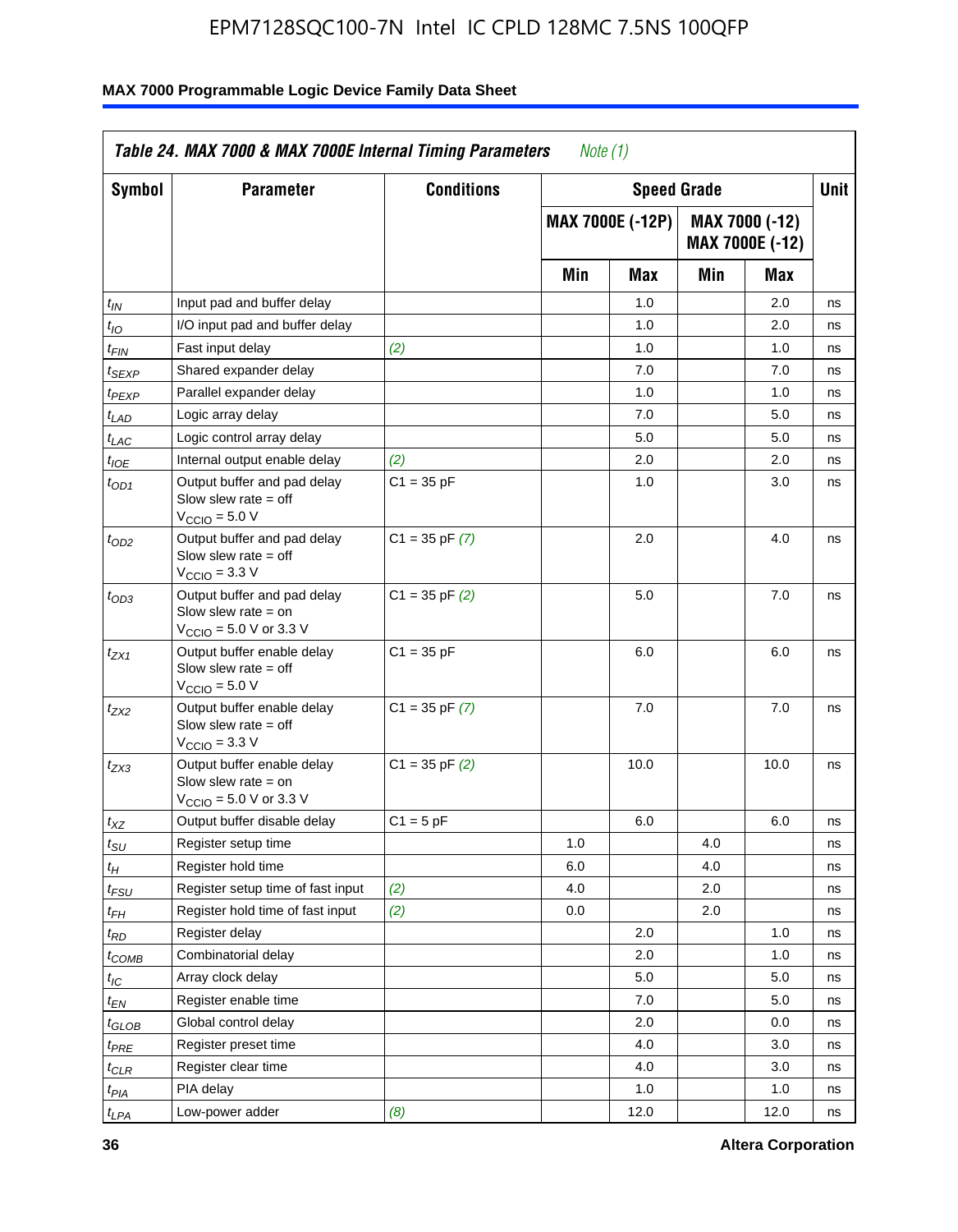| Symbol                      | <b>Parameter</b>                                                                                            | <b>Conditions</b>  |     | <b>Speed Grade</b>      |     |                                   | <b>Unit</b> |
|-----------------------------|-------------------------------------------------------------------------------------------------------------|--------------------|-----|-------------------------|-----|-----------------------------------|-------------|
|                             |                                                                                                             |                    |     | <b>MAX 7000E (-12P)</b> |     | MAX 7000 (-12)<br>MAX 7000E (-12) |             |
|                             |                                                                                                             |                    | Min | <b>Max</b>              | Min | Max                               |             |
| $t_{IN}$                    | Input pad and buffer delay                                                                                  |                    |     | 1.0                     |     | 2.0                               | ns          |
| $t_{IO}$                    | I/O input pad and buffer delay                                                                              |                    |     | 1.0                     |     | 2.0                               | ns          |
| $t_{FIN}$                   | Fast input delay                                                                                            | (2)                |     | 1.0                     |     | 1.0                               | ns          |
| t <sub>SEXP</sub>           | Shared expander delay                                                                                       |                    |     | 7.0                     |     | 7.0                               | ns          |
| t <sub>PEXP</sub>           | Parallel expander delay                                                                                     |                    |     | 1.0                     |     | 1.0                               | ns          |
| t <sub>LAD</sub>            | Logic array delay                                                                                           |                    |     | 7.0                     |     | 5.0                               | ns          |
| $t_{LAC}$                   | Logic control array delay                                                                                   |                    |     | 5.0                     |     | 5.0                               | ns          |
| $t_{IOE}$                   | Internal output enable delay                                                                                | (2)                |     | 2.0                     |     | 2.0                               | ns          |
| $t_{OD1}$                   | Output buffer and pad delay<br>Slow slew rate $=$ off<br>$V_{\text{CCIO}} = 5.0 V$                          | $C1 = 35 pF$       |     | 1.0                     |     | 3.0                               | ns          |
| $t_{OD2}$                   | Output buffer and pad delay<br>Slow slew rate $=$ off<br>$VCCIO = 3.3 V$                                    | $C1 = 35$ pF $(7)$ |     | 2.0                     |     | 4.0                               | ns          |
| $t_{OD3}$                   | Output buffer and pad delay<br>Slow slew rate $=$ on<br>$V_{\text{CCIO}} = 5.0 \text{ V or } 3.3 \text{ V}$ | $C1 = 35$ pF $(2)$ |     | 5.0                     |     | 7.0                               | ns          |
| $t_{ZX1}$                   | Output buffer enable delay<br>Slow slew rate $=$ off<br>$V_{\text{CCIO}} = 5.0 V$                           | $C1 = 35 pF$       |     | 6.0                     |     | 6.0                               | ns          |
| $t_{ZX2}$                   | Output buffer enable delay<br>Slow slew rate $=$ off<br>$V_{\rm CClO}$ = 3.3 V                              | $C1 = 35$ pF $(7)$ |     | 7.0                     |     | 7.0                               | ns          |
| $t_{ZX3}$                   | Output buffer enable delay<br>Slow slew rate $=$ on<br>$V_{\text{CCIO}} = 5.0 \text{ V or } 3.3 \text{ V}$  | $C1 = 35$ pF $(2)$ |     | 10.0                    |     | 10.0                              | ns          |
| $t_{\mathsf{XZ}}$           | Output buffer disable delay                                                                                 | $C1 = 5$ pF        |     | 6.0                     |     | 6.0                               | ns          |
| $t_{\scriptstyle\text{SU}}$ | Register setup time                                                                                         |                    | 1.0 |                         | 4.0 |                                   | ns          |
| $t_H$                       | Register hold time                                                                                          |                    | 6.0 |                         | 4.0 |                                   | ns          |
| $t_{\mathit{FSU}}$          | Register setup time of fast input                                                                           | (2)                | 4.0 |                         | 2.0 |                                   | ns          |
| t <sub>FH</sub>             | Register hold time of fast input                                                                            | (2)                | 0.0 |                         | 2.0 |                                   | ns          |
| $t_{RD}$                    | Register delay                                                                                              |                    |     | 2.0                     |     | 1.0                               | ns          |
| $t_{\sf COMB}$              | Combinatorial delay                                                                                         |                    |     | 2.0                     |     | 1.0                               | ns          |
| ЧC                          | Array clock delay                                                                                           |                    |     | $5.0\,$                 |     | 5.0                               | ns          |
| $t_{EN}$                    | Register enable time                                                                                        |                    |     | 7.0                     |     | 5.0                               | ns          |
| $t_{GLOB}$                  | Global control delay                                                                                        |                    |     | 2.0                     |     | 0.0                               | ns          |
| t <sub>PRE</sub>            | Register preset time                                                                                        |                    |     | 4.0                     |     | 3.0                               | ns          |
| $t_{\sf CLR}$               | Register clear time                                                                                         |                    |     | 4.0                     |     | 3.0                               | ns          |
| t <sub>PIA</sub>            | PIA delay                                                                                                   |                    |     | 1.0                     |     | 1.0                               | ns          |
| t <sub>LPA</sub>            | Low-power adder                                                                                             | (8)                |     | 12.0                    |     | 12.0                              | ns          |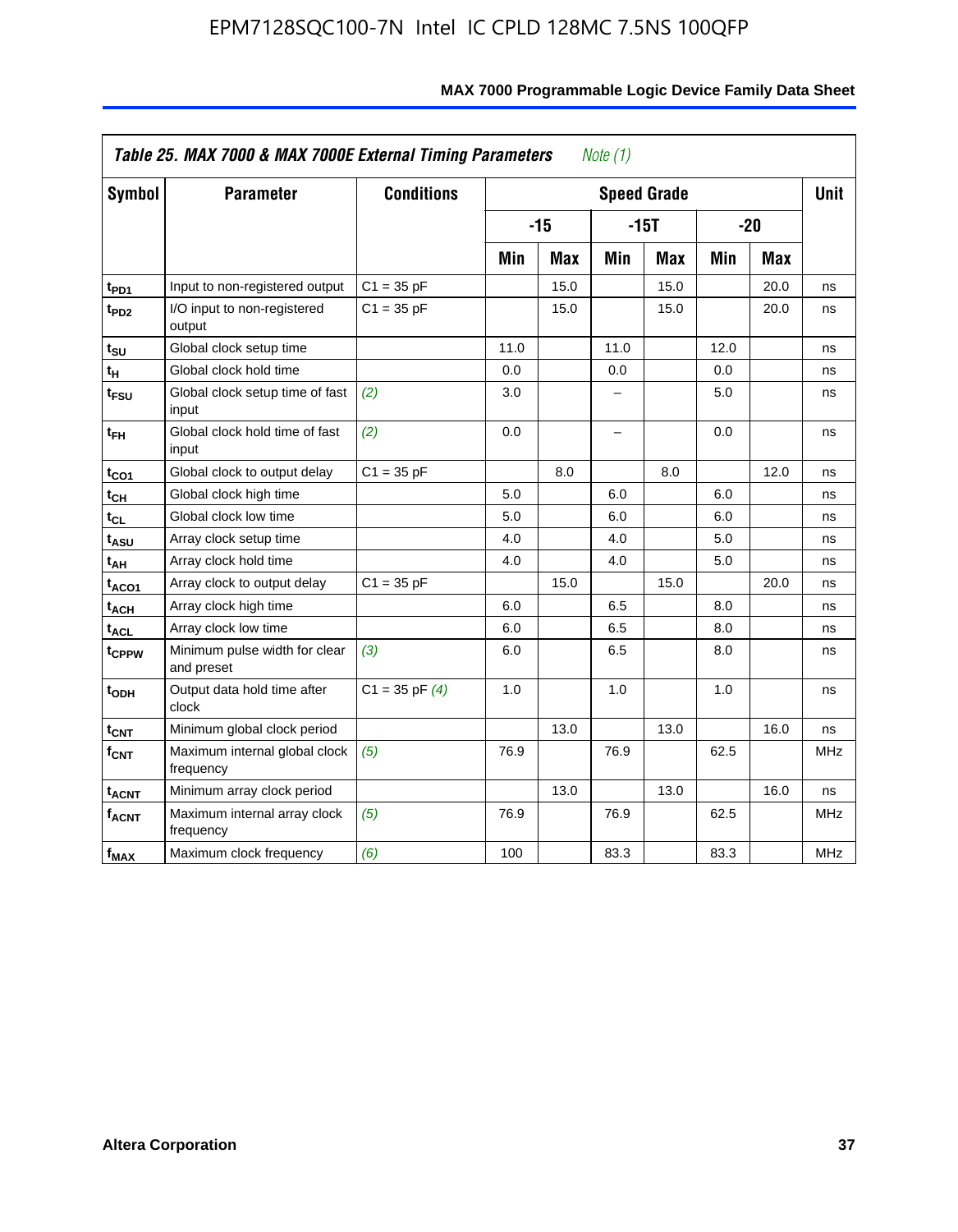| <b>Symbol</b>           | <b>Parameter</b>                            | <b>Conditions</b>  |      |            |                          | <b>Speed Grade</b> |      |            | <b>Unit</b> |
|-------------------------|---------------------------------------------|--------------------|------|------------|--------------------------|--------------------|------|------------|-------------|
|                         |                                             |                    |      | $-15$      |                          | $-15T$             |      | $-20$      |             |
|                         |                                             |                    | Min  | <b>Max</b> | Min                      | <b>Max</b>         | Min  | <b>Max</b> |             |
| t <sub>PD1</sub>        | Input to non-registered output              | $C1 = 35 pF$       |      | 15.0       |                          | 15.0               |      | 20.0       | ns          |
| t <sub>PD2</sub>        | I/O input to non-registered<br>output       | $C1 = 35 pF$       |      | 15.0       |                          | 15.0               |      | 20.0       | ns          |
| tsu                     | Global clock setup time                     |                    | 11.0 |            | 11.0                     |                    | 12.0 |            | ns          |
| $t_H$                   | Global clock hold time                      |                    | 0.0  |            | 0.0                      |                    | 0.0  |            | ns          |
| t <sub>FSU</sub>        | Global clock setup time of fast<br>input    | (2)                | 3.0  |            | -                        |                    | 5.0  |            | ns          |
| $t_{FH}$                | Global clock hold time of fast<br>input     | (2)                | 0.0  |            | $\overline{\phantom{0}}$ |                    | 0.0  |            | ns          |
| $t_{CO1}$               | Global clock to output delay                | $C1 = 35 pF$       |      | 8.0        |                          | 8.0                |      | 12.0       | ns          |
| $t_{\mathsf{CH}}$       | Global clock high time                      |                    | 5.0  |            | 6.0                      |                    | 6.0  |            | ns          |
| t <sub>CL</sub>         | Global clock low time                       |                    | 5.0  |            | 6.0                      |                    | 6.0  |            | ns          |
| t <sub>ASU</sub>        | Array clock setup time                      |                    | 4.0  |            | 4.0                      |                    | 5.0  |            | ns          |
| t <sub>АН</sub>         | Array clock hold time                       |                    | 4.0  |            | 4.0                      |                    | 5.0  |            | ns          |
| t <sub>ACO1</sub>       | Array clock to output delay                 | $C1 = 35 pF$       |      | 15.0       |                          | 15.0               |      | 20.0       | ns          |
| $t_{\sf ACH}$           | Array clock high time                       |                    | 6.0  |            | 6.5                      |                    | 8.0  |            | ns          |
| t <sub>ACL</sub>        | Array clock low time                        |                    | 6.0  |            | 6.5                      |                    | 8.0  |            | ns          |
| t <sub>CPPW</sub>       | Minimum pulse width for clear<br>and preset | (3)                | 6.0  |            | 6.5                      |                    | 8.0  |            | ns          |
| $t_{ODH}$               | Output data hold time after<br>clock        | $C1 = 35$ pF $(4)$ | 1.0  |            | 1.0                      |                    | 1.0  |            | ns          |
| $t_{\mathsf{CNT}}$      | Minimum global clock period                 |                    |      | 13.0       |                          | 13.0               |      | 16.0       | ns          |
| f <sub>CNT</sub>        | Maximum internal global clock<br>frequency  | (5)                | 76.9 |            | 76.9                     |                    | 62.5 |            | <b>MHz</b>  |
| <b>t<sub>ACNT</sub></b> | Minimum array clock period                  |                    |      | 13.0       |                          | 13.0               |      | 16.0       | ns          |
| <b>fACNT</b>            | Maximum internal array clock<br>frequency   | (5)                | 76.9 |            | 76.9                     |                    | 62.5 |            | <b>MHz</b>  |
| $f_{MAX}$               | Maximum clock frequency                     | (6)                | 100  |            | 83.3                     |                    | 83.3 |            | MHz         |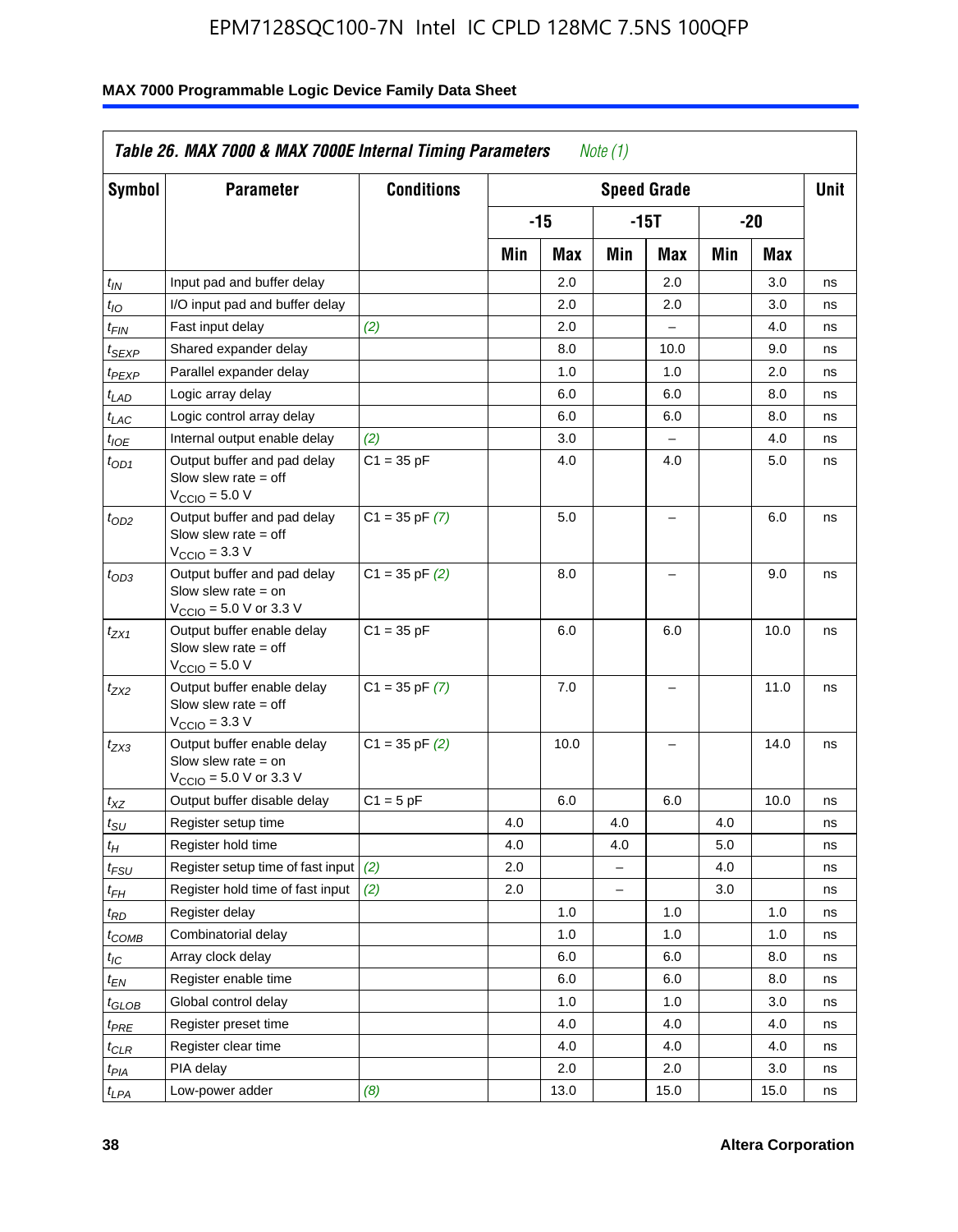| Symbol                        | <b>Parameter</b>                                                                                            | <b>Conditions</b>  |     |       |                | <b>Speed Grade</b>       |     |      | <b>Unit</b> |
|-------------------------------|-------------------------------------------------------------------------------------------------------------|--------------------|-----|-------|----------------|--------------------------|-----|------|-------------|
|                               |                                                                                                             |                    |     | $-15$ |                | $-15T$                   |     | -20  |             |
|                               |                                                                                                             |                    | Min | Max   | Min            | Max                      | Min | Max  |             |
| $t_{IN}$                      | Input pad and buffer delay                                                                                  |                    |     | 2.0   |                | 2.0                      |     | 3.0  | ns          |
| $t_{IO}$                      | I/O input pad and buffer delay                                                                              |                    |     | 2.0   |                | 2.0                      |     | 3.0  | ns          |
| $t_{\textsf{FIN}}$            | Fast input delay                                                                                            | (2)                |     | 2.0   |                | $\overline{a}$           |     | 4.0  | ns          |
| $t_{SEXP}$                    | Shared expander delay                                                                                       |                    |     | 8.0   |                | 10.0                     |     | 9.0  | ns          |
| $t_{PEXP}$                    | Parallel expander delay                                                                                     |                    |     | 1.0   |                | 1.0                      |     | 2.0  | ns          |
| $t_{LAD}$                     | Logic array delay                                                                                           |                    |     | 6.0   |                | 6.0                      |     | 8.0  | ns          |
| $t_{LAC}$                     | Logic control array delay                                                                                   |                    |     | 6.0   |                | 6.0                      |     | 8.0  | ns          |
| $t_{IOE}$                     | Internal output enable delay                                                                                | (2)                |     | 3.0   |                | $\overline{\phantom{0}}$ |     | 4.0  | ns          |
| $t_{OD1}$                     | Output buffer and pad delay<br>Slow slew rate $=$ off<br>$VCCIO = 5.0 V$                                    | $C1 = 35 pF$       |     | 4.0   |                | 4.0                      |     | 5.0  | ns          |
| $t_{OD2}$                     | Output buffer and pad delay<br>Slow slew rate $=$ off<br>$VCClO = 3.3 V$                                    | $C1 = 35$ pF $(7)$ |     | 5.0   |                | L,                       |     | 6.0  | ns          |
| $t_{OD3}$                     | Output buffer and pad delay<br>Slow slew rate $=$ on<br>$V_{\text{CCIO}} = 5.0 \text{ V or } 3.3 \text{ V}$ | $C1 = 35$ pF $(2)$ |     | 8.0   |                | $\equiv$                 |     | 9.0  | ns          |
| $t_{ZX1}$                     | Output buffer enable delay<br>Slow slew rate $=$ off<br>$VCCIO = 5.0 V$                                     | $C1 = 35 pF$       |     | 6.0   |                | 6.0                      |     | 10.0 | ns          |
| $t_{ZX2}$                     | Output buffer enable delay<br>Slow slew rate $=$ off<br>$V_{\text{CCIO}} = 3.3 \text{ V}$                   | $C1 = 35$ pF $(7)$ |     | 7.0   |                | L.                       |     | 11.0 | ns          |
| t <sub>ZX3</sub>              | Output buffer enable delay<br>Slow slew rate $=$ on<br>$V_{\text{CCIO}} = 5.0 \text{ V or } 3.3 \text{ V}$  | $C1 = 35$ pF $(2)$ |     | 10.0  |                | $\overline{\phantom{0}}$ |     | 14.0 | ns          |
| $t_{\mathsf{XZ}}$             | Output buffer disable delay                                                                                 | $C1 = 5pF$         |     | 6.0   |                | 6.0                      |     | 10.0 | ns          |
| $t_{\text{SU}}$               | Register setup time                                                                                         |                    | 4.0 |       | 4.0            |                          | 4.0 |      | ns          |
| $t_H$                         | Register hold time                                                                                          |                    | 4.0 |       | 4.0            |                          | 5.0 |      | ns          |
| $t_{\mathit{FSU}}$            | Register setup time of fast input                                                                           | (2)                | 2.0 |       | $=$            |                          | 4.0 |      | ns          |
| $t_{FH}$                      | Register hold time of fast input                                                                            | (2)                | 2.0 |       | $\overline{a}$ |                          | 3.0 |      | ns          |
| $t_{RD}$                      | Register delay                                                                                              |                    |     | 1.0   |                | 1.0                      |     | 1.0  | ns          |
| $t_{COMB}$                    | Combinatorial delay                                                                                         |                    |     | 1.0   |                | 1.0                      |     | 1.0  | ns          |
| $t_{\text{IC}}$               | Array clock delay                                                                                           |                    |     | 6.0   |                | 6.0                      |     | 8.0  | ns          |
| $t_{EN}$                      | Register enable time                                                                                        |                    |     | 6.0   |                | 6.0                      |     | 8.0  | ns          |
| $t_{\scriptstyle\text{GLOB}}$ | Global control delay                                                                                        |                    |     | 1.0   |                | 1.0                      |     | 3.0  | ns          |
| t <sub>PRE</sub>              | Register preset time                                                                                        |                    |     | 4.0   |                | 4.0                      |     | 4.0  | ns          |
| $t_{\sf CLR}$                 | Register clear time                                                                                         |                    |     | 4.0   |                | 4.0                      |     | 4.0  | ns          |
| $t_{PIA}$                     | PIA delay                                                                                                   |                    |     | 2.0   |                | 2.0                      |     | 3.0  | ns          |
| $t_{LPA}$                     | Low-power adder                                                                                             | (8)                |     | 13.0  |                | 15.0                     |     | 15.0 | ns          |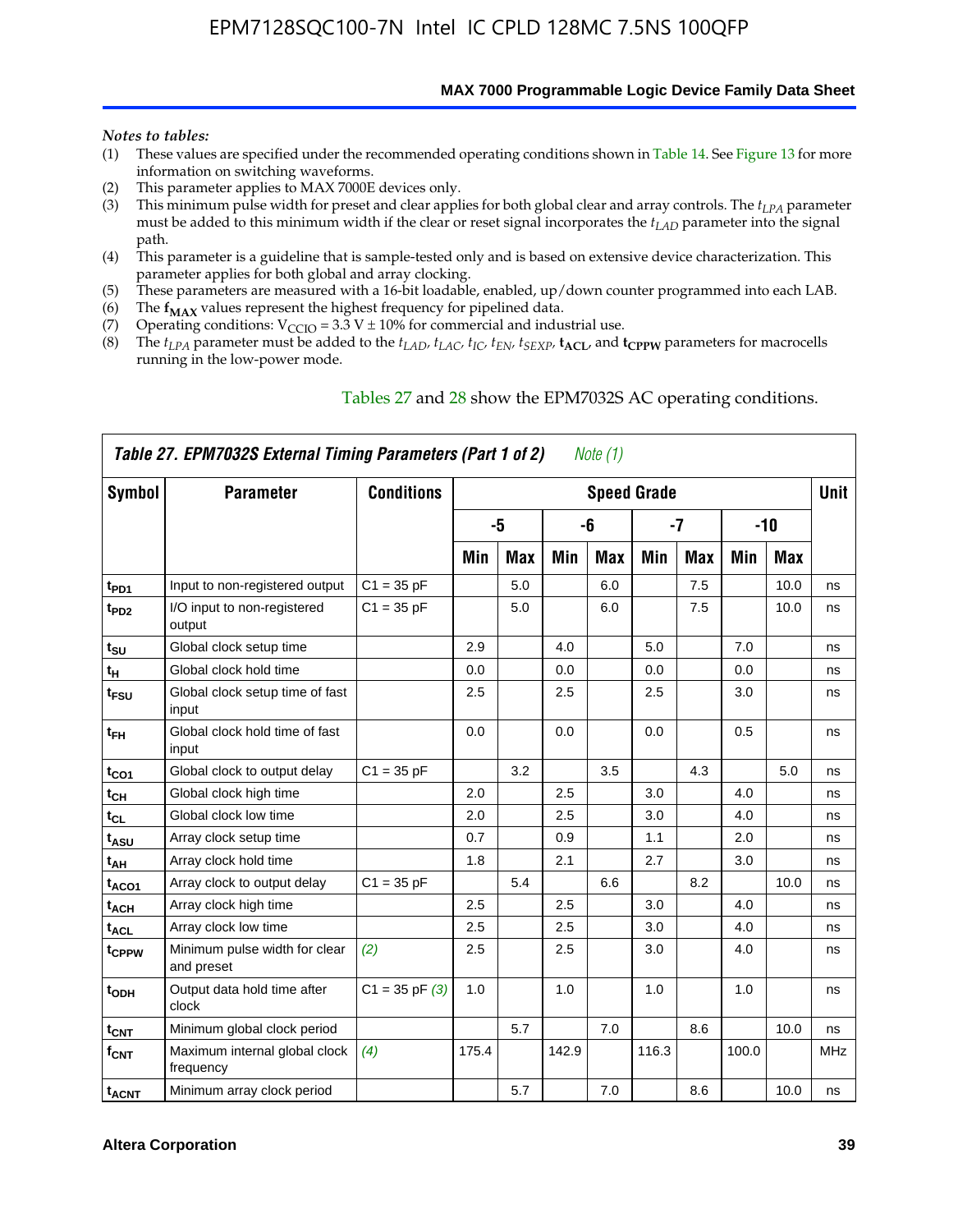**MAX 7000 Programmable Logic Device Family Data Sheet**

#### *Notes to tables:*

- (1) These values are specified under the recommended operating conditions shown in Table 14. See Figure 13 for more information on switching waveforms.
- (2) This parameter applies to MAX 7000E devices only.
- (3) This minimum pulse width for preset and clear applies for both global clear and array controls. The *tLPA* parameter must be added to this minimum width if the clear or reset signal incorporates the  $t_{LAD}$  parameter into the signal path.
- (4) This parameter is a guideline that is sample-tested only and is based on extensive device characterization. This parameter applies for both global and array clocking.
- (5) These parameters are measured with a 16-bit loadable, enabled, up/down counter programmed into each LAB.
- (6) The  $f_{MAX}$  values represent the highest frequency for pipelined data.
- (7) Operating conditions:  $V_{\text{CCIO}} = 3.3 \text{ V} \pm 10\%$  for commercial and industrial use.
- (8) The  $t_{LPA}$  parameter must be added to the  $t_{LAD}$ ,  $t_{LAC}$ ,  $t_{IC}$ ,  $t_{EN}$ ,  $t_{SEXP}$ ,  $t_{ACL}$ , and  $t_{CPPW}$  parameters for macrocells running in the low-power mode.

| Symbol                  | Table 27. EPM7032S External Timing Parameters (Part 1 of 2)<br><b>Parameter</b> | <b>Conditions</b> |       |            |       | Note (1) | <b>Speed Grade</b> |     |       |       | <b>Unit</b> |
|-------------------------|---------------------------------------------------------------------------------|-------------------|-------|------------|-------|----------|--------------------|-----|-------|-------|-------------|
|                         |                                                                                 |                   |       | -5         |       | -6       |                    | -7  |       | $-10$ |             |
|                         |                                                                                 |                   | Min   | <b>Max</b> | Min   | Max      | Min                | Max | Min   | Max   |             |
| t <sub>PD1</sub>        | Input to non-registered output                                                  | $C1 = 35$ pF      |       | 5.0        |       | 6.0      |                    | 7.5 |       | 10.0  | ns          |
| $t_{PD2}$               | I/O input to non-registered<br>output                                           | $C1 = 35 pF$      |       | 5.0        |       | 6.0      |                    | 7.5 |       | 10.0  | ns          |
| tsu                     | Global clock setup time                                                         |                   | 2.9   |            | 4.0   |          | 5.0                |     | 7.0   |       | ns          |
| $t_H$                   | Global clock hold time                                                          |                   | 0.0   |            | 0.0   |          | 0.0                |     | 0.0   |       | ns          |
| t <sub>FSU</sub>        | Global clock setup time of fast<br>input                                        |                   | 2.5   |            | 2.5   |          | 2.5                |     | 3.0   |       | ns          |
| $t_{FH}$                | Global clock hold time of fast<br>input                                         |                   | 0.0   |            | 0.0   |          | 0.0                |     | 0.5   |       | ns          |
| $t_{CO1}$               | Global clock to output delay                                                    | $C1 = 35 pF$      |       | 3.2        |       | 3.5      |                    | 4.3 |       | 5.0   | ns          |
| $t_{CH}$                | Global clock high time                                                          |                   | 2.0   |            | 2.5   |          | 3.0                |     | 4.0   |       | ns          |
| $t_{CL}$                | Global clock low time                                                           |                   | 2.0   |            | 2.5   |          | 3.0                |     | 4.0   |       | ns          |
| t <sub>ASU</sub>        | Array clock setup time                                                          |                   | 0.7   |            | 0.9   |          | 1.1                |     | 2.0   |       | ns          |
| $t_{AH}$                | Array clock hold time                                                           |                   | 1.8   |            | 2.1   |          | 2.7                |     | 3.0   |       | ns          |
| $t_{ACO1}$              | Array clock to output delay                                                     | $C1 = 35 pF$      |       | 5.4        |       | 6.6      |                    | 8.2 |       | 10.0  | ns          |
| t <sub>ACH</sub>        | Array clock high time                                                           |                   | 2.5   |            | 2.5   |          | 3.0                |     | 4.0   |       | ns          |
| t <sub>ACL</sub>        | Array clock low time                                                            |                   | 2.5   |            | 2.5   |          | 3.0                |     | 4.0   |       | ns          |
| tcppw                   | Minimum pulse width for clear<br>and preset                                     | (2)               | 2.5   |            | 2.5   |          | 3.0                |     | 4.0   |       | ns          |
| t <sub>ODH</sub>        | Output data hold time after<br>clock                                            | $C1 = 35 pF(3)$   | 1.0   |            | 1.0   |          | 1.0                |     | 1.0   |       | ns          |
| $t_{\text{CNT}}$        | Minimum global clock period                                                     |                   |       | 5.7        |       | 7.0      |                    | 8.6 |       | 10.0  | ns          |
| $f_{\text{CNT}}$        | Maximum internal global clock<br>frequency                                      | (4)               | 175.4 |            | 142.9 |          | 116.3              |     | 100.0 |       | MHz         |
| <b>t<sub>ACNT</sub></b> | Minimum array clock period                                                      |                   |       | 5.7        |       | 7.0      |                    | 8.6 |       | 10.0  | ns          |

#### Tables 27 and 28 show the EPM7032S AC operating conditions.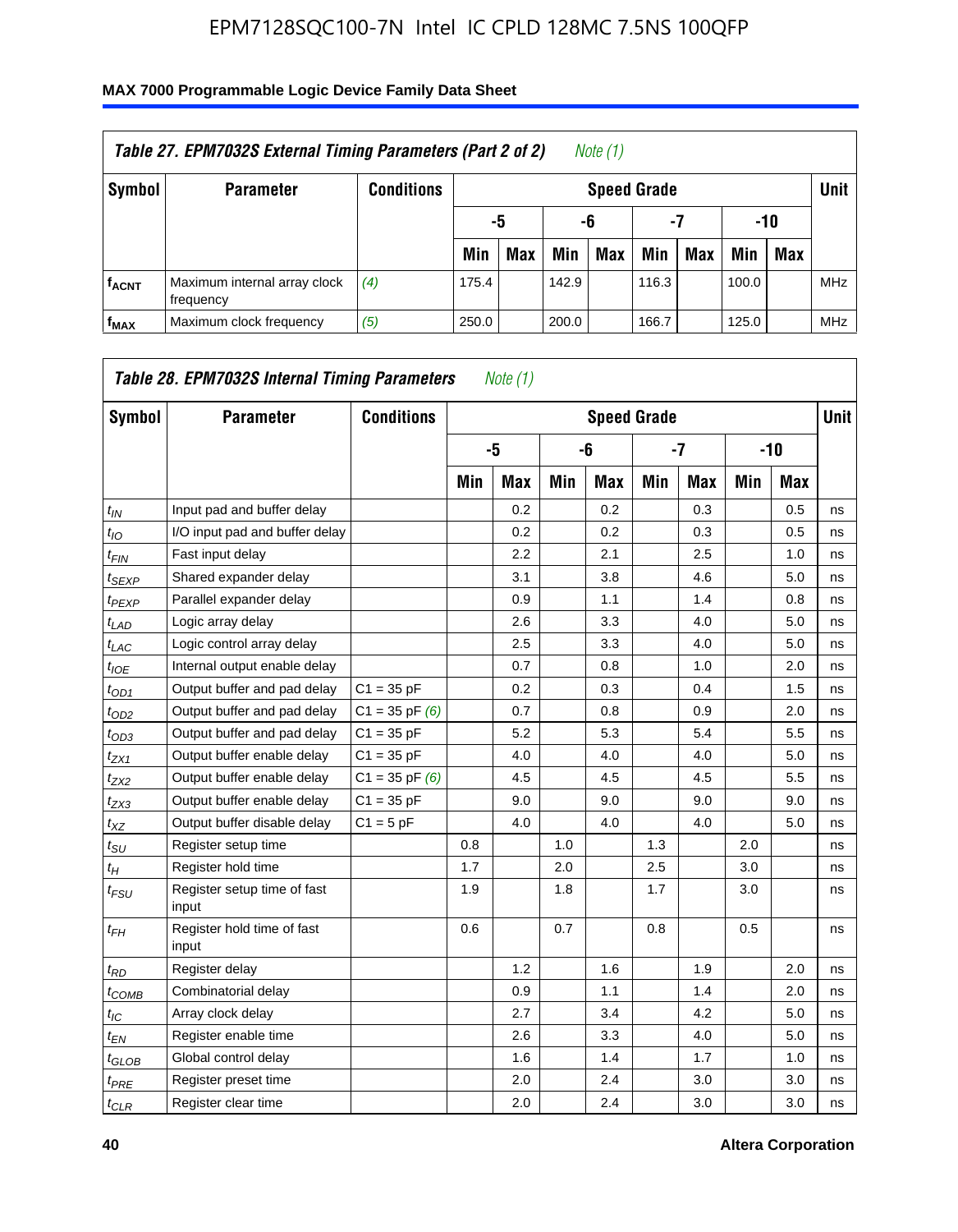| Table 27. EPM7032S External Timing Parameters (Part 2 of 2)<br>Note (1) |                                           |                   |       |                       |       |            |                    |     |       |            |            |  |
|-------------------------------------------------------------------------|-------------------------------------------|-------------------|-------|-----------------------|-------|------------|--------------------|-----|-------|------------|------------|--|
| Symbol                                                                  | <b>Parameter</b>                          | <b>Conditions</b> |       |                       |       |            | <b>Speed Grade</b> |     |       |            | Unit       |  |
|                                                                         |                                           |                   |       | -7<br>-10<br>-6<br>-5 |       |            |                    |     |       |            |            |  |
|                                                                         |                                           |                   | Min   | <b>Max</b>            | Min   | <b>Max</b> | Min                | Max | Min   | <b>Max</b> |            |  |
| <b>fACNT</b>                                                            | Maximum internal array clock<br>frequency | (4)               | 175.4 |                       | 142.9 |            | 116.3              |     | 100.0 |            | <b>MHz</b> |  |
| f <sub>MAX</sub>                                                        | Maximum clock frequency                   | (5)               | 250.0 |                       | 200.0 |            | 166.7              |     | 125.0 |            | <b>MHz</b> |  |

| Symbol                        | <b>Parameter</b>                     | <b>Conditions</b>  |     |            |     | <b>Speed Grade</b> |     |            |     |            | <b>Unit</b> |
|-------------------------------|--------------------------------------|--------------------|-----|------------|-----|--------------------|-----|------------|-----|------------|-------------|
|                               |                                      |                    |     | -5         |     | -6                 |     | $-7$       |     | $-10$      |             |
|                               |                                      |                    | Min | <b>Max</b> | Min | <b>Max</b>         | Min | <b>Max</b> | Min | <b>Max</b> |             |
| $t_{IN}$                      | Input pad and buffer delay           |                    |     | 0.2        |     | 0.2                |     | 0.3        |     | 0.5        | ns          |
| $t_{IO}$                      | I/O input pad and buffer delay       |                    |     | 0.2        |     | 0.2                |     | 0.3        |     | 0.5        | ns          |
| $t_{\textit{FIN}}$            | Fast input delay                     |                    |     | 2.2        |     | 2.1                |     | 2.5        |     | 1.0        | ns          |
| $t_{SEXP}$                    | Shared expander delay                |                    |     | 3.1        |     | 3.8                |     | 4.6        |     | 5.0        | ns          |
| $t_{PEXP}$                    | Parallel expander delay              |                    |     | 0.9        |     | 1.1                |     | 1.4        |     | 0.8        | ns          |
| $t_{LAD}$                     | Logic array delay                    |                    |     | 2.6        |     | 3.3                |     | 4.0        |     | 5.0        | ns          |
| $t_{LAC}$                     | Logic control array delay            |                    |     | 2.5        |     | 3.3                |     | 4.0        |     | 5.0        | ns          |
| $t_{IOE}$                     | Internal output enable delay         |                    |     | 0.7        |     | 0.8                |     | 1.0        |     | 2.0        | ns          |
| $t_{OD1}$                     | Output buffer and pad delay          | $C1 = 35 pF$       |     | 0.2        |     | 0.3                |     | 0.4        |     | 1.5        | ns          |
| $t_{OD2}$                     | Output buffer and pad delay          | $C1 = 35$ pF $(6)$ |     | 0.7        |     | 0.8                |     | 0.9        |     | 2.0        | ns          |
| $t_{OD3}$                     | Output buffer and pad delay          | $C1 = 35 pF$       |     | 5.2        |     | 5.3                |     | 5.4        |     | 5.5        | ns          |
| $t_{ZX1}$                     | Output buffer enable delay           | $C1 = 35 pF$       |     | 4.0        |     | 4.0                |     | 4.0        |     | 5.0        | ns          |
| t <sub>ZX2</sub>              | Output buffer enable delay           | $C1 = 35$ pF $(6)$ |     | 4.5        |     | 4.5                |     | 4.5        |     | 5.5        | ns          |
| $t_{ZX3}$                     | Output buffer enable delay           | $C1 = 35 pF$       |     | 9.0        |     | 9.0                |     | 9.0        |     | 9.0        | ns          |
| $t_{XZ}$                      | Output buffer disable delay          | $C1 = 5pF$         |     | 4.0        |     | 4.0                |     | 4.0        |     | 5.0        | ns          |
| $t_{\rm SU}$                  | Register setup time                  |                    | 0.8 |            | 1.0 |                    | 1.3 |            | 2.0 |            | ns          |
| $t_{H}$                       | Register hold time                   |                    | 1.7 |            | 2.0 |                    | 2.5 |            | 3.0 |            | ns          |
| $t_{\mathit{FSU}}$            | Register setup time of fast<br>input |                    | 1.9 |            | 1.8 |                    | 1.7 |            | 3.0 |            | ns          |
| $t_{FH}$                      | Register hold time of fast<br>input  |                    | 0.6 |            | 0.7 |                    | 0.8 |            | 0.5 |            | ns          |
| $t_{RD}$                      | Register delay                       |                    |     | 1.2        |     | 1.6                |     | 1.9        |     | 2.0        | ns          |
| $t_{COMB}$                    | Combinatorial delay                  |                    |     | 0.9        |     | 1.1                |     | 1.4        |     | 2.0        | ns          |
| $t_{IC}$                      | Array clock delay                    |                    |     | 2.7        |     | 3.4                |     | 4.2        |     | 5.0        | ns          |
| $t_{EN}$                      | Register enable time                 |                    |     | 2.6        |     | 3.3                |     | 4.0        |     | 5.0        | ns          |
| $t_{\scriptstyle\text{GLOB}}$ | Global control delay                 |                    |     | 1.6        |     | 1.4                |     | 1.7        |     | 1.0        | ns          |
| $t_{PRE}$                     | Register preset time                 |                    |     | 2.0        |     | 2.4                |     | 3.0        |     | 3.0        | ns          |
| $t_{CLR}$                     | Register clear time                  |                    |     | 2.0        |     | 2.4                |     | 3.0        |     | 3.0        | ns          |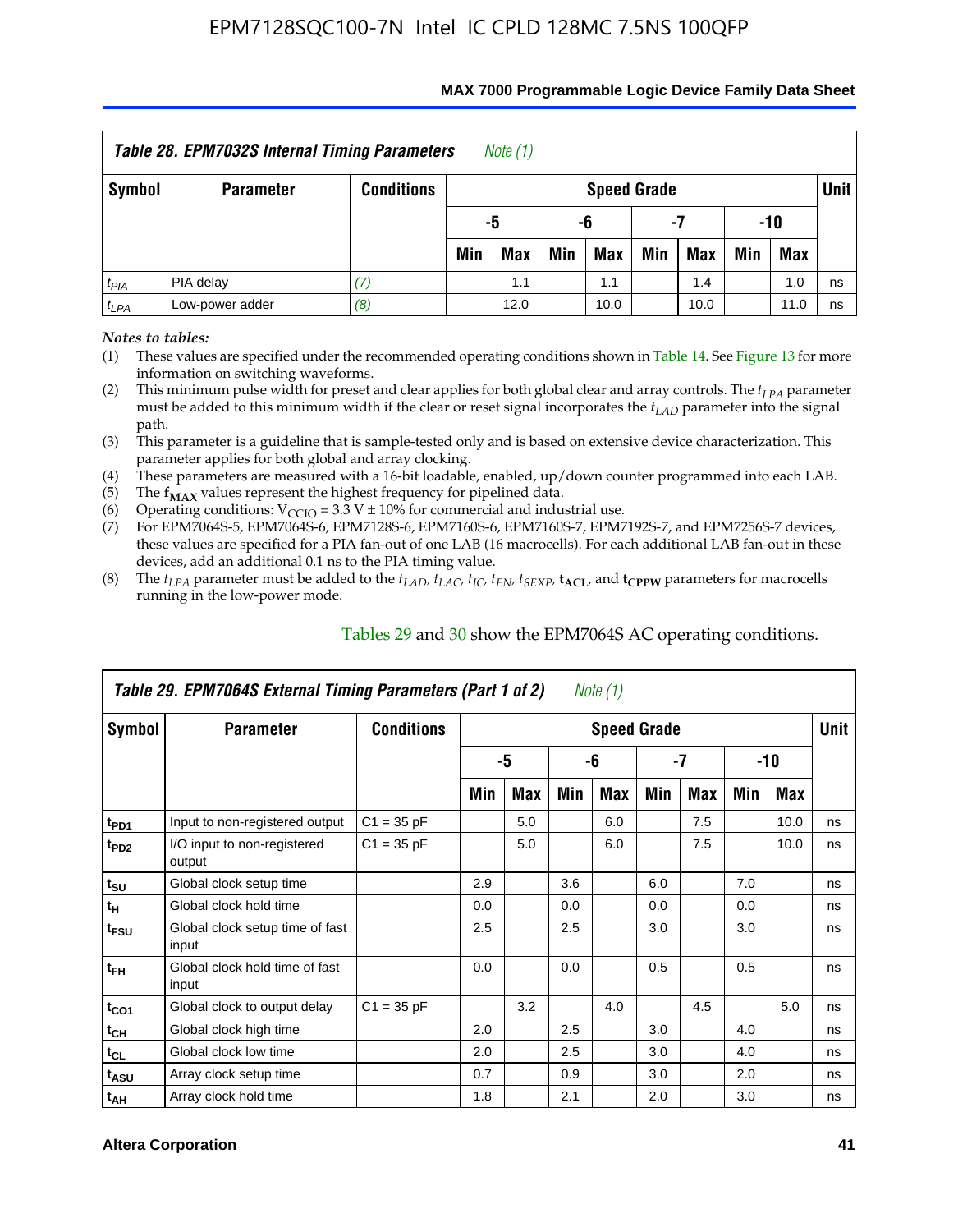| Table 28. EPM7032S Internal Timing Parameters<br>Note (1) |                  |                   |     |            |     |                    |     |            |     |            |             |  |
|-----------------------------------------------------------|------------------|-------------------|-----|------------|-----|--------------------|-----|------------|-----|------------|-------------|--|
| Symbol                                                    | <b>Parameter</b> | <b>Conditions</b> |     |            |     | <b>Speed Grade</b> |     |            |     |            | <b>Unit</b> |  |
|                                                           |                  |                   |     | -5<br>-6   |     |                    | -7  |            | -10 |            |             |  |
|                                                           |                  |                   | Min | <b>Max</b> | Min | Max                | Min | <b>Max</b> | Min | <b>Max</b> |             |  |
| $t_{PIA}$                                                 | PIA delay        |                   |     | 1.1        |     | 1.1                |     | 1.4        |     | 1.0        | ns          |  |
| $t_{LPA}$                                                 | Low-power adder  | (8)               |     | 12.0       |     | 10.0               |     | 10.0       |     | 11.0       | ns          |  |

#### **MAX 7000 Programmable Logic Device Family Data Sheet**

*Notes to tables:*

(1) These values are specified under the recommended operating conditions shown in Table 14. See Figure 13 for more information on switching waveforms.

(2) This minimum pulse width for preset and clear applies for both global clear and array controls. The  $t_{LPA}$  parameter must be added to this minimum width if the clear or reset signal incorporates the *tLAD* parameter into the signal path.

(3) This parameter is a guideline that is sample-tested only and is based on extensive device characterization. This parameter applies for both global and array clocking.

(4) These parameters are measured with a 16-bit loadable, enabled, up/down counter programmed into each LAB.

(5) The  $f_{MAX}$  values represent the highest frequency for pipelined data.

(6) Operating conditions:  $V_{\text{CCIO}} = 3.3 \text{ V} \pm 10\%$  for commercial and industrial use.

(7) For EPM7064S-5, EPM7064S-6, EPM7128S-6, EPM7160S-6, EPM7160S-7, EPM7192S-7, and EPM7256S-7 devices, these values are specified for a PIA fan-out of one LAB (16 macrocells). For each additional LAB fan-out in these devices, add an additional 0.1 ns to the PIA timing value.

(8) The  $t_{LPA}$  parameter must be added to the  $t_{LAD}$ ,  $t_{LAC}$ ,  $t_{IC}$ ,  $t_{EN}$ ,  $t_{SEXP}$ ,  $t_{ACL}$ , and  $t_{CPPW}$  parameters for macrocells running in the low-power mode.

| Table 29. EPM7064S External Timing Parameters (Part 1 of 2)<br>Note (1) |                                          |                   |     |     |     |                    |     |     |     |      |      |  |  |
|-------------------------------------------------------------------------|------------------------------------------|-------------------|-----|-----|-----|--------------------|-----|-----|-----|------|------|--|--|
| Symbol                                                                  | <b>Parameter</b>                         | <b>Conditions</b> |     |     |     | <b>Speed Grade</b> |     |     |     |      | Unit |  |  |
|                                                                         |                                          |                   |     | -5  |     | -6                 |     | -7  |     | -10  |      |  |  |
|                                                                         |                                          |                   | Min | Max | Min | Max                | Min | Max | Min | Max  |      |  |  |
| t <sub>PD1</sub>                                                        | Input to non-registered output           | $C1 = 35 pF$      |     | 5.0 |     | 6.0                |     | 7.5 |     | 10.0 | ns   |  |  |
| t <sub>PD2</sub>                                                        | I/O input to non-registered<br>output    | $C1 = 35 pF$      |     | 5.0 |     | 6.0                |     | 7.5 |     | 10.0 | ns   |  |  |
| $t_{\text{SU}}$                                                         | Global clock setup time                  |                   | 2.9 |     | 3.6 |                    | 6.0 |     | 7.0 |      | ns   |  |  |
| $t_H$                                                                   | Global clock hold time                   |                   | 0.0 |     | 0.0 |                    | 0.0 |     | 0.0 |      | ns   |  |  |
| t <sub>FSU</sub>                                                        | Global clock setup time of fast<br>input |                   | 2.5 |     | 2.5 |                    | 3.0 |     | 3.0 |      | ns   |  |  |
| $t_{FH}$                                                                | Global clock hold time of fast<br>input  |                   | 0.0 |     | 0.0 |                    | 0.5 |     | 0.5 |      | ns   |  |  |
| $t_{CO1}$                                                               | Global clock to output delay             | $C1 = 35 pF$      |     | 3.2 |     | 4.0                |     | 4.5 |     | 5.0  | ns   |  |  |
| $t_{CH}$                                                                | Global clock high time                   |                   | 2.0 |     | 2.5 |                    | 3.0 |     | 4.0 |      | ns   |  |  |
| $t_{CL}$                                                                | Global clock low time                    |                   | 2.0 |     | 2.5 |                    | 3.0 |     | 4.0 |      | ns   |  |  |
| t <sub>ASU</sub>                                                        | Array clock setup time                   |                   | 0.7 |     | 0.9 |                    | 3.0 |     | 2.0 |      | ns   |  |  |
| $t_{AH}$                                                                | Array clock hold time                    |                   | 1.8 |     | 2.1 |                    | 2.0 |     | 3.0 |      | ns   |  |  |

Tables 29 and 30 show the EPM7064S AC operating conditions.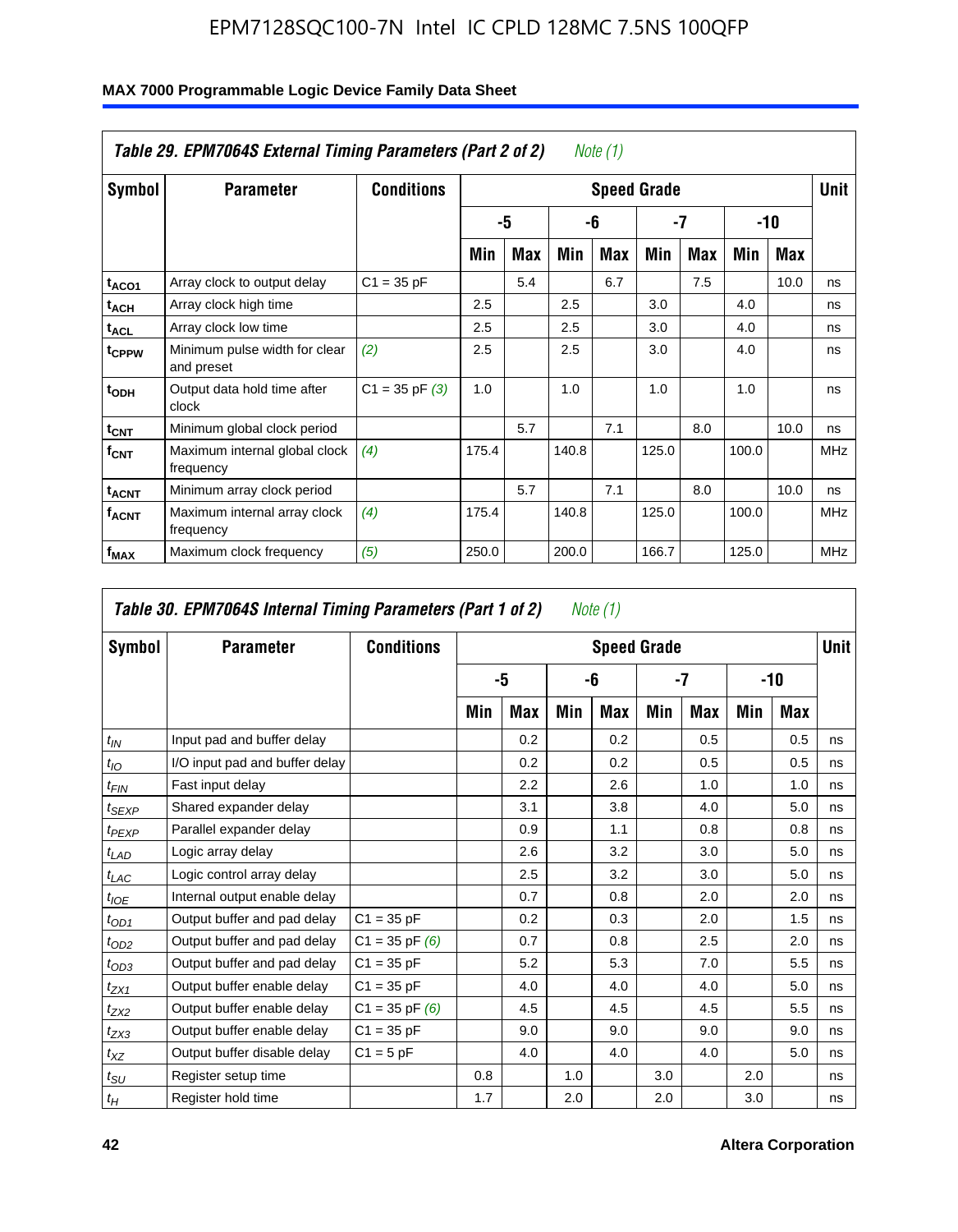| Table 29. EPM7064S External Timing Parameters (Part 2 of 2)<br>Note (1) |                                             |                    |                    |            |       |            |       |            |       |      |            |  |  |
|-------------------------------------------------------------------------|---------------------------------------------|--------------------|--------------------|------------|-------|------------|-------|------------|-------|------|------------|--|--|
| Symbol                                                                  | <b>Parameter</b>                            | <b>Conditions</b>  | <b>Speed Grade</b> |            |       |            |       |            |       |      |            |  |  |
|                                                                         |                                             |                    |                    | -5         |       | -6         |       | -7         |       | -10  |            |  |  |
|                                                                         |                                             |                    | Min                | <b>Max</b> | Min   | <b>Max</b> | Min   | <b>Max</b> | Min   | Max  |            |  |  |
| t <sub>ACO1</sub>                                                       | Array clock to output delay                 | $C1 = 35 pF$       |                    | 5.4        |       | 6.7        |       | 7.5        |       | 10.0 | ns         |  |  |
| $t_{ACH}$                                                               | Array clock high time                       |                    | 2.5                |            | 2.5   |            | 3.0   |            | 4.0   |      | ns         |  |  |
| $\mathsf{t}_{\mathsf{ACL}}$                                             | Array clock low time                        |                    | 2.5                |            | 2.5   |            | 3.0   |            | 4.0   |      | ns         |  |  |
| t <sub>CPPW</sub>                                                       | Minimum pulse width for clear<br>and preset | (2)                | 2.5                |            | 2.5   |            | 3.0   |            | 4.0   |      | ns         |  |  |
| t <sub>ODH</sub>                                                        | Output data hold time after<br>clock        | $C1 = 35$ pF $(3)$ | 1.0                |            | 1.0   |            | 1.0   |            | 1.0   |      | ns         |  |  |
| $t_{\text{CNT}}$                                                        | Minimum global clock period                 |                    |                    | 5.7        |       | 7.1        |       | 8.0        |       | 10.0 | ns         |  |  |
| $f_{\text{CNT}}$                                                        | Maximum internal global clock<br>frequency  | (4)                | 175.4              |            | 140.8 |            | 125.0 |            | 100.0 |      | <b>MHz</b> |  |  |
| $t_{ACNT}$                                                              | Minimum array clock period                  |                    |                    | 5.7        |       | 7.1        |       | 8.0        |       | 10.0 | ns         |  |  |
| <b>f<sub>ACNT</sub></b>                                                 | Maximum internal array clock<br>frequency   | (4)                | 175.4              |            | 140.8 |            | 125.0 |            | 100.0 |      | <b>MHz</b> |  |  |
| f <sub>MAX</sub>                                                        | Maximum clock frequency                     | (5)                | 250.0              |            | 200.0 |            | 166.7 |            | 125.0 |      | <b>MHz</b> |  |  |

|                   | Table 30. EPM7064S Internal Timing Parameters (Part 1 of 2) |                    |     |            |     | Note (1)           |     |               |     |            |             |
|-------------------|-------------------------------------------------------------|--------------------|-----|------------|-----|--------------------|-----|---------------|-----|------------|-------------|
| Symbol            | <b>Parameter</b>                                            | <b>Conditions</b>  |     |            |     | <b>Speed Grade</b> |     |               |     |            | <b>Unit</b> |
|                   |                                                             |                    |     | -5         |     | -6                 |     | -7            |     | -10        |             |
|                   |                                                             |                    | Min | <b>Max</b> | Min | Max                | Min | <b>Max</b>    | Min | <b>Max</b> |             |
| $t_{IN}$          | Input pad and buffer delay                                  |                    |     | 0.2        |     | 0.2                |     | $0.5^{\circ}$ |     | 0.5        | ns          |
| $t_{IO}$          | I/O input pad and buffer delay                              |                    |     | 0.2        |     | 0.2                |     | 0.5           |     | 0.5        | ns          |
| $t_{FIN}$         | Fast input delay                                            |                    |     | 2.2        |     | 2.6                |     | 1.0           |     | 1.0        | ns          |
| t <sub>SEXP</sub> | Shared expander delay                                       |                    |     | 3.1        |     | 3.8                |     | 4.0           |     | 5.0        | ns          |
| $t_{PEXP}$        | Parallel expander delay                                     |                    |     | 0.9        |     | 1.1                |     | 0.8           |     | 0.8        | ns          |
| $t_{LAD}$         | Logic array delay                                           |                    |     | 2.6        |     | 3.2                |     | 3.0           |     | 5.0        | ns          |
| $t_{LAC}$         | Logic control array delay                                   |                    |     | 2.5        |     | 3.2                |     | 3.0           |     | 5.0        | ns          |
| $t_{IOE}$         | Internal output enable delay                                |                    |     | 0.7        |     | 0.8                |     | 2.0           |     | 2.0        | ns          |
| $t_{OD1}$         | Output buffer and pad delay                                 | $C1 = 35 pF$       |     | 0.2        |     | 0.3                |     | 2.0           |     | 1.5        | ns          |
| $t_{OD2}$         | Output buffer and pad delay                                 | $C1 = 35$ pF $(6)$ |     | 0.7        |     | 0.8                |     | 2.5           |     | 2.0        | ns          |
| $t_{OD3}$         | Output buffer and pad delay                                 | $C1 = 35 pF$       |     | 5.2        |     | 5.3                |     | 7.0           |     | 5.5        | ns          |
| $t_{ZX1}$         | Output buffer enable delay                                  | $C1 = 35 pF$       |     | 4.0        |     | 4.0                |     | 4.0           |     | 5.0        | ns          |
| $t_{ZX2}$         | Output buffer enable delay                                  | $C1 = 35$ pF $(6)$ |     | 4.5        |     | 4.5                |     | 4.5           |     | 5.5        | ns          |
| $t_{ZX3}$         | Output buffer enable delay                                  | $C1 = 35 pF$       |     | 9.0        |     | 9.0                |     | 9.0           |     | 9.0        | ns          |
| $t_{XZ}$          | Output buffer disable delay                                 | $C1 = 5pF$         |     | 4.0        |     | 4.0                |     | 4.0           |     | 5.0        | ns          |
| $t_{SU}$          | Register setup time                                         |                    | 0.8 |            | 1.0 |                    | 3.0 |               | 2.0 |            | ns          |
| $t_H$             | Register hold time                                          |                    | 1.7 |            | 2.0 |                    | 2.0 |               | 3.0 |            | ns          |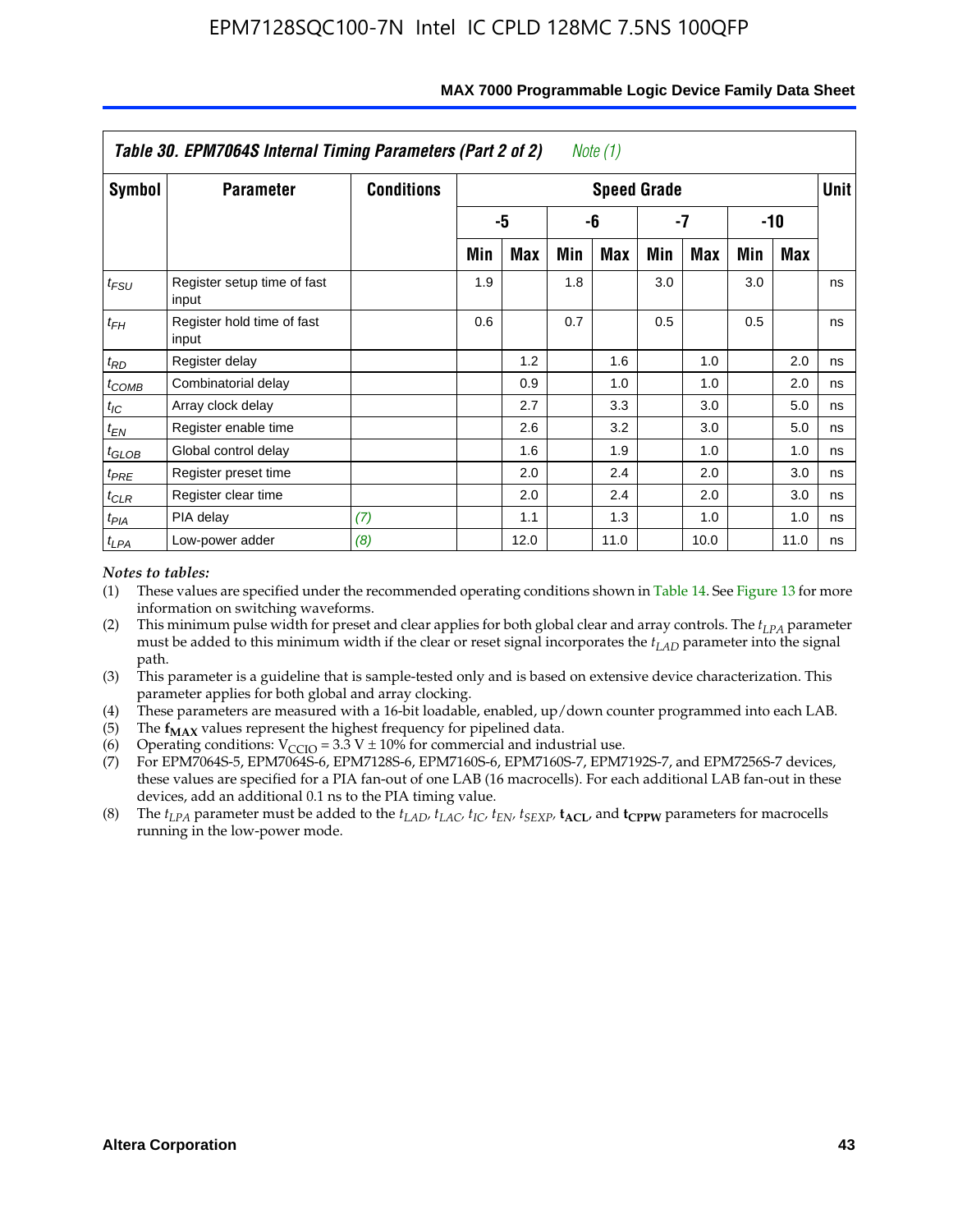|                   | Table 30. EPM7064S Internal Timing Parameters (Part 2 of 2) |                   |     |      |     | Note (1)           |     |      |     |            |             |
|-------------------|-------------------------------------------------------------|-------------------|-----|------|-----|--------------------|-----|------|-----|------------|-------------|
| Symbol            | <b>Parameter</b>                                            | <b>Conditions</b> |     |      |     | <b>Speed Grade</b> |     |      |     |            | <b>Unit</b> |
|                   |                                                             |                   |     | -5   |     | -6                 |     | -7   |     | $-10$      |             |
|                   |                                                             |                   | Min | Max  | Min | Max                | Min | Max  | Min | <b>Max</b> |             |
| $t_{FSU}$         | Register setup time of fast<br>input                        |                   | 1.9 |      | 1.8 |                    | 3.0 |      | 3.0 |            | ns          |
| $t_{FH}$          | Register hold time of fast<br>input                         |                   | 0.6 |      | 0.7 |                    | 0.5 |      | 0.5 |            | ns          |
| $t_{RD}$          | Register delay                                              |                   |     | 1.2  |     | 1.6                |     | 1.0  |     | 2.0        | ns          |
| $t_{COMB}$        | Combinatorial delay                                         |                   |     | 0.9  |     | 1.0                |     | 1.0  |     | 2.0        | ns          |
| $t_{IC}$          | Array clock delay                                           |                   |     | 2.7  |     | 3.3                |     | 3.0  |     | 5.0        | ns          |
| $t_{EN}$          | Register enable time                                        |                   |     | 2.6  |     | 3.2                |     | 3.0  |     | 5.0        | ns          |
| $t_{\text{GLOB}}$ | Global control delay                                        |                   |     | 1.6  |     | 1.9                |     | 1.0  |     | 1.0        | ns          |
| $t_{PRE}$         | Register preset time                                        |                   |     | 2.0  |     | 2.4                |     | 2.0  |     | 3.0        | ns          |
| $t_{CLR}$         | Register clear time                                         |                   |     | 2.0  |     | 2.4                |     | 2.0  |     | 3.0        | ns          |
| $t_{PIA}$         | PIA delay                                                   | (7)               |     | 1.1  |     | 1.3                |     | 1.0  |     | 1.0        | ns          |
| $t_{LPA}$         | Low-power adder                                             | (8)               |     | 12.0 |     | 11.0               |     | 10.0 |     | 11.0       | ns          |

#### **MAX 7000 Programmable Logic Device Family Data Sheet**

#### *Notes to tables:*

- (1) These values are specified under the recommended operating conditions shown in Table 14. See Figure 13 for more information on switching waveforms.
- (2) This minimum pulse width for preset and clear applies for both global clear and array controls. The  $t_{LPA}$  parameter must be added to this minimum width if the clear or reset signal incorporates the *t<sub>LAD</sub>* parameter into the signal path.
- (3) This parameter is a guideline that is sample-tested only and is based on extensive device characterization. This parameter applies for both global and array clocking.
- (4) These parameters are measured with a 16-bit loadable, enabled, up/down counter programmed into each LAB.
- (5) The  $f_{MAX}$  values represent the highest frequency for pipelined data.
- (6) Operating conditions:  $V_{\text{CGO}} = 3.3 \text{ V} \pm 10\%$  for commercial and industrial use.
- (7) For EPM7064S-5, EPM7064S-6, EPM7128S-6, EPM7160S-6, EPM7160S-7, EPM7192S-7, and EPM7256S-7 devices, these values are specified for a PIA fan-out of one LAB (16 macrocells). For each additional LAB fan-out in these devices, add an additional 0.1 ns to the PIA timing value.
- (8) The  $t_{LPA}$  parameter must be added to the  $t_{LAD}$ ,  $t_{LAC}$ ,  $t_{IC}$ ,  $t_{EN}$ ,  $t_{SEXP}$ ,  $t_{ACL}$ , and  $t_{CPPW}$  parameters for macrocells running in the low-power mode.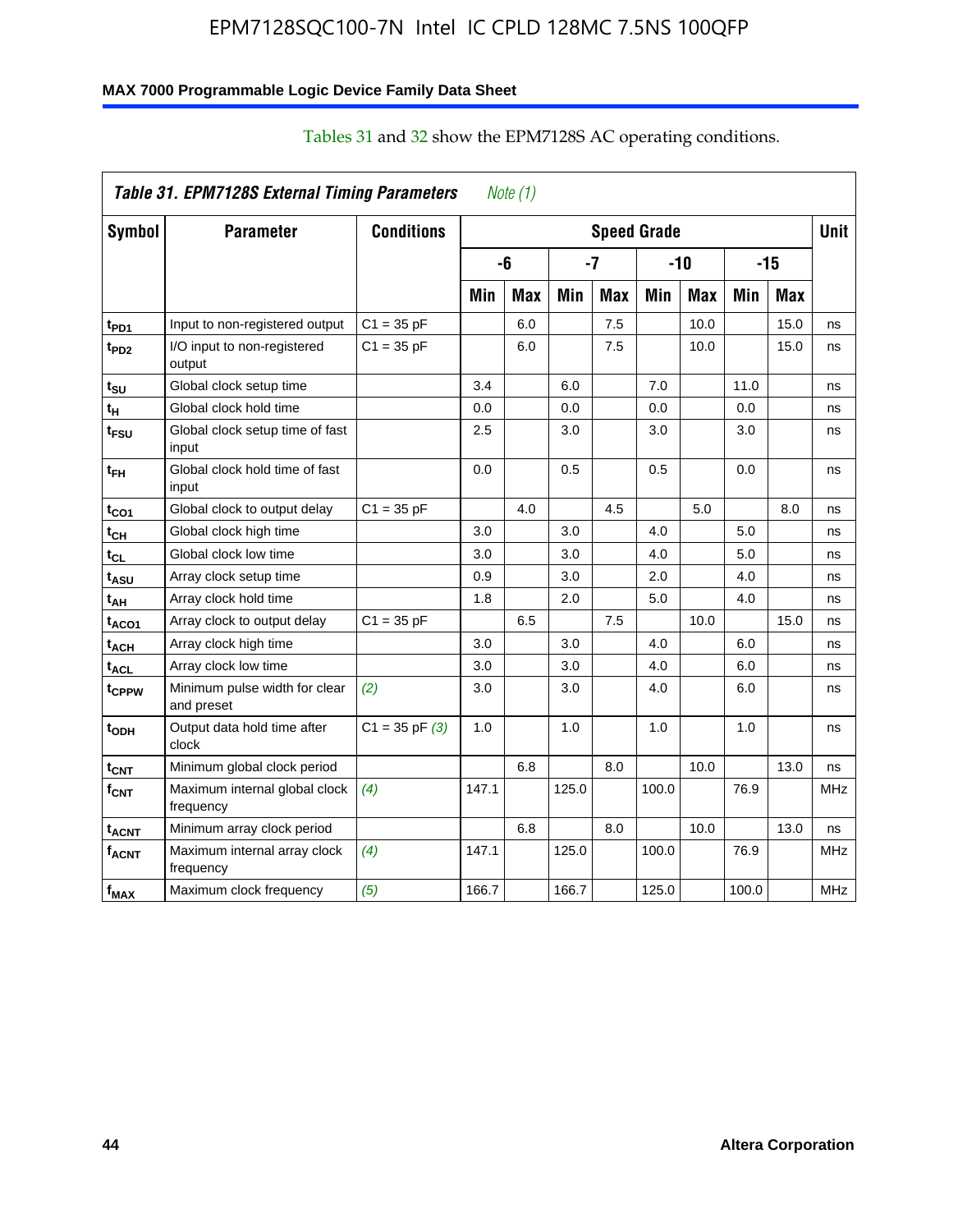### **MAX 7000 Programmable Logic Device Family Data Sheet**

|                         | Table 31. EPM7128S External Timing Parameters |                    |       | Note $(1)$ |       |            |                    |            |       |            |            |
|-------------------------|-----------------------------------------------|--------------------|-------|------------|-------|------------|--------------------|------------|-------|------------|------------|
| Symbol                  | <b>Parameter</b>                              | <b>Conditions</b>  |       |            |       |            | <b>Speed Grade</b> |            |       |            | Unit       |
|                         |                                               |                    |       | -6         |       | -7         |                    | $-10$      |       | $-15$      |            |
|                         |                                               |                    | Min   | <b>Max</b> | Min   | <b>Max</b> | Min                | <b>Max</b> | Min   | <b>Max</b> |            |
| t <sub>PD1</sub>        | Input to non-registered output                | $C1 = 35 pF$       |       | 6.0        |       | 7.5        |                    | 10.0       |       | 15.0       | ns         |
| t <sub>PD2</sub>        | I/O input to non-registered<br>output         | $C1 = 35 pF$       |       | 6.0        |       | 7.5        |                    | 10.0       |       | 15.0       | ns         |
| tsu                     | Global clock setup time                       |                    | 3.4   |            | 6.0   |            | 7.0                |            | 11.0  |            | ns         |
| t <sub>Η</sub>          | Global clock hold time                        |                    | 0.0   |            | 0.0   |            | 0.0                |            | 0.0   |            | ns         |
| t <sub>FSU</sub>        | Global clock setup time of fast<br>input      |                    | 2.5   |            | 3.0   |            | 3.0                |            | 3.0   |            | ns         |
| t <sub>FH</sub>         | Global clock hold time of fast<br>input       |                    | 0.0   |            | 0.5   |            | 0.5                |            | 0.0   |            | ns         |
| t <sub>CO1</sub>        | Global clock to output delay                  | $C1 = 35$ pF       |       | 4.0        |       | 4.5        |                    | 5.0        |       | 8.0        | ns         |
| $t_{\mathsf{CH}}$       | Global clock high time                        |                    | 3.0   |            | 3.0   |            | 4.0                |            | 5.0   |            | ns         |
| t <sub>CL</sub>         | Global clock low time                         |                    | 3.0   |            | 3.0   |            | 4.0                |            | 5.0   |            | ns         |
| t <sub>ASU</sub>        | Array clock setup time                        |                    | 0.9   |            | 3.0   |            | 2.0                |            | 4.0   |            | ns         |
| t <sub>АН</sub>         | Array clock hold time                         |                    | 1.8   |            | 2.0   |            | 5.0                |            | 4.0   |            | ns         |
| t <sub>ACO1</sub>       | Array clock to output delay                   | $C1 = 35 pF$       |       | 6.5        |       | 7.5        |                    | 10.0       |       | 15.0       | ns         |
| t <sub>АСН</sub>        | Array clock high time                         |                    | 3.0   |            | 3.0   |            | 4.0                |            | 6.0   |            | ns         |
| <sup>t</sup> ACL        | Array clock low time                          |                    | 3.0   |            | 3.0   |            | 4.0                |            | 6.0   |            | ns         |
| tcppw                   | Minimum pulse width for clear<br>and preset   | (2)                | 3.0   |            | 3.0   |            | 4.0                |            | 6.0   |            | ns         |
| $t_{ODH}$               | Output data hold time after<br>clock          | $C1 = 35$ pF $(3)$ | 1.0   |            | 1.0   |            | 1.0                |            | 1.0   |            | ns         |
| $t_{\mathsf{CNT}}$      | Minimum global clock period                   |                    |       | 6.8        |       | 8.0        |                    | 10.0       |       | 13.0       | ns         |
| $f_{\text{CNT}}$        | Maximum internal global clock<br>frequency    | (4)                | 147.1 |            | 125.0 |            | 100.0              |            | 76.9  |            | <b>MHz</b> |
| t <sub>ACNT</sub>       | Minimum array clock period                    |                    |       | 6.8        |       | 8.0        |                    | 10.0       |       | 13.0       | ns         |
| <b>f<sub>ACNT</sub></b> | Maximum internal array clock<br>frequency     | (4)                | 147.1 |            | 125.0 |            | 100.0              |            | 76.9  |            | <b>MHz</b> |
| $f_{MAX}$               | Maximum clock frequency                       | (5)                | 166.7 |            | 166.7 |            | 125.0              |            | 100.0 |            | <b>MHz</b> |

### Tables 31 and 32 show the EPM7128S AC operating conditions.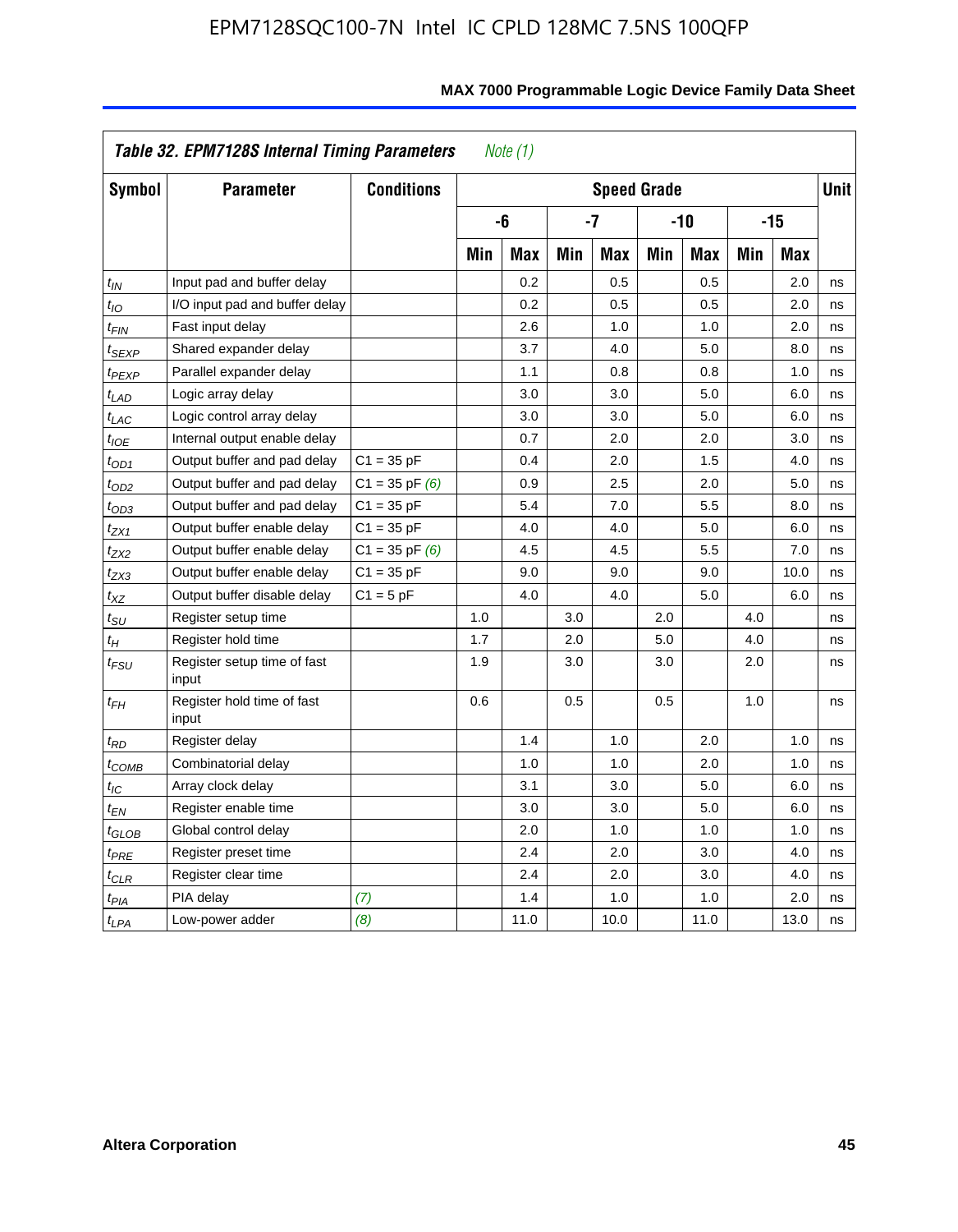|                            | Table 32. EPM7128S Internal Timing Parameters |                    |     | Note $(1)$ |     |                    |     |            |     |            |             |
|----------------------------|-----------------------------------------------|--------------------|-----|------------|-----|--------------------|-----|------------|-----|------------|-------------|
| Symbol                     | <b>Parameter</b>                              | <b>Conditions</b>  |     |            |     | <b>Speed Grade</b> |     |            |     |            | <b>Unit</b> |
|                            |                                               |                    |     | -6         |     | -7                 |     | $-10$      |     | $-15$      |             |
|                            |                                               |                    | Min | <b>Max</b> | Min | <b>Max</b>         | Min | <b>Max</b> | Min | <b>Max</b> |             |
| $t_{IN}$                   | Input pad and buffer delay                    |                    |     | 0.2        |     | 0.5                |     | 0.5        |     | 2.0        | ns          |
| $t_{IO}$                   | I/O input pad and buffer delay                |                    |     | 0.2        |     | 0.5                |     | 0.5        |     | 2.0        | ns          |
| $t_{FIN}$                  | Fast input delay                              |                    |     | 2.6        |     | 1.0                |     | 1.0        |     | 2.0        | ns          |
| t <sub>SEXP</sub>          | Shared expander delay                         |                    |     | 3.7        |     | 4.0                |     | 5.0        |     | 8.0        | ns          |
| t <sub>PEXP</sub>          | Parallel expander delay                       |                    |     | 1.1        |     | 0.8                |     | 0.8        |     | 1.0        | ns          |
| $t_{LAD}$                  | Logic array delay                             |                    |     | 3.0        |     | 3.0                |     | 5.0        |     | 6.0        | ns          |
| $t_{LAC}$                  | Logic control array delay                     |                    |     | 3.0        |     | 3.0                |     | 5.0        |     | 6.0        | ns          |
| $t_{IOE}$                  | Internal output enable delay                  |                    |     | 0.7        |     | 2.0                |     | 2.0        |     | 3.0        | ns          |
| $t_{OD1}$                  | Output buffer and pad delay                   | $C1 = 35 pF$       |     | 0.4        |     | 2.0                |     | 1.5        |     | 4.0        | ns          |
| $t_{OD2}$                  | Output buffer and pad delay                   | $C1 = 35$ pF $(6)$ |     | 0.9        |     | 2.5                |     | 2.0        |     | 5.0        | ns          |
| $t_{OD3}$                  | Output buffer and pad delay                   | $C1 = 35 pF$       |     | 5.4        |     | 7.0                |     | 5.5        |     | 8.0        | ns          |
| $t_{ZX1}$                  | Output buffer enable delay                    | $C1 = 35 pF$       |     | 4.0        |     | 4.0                |     | 5.0        |     | 6.0        | ns          |
| t <sub>ZX2</sub>           | Output buffer enable delay                    | $C1 = 35$ pF $(6)$ |     | 4.5        |     | 4.5                |     | 5.5        |     | 7.0        | ns          |
| tzx3                       | Output buffer enable delay                    | $C1 = 35 pF$       |     | 9.0        |     | 9.0                |     | 9.0        |     | 10.0       | ns          |
| $t_{\mathsf{XZ}}$          | Output buffer disable delay                   | $C1 = 5pF$         |     | 4.0        |     | 4.0                |     | 5.0        |     | 6.0        | ns          |
| $t_{\text{SU}}$            | Register setup time                           |                    | 1.0 |            | 3.0 |                    | 2.0 |            | 4.0 |            | ns          |
| $t_H$                      | Register hold time                            |                    | 1.7 |            | 2.0 |                    | 5.0 |            | 4.0 |            | ns          |
| $t_{\mathit{FSU}}$         | Register setup time of fast<br>input          |                    | 1.9 |            | 3.0 |                    | 3.0 |            | 2.0 |            | ns          |
| $t_{FH}$                   | Register hold time of fast<br>input           |                    | 0.6 |            | 0.5 |                    | 0.5 |            | 1.0 |            | ns          |
| $t_{RD}$                   | Register delay                                |                    |     | 1.4        |     | 1.0                |     | 2.0        |     | 1.0        | ns          |
| $t_{\mathsf{COMB}}$        | Combinatorial delay                           |                    |     | 1.0        |     | 1.0                |     | 2.0        |     | 1.0        | ns          |
| $t_{IC}$                   | Array clock delay                             |                    |     | 3.1        |     | 3.0                |     | 5.0        |     | 6.0        | ns          |
| t <sub>EN</sub>            | Register enable time                          |                    |     | 3.0        |     | 3.0                |     | 5.0        |     | 6.0        | ns          |
| $t_{\scriptstyle\rm GLOB}$ | Global control delay                          |                    |     | 2.0        |     | 1.0                |     | 1.0        |     | 1.0        | ns          |
| $t_{PRE}$                  | Register preset time                          |                    |     | 2.4        |     | 2.0                |     | 3.0        |     | 4.0        | ns          |
| $t_{\sf CLR}$              | Register clear time                           |                    |     | 2.4        |     | 2.0                |     | 3.0        |     | 4.0        | ns          |
| t <sub>PIA</sub>           | PIA delay                                     | (7)                |     | 1.4        |     | 1.0                |     | 1.0        |     | 2.0        | ns          |
| $t_{LPA}$                  | Low-power adder                               | (8)                |     | 11.0       |     | 10.0               |     | 11.0       |     | 13.0       | ns          |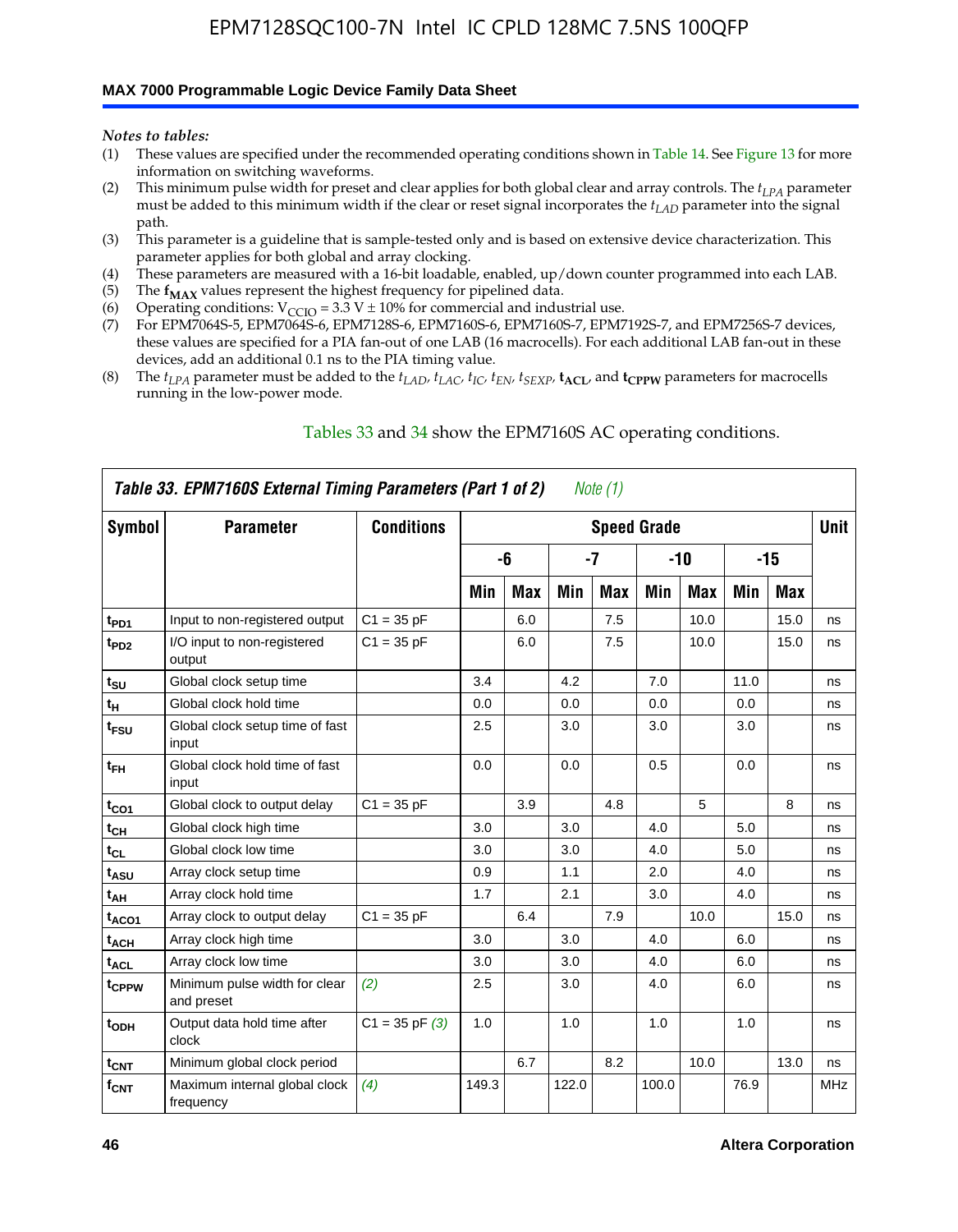#### **MAX 7000 Programmable Logic Device Family Data Sheet**

*Notes to tables:*

- (1) These values are specified under the recommended operating conditions shown in Table 14. See Figure 13 for more information on switching waveforms.
- (2) This minimum pulse width for preset and clear applies for both global clear and array controls. The  $t_{LPA}$  parameter must be added to this minimum width if the clear or reset signal incorporates the *tLAD* parameter into the signal path.
- (3) This parameter is a guideline that is sample-tested only and is based on extensive device characterization. This parameter applies for both global and array clocking.
- (4) These parameters are measured with a 16-bit loadable, enabled, up/down counter programmed into each LAB.
- (5) The  $f_{MAX}$  values represent the highest frequency for pipelined data.
- (6) Operating conditions:  $V_{\text{CCIO}} = 3.3 \text{ V} \pm 10\%$  for commercial and industrial use.
- (7) For EPM7064S-5, EPM7064S-6, EPM7128S-6, EPM7160S-6, EPM7160S-7, EPM7192S-7, and EPM7256S-7 devices, these values are specified for a PIA fan-out of one LAB (16 macrocells). For each additional LAB fan-out in these devices, add an additional 0.1 ns to the PIA timing value.
- (8) The  $t_{LPA}$  parameter must be added to the  $t_{LAD}$ ,  $t_{LAC}$ ,  $t_{IC}$ ,  $t_{EN}$ ,  $t_{SEXP}$ ,  $t_{ACL}$ , and  $t_{CPPW}$  parameters for macrocells running in the low-power mode.

|                  | Table 33. EPM7160S External Timing Parameters (Part 1 of 2) |                    |       |            |       | Note (1)   |                    |            |      |       |            |
|------------------|-------------------------------------------------------------|--------------------|-------|------------|-------|------------|--------------------|------------|------|-------|------------|
| Symbol           | <b>Parameter</b>                                            | <b>Conditions</b>  |       |            |       |            | <b>Speed Grade</b> |            |      |       | Unit       |
|                  |                                                             |                    |       | -6         |       | -7         |                    | -10        |      | $-15$ |            |
|                  |                                                             |                    | Min   | <b>Max</b> | Min   | <b>Max</b> | Min                | <b>Max</b> | Min  | Max   |            |
| t <sub>PD1</sub> | Input to non-registered output                              | $C1 = 35 pF$       |       | 6.0        |       | 7.5        |                    | 10.0       |      | 15.0  | ns         |
| t <sub>PD2</sub> | I/O input to non-registered<br>output                       | $C1 = 35 pF$       |       | 6.0        |       | 7.5        |                    | 10.0       |      | 15.0  | ns         |
| $t_{\text{SU}}$  | Global clock setup time                                     |                    | 3.4   |            | 4.2   |            | 7.0                |            | 11.0 |       | ns         |
| $t_H$            | Global clock hold time                                      |                    | 0.0   |            | 0.0   |            | 0.0                |            | 0.0  |       | ns         |
| t <sub>FSU</sub> | Global clock setup time of fast<br>input                    |                    | 2.5   |            | 3.0   |            | 3.0                |            | 3.0  |       | ns         |
| $t_{FH}$         | Global clock hold time of fast<br>input                     |                    | 0.0   |            | 0.0   |            | 0.5                |            | 0.0  |       | ns         |
| $t_{CO1}$        | Global clock to output delay                                | $C1 = 35 pF$       |       | 3.9        |       | 4.8        |                    | 5          |      | 8     | ns         |
| $t_{CH}$         | Global clock high time                                      |                    | 3.0   |            | 3.0   |            | 4.0                |            | 5.0  |       | ns         |
| $t_{CL}$         | Global clock low time                                       |                    | 3.0   |            | 3.0   |            | 4.0                |            | 5.0  |       | ns         |
| t <sub>ASU</sub> | Array clock setup time                                      |                    | 0.9   |            | 1.1   |            | 2.0                |            | 4.0  |       | ns         |
| t <sub>АН</sub>  | Array clock hold time                                       |                    | 1.7   |            | 2.1   |            | 3.0                |            | 4.0  |       | ns         |
| $t_{ACO1}$       | Array clock to output delay                                 | $C1 = 35 pF$       |       | 6.4        |       | 7.9        |                    | 10.0       |      | 15.0  | ns         |
| $t_{ACH}$        | Array clock high time                                       |                    | 3.0   |            | 3.0   |            | 4.0                |            | 6.0  |       | ns         |
| $t_{\sf ACL}$    | Array clock low time                                        |                    | 3.0   |            | 3.0   |            | 4.0                |            | 6.0  |       | ns         |
| tcppw            | Minimum pulse width for clear<br>and preset                 | (2)                | 2.5   |            | 3.0   |            | 4.0                |            | 6.0  |       | ns         |
| t <sub>ODH</sub> | Output data hold time after<br>clock                        | $C1 = 35$ pF $(3)$ | 1.0   |            | 1.0   |            | 1.0                |            | 1.0  |       | ns         |
| $t_{\text{CNT}}$ | Minimum global clock period                                 |                    |       | 6.7        |       | 8.2        |                    | 10.0       |      | 13.0  | ns         |
| $f_{\text{CNT}}$ | Maximum internal global clock<br>frequency                  | (4)                | 149.3 |            | 122.0 |            | 100.0              |            | 76.9 |       | <b>MHz</b> |

### Tables 33 and 34 show the EPM7160S AC operating conditions.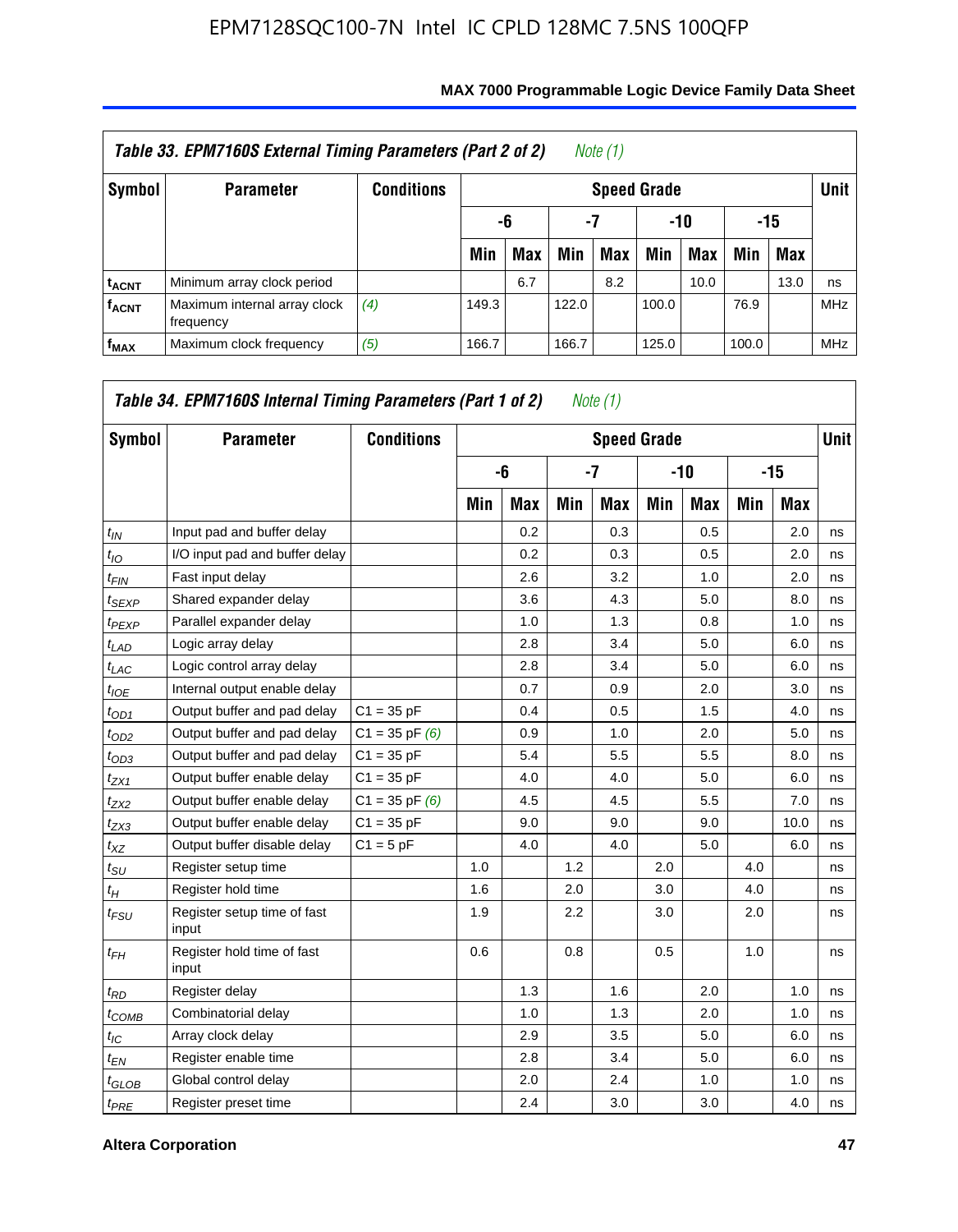| Table 33. EPM7160S External Timing Parameters (Part 2 of 2)<br>Note (1) |                                           |                   |                    |            |       |     |       |      |       |            |            |  |
|-------------------------------------------------------------------------|-------------------------------------------|-------------------|--------------------|------------|-------|-----|-------|------|-------|------------|------------|--|
| Symbol                                                                  | <b>Parameter</b>                          | <b>Conditions</b> | <b>Speed Grade</b> |            |       |     |       |      |       |            |            |  |
|                                                                         |                                           |                   |                    | -6         | -7    |     |       | -10  |       | -15        |            |  |
|                                                                         |                                           |                   | Min                | <b>Max</b> | Min   | Max | Min   | Max  | Min   | <b>Max</b> |            |  |
| <b>t<sub>ACNT</sub></b>                                                 | Minimum array clock period                |                   |                    | 6.7        |       | 8.2 |       | 10.0 |       | 13.0       | ns         |  |
| <b>f<sub>ACNT</sub></b>                                                 | Maximum internal array clock<br>frequency | (4)               | 149.3              |            | 122.0 |     | 100.0 |      | 76.9  |            | <b>MHz</b> |  |
| $f_{MAX}$                                                               | Maximum clock frequency                   | (5)               | 166.7              |            | 166.7 |     | 125.0 |      | 100.0 |            | <b>MHz</b> |  |

| Symbol            | <b>Parameter</b>                     | <b>Conditions</b>  |     |            |     | <b>Speed Grade</b> |     |            |     |       | <b>Unit</b> |
|-------------------|--------------------------------------|--------------------|-----|------------|-----|--------------------|-----|------------|-----|-------|-------------|
|                   |                                      |                    |     | -6         |     | $-7$               |     | -10        |     | $-15$ |             |
|                   |                                      |                    | Min | <b>Max</b> | Min | <b>Max</b>         | Min | <b>Max</b> | Min | Max   |             |
| $t_{IN}$          | Input pad and buffer delay           |                    |     | 0.2        |     | 0.3                |     | 0.5        |     | 2.0   | ns          |
| $t_{IO}$          | I/O input pad and buffer delay       |                    |     | 0.2        |     | 0.3                |     | 0.5        |     | 2.0   | ns          |
| $t_{FIN}$         | Fast input delay                     |                    |     | 2.6        |     | 3.2                |     | 1.0        |     | 2.0   | ns          |
| $t_{SEXP}$        | Shared expander delay                |                    |     | 3.6        |     | 4.3                |     | 5.0        |     | 8.0   | ns          |
| <sup>t</sup> PEXP | Parallel expander delay              |                    |     | 1.0        |     | 1.3                |     | 0.8        |     | 1.0   | ns          |
| $t_{LAD}$         | Logic array delay                    |                    |     | 2.8        |     | 3.4                |     | 5.0        |     | 6.0   | ns          |
| $t_{LAC}$         | Logic control array delay            |                    |     | 2.8        |     | 3.4                |     | 5.0        |     | 6.0   | ns          |
| $t_{IOE}$         | Internal output enable delay         |                    |     | 0.7        |     | 0.9                |     | 2.0        |     | 3.0   | ns          |
| $t_{OD1}$         | Output buffer and pad delay          | $C1 = 35 pF$       |     | 0.4        |     | 0.5                |     | 1.5        |     | 4.0   | ns          |
| $t_{OD2}$         | Output buffer and pad delay          | $C1 = 35$ pF $(6)$ |     | 0.9        |     | 1.0                |     | 2.0        |     | 5.0   | ns          |
| $t_{OD3}$         | Output buffer and pad delay          | $C1 = 35 pF$       |     | 5.4        |     | 5.5                |     | 5.5        |     | 8.0   | ns          |
| $t_{ZX1}$         | Output buffer enable delay           | $C1 = 35 pF$       |     | 4.0        |     | 4.0                |     | 5.0        |     | 6.0   | ns          |
| $t_{ZX2}$         | Output buffer enable delay           | $C1 = 35$ pF $(6)$ |     | 4.5        |     | 4.5                |     | 5.5        |     | 7.0   | ns          |
| $t_{ZX3}$         | Output buffer enable delay           | $C1 = 35 pF$       |     | 9.0        |     | 9.0                |     | 9.0        |     | 10.0  | ns          |
| $t_{XZ}$          | Output buffer disable delay          | $C1 = 5pF$         |     | 4.0        |     | 4.0                |     | 5.0        |     | 6.0   | ns          |
| $t_{\rm SU}$      | Register setup time                  |                    | 1.0 |            | 1.2 |                    | 2.0 |            | 4.0 |       | ns          |
| $t_H$             | Register hold time                   |                    | 1.6 |            | 2.0 |                    | 3.0 |            | 4.0 |       | ns          |
| $t_{FSU}$         | Register setup time of fast<br>input |                    | 1.9 |            | 2.2 |                    | 3.0 |            | 2.0 |       | ns          |
| $t_{FH}$          | Register hold time of fast<br>input  |                    | 0.6 |            | 0.8 |                    | 0.5 |            | 1.0 |       | ns          |
| $t_{RD}$          | Register delay                       |                    |     | 1.3        |     | 1.6                |     | 2.0        |     | 1.0   | ns          |
| $t_{COMB}$        | Combinatorial delay                  |                    |     | 1.0        |     | 1.3                |     | 2.0        |     | 1.0   | ns          |
| $t_{\text{IC}}$   | Array clock delay                    |                    |     | 2.9        |     | 3.5                |     | 5.0        |     | 6.0   | ns          |
| $t_{EN}$          | Register enable time                 |                    |     | 2.8        |     | 3.4                |     | 5.0        |     | 6.0   | ns          |
| $t_{GLOB}$        | Global control delay                 |                    |     | 2.0        |     | 2.4                |     | 1.0        |     | 1.0   | ns          |
| $t_{PRE}$         | Register preset time                 |                    |     | 2.4        |     | 3.0                |     | 3.0        |     | 4.0   | ns          |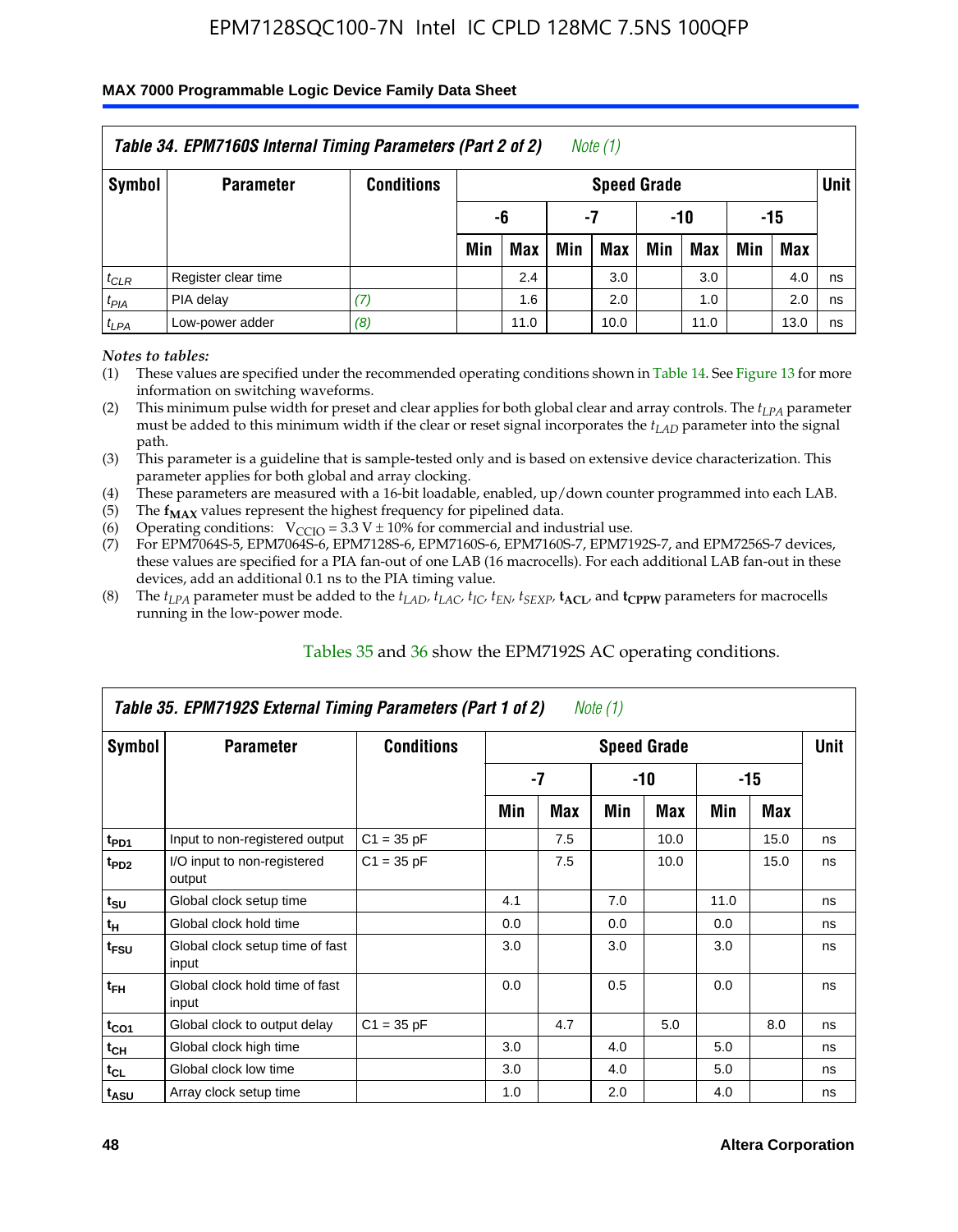#### **MAX 7000 Programmable Logic Device Family Data Sheet**

|           | Table 34. EPM7160S Internal Timing Parameters (Part 2 of 2) |                   |                        |            |     | Note (1)           |     |      |     |      |      |  |
|-----------|-------------------------------------------------------------|-------------------|------------------------|------------|-----|--------------------|-----|------|-----|------|------|--|
| Symbol    | <b>Parameter</b>                                            | <b>Conditions</b> |                        |            |     | <b>Speed Grade</b> |     |      |     |      | Unit |  |
|           |                                                             |                   | -15<br>-7<br>-10<br>-6 |            |     |                    |     |      |     |      |      |  |
|           |                                                             |                   | Min                    | <b>Max</b> | Min | <b>Max</b>         | Min | Max  | Min | Max  |      |  |
| $t_{CLR}$ | Register clear time                                         |                   |                        | 2.4        |     | 3.0                |     | 3.0  |     | 4.0  | ns   |  |
| $t_{PIA}$ | PIA delay                                                   | (7)               |                        | 1.6        |     | 2.0                |     | 1.0  |     | 2.0  | ns   |  |
| $t_{LPA}$ | Low-power adder                                             | (8)               |                        | 11.0       |     | 10.0               |     | 11.0 |     | 13.0 | ns   |  |

*Notes to tables:*

- (1) These values are specified under the recommended operating conditions shown in Table 14. See Figure 13 for more information on switching waveforms.
- (2) This minimum pulse width for preset and clear applies for both global clear and array controls. The  $t_{LPA}$  parameter must be added to this minimum width if the clear or reset signal incorporates the *t<sub>LAD</sub>* parameter into the signal path.
- (3) This parameter is a guideline that is sample-tested only and is based on extensive device characterization. This parameter applies for both global and array clocking.
- (4) These parameters are measured with a 16-bit loadable, enabled, up/down counter programmed into each LAB.
- (5) The  $f_{MAX}$  values represent the highest frequency for pipelined data.
- (6) Operating conditions:  $V_{\text{CCIO}} = 3.3 V \pm 10\%$  for commercial and industrial use.
- (7) For EPM7064S-5, EPM7064S-6, EPM7128S-6, EPM7160S-6, EPM7160S-7, EPM7192S-7, and EPM7256S-7 devices, these values are specified for a PIA fan-out of one LAB (16 macrocells). For each additional LAB fan-out in these devices, add an additional 0.1 ns to the PIA timing value.
- (8) The  $t_{LPA}$  parameter must be added to the  $t_{LAP}$ ,  $t_{LAC}$ ,  $t_{IC}$ ,  $t_{EN}$ ,  $t_{SEXP}$ ,  $t_{ACL}$ , and  $t_{CPPW}$  parameters for macrocells running in the low-power mode.

|                             | Table 35. EPM7192S External Timing Parameters (Part 1 of 2)<br>Note $(1)$ |                   |     |     |     |                    |      |       |             |  |  |  |  |
|-----------------------------|---------------------------------------------------------------------------|-------------------|-----|-----|-----|--------------------|------|-------|-------------|--|--|--|--|
| Symbol                      | <b>Parameter</b>                                                          | <b>Conditions</b> |     |     |     | <b>Speed Grade</b> |      |       | <b>Unit</b> |  |  |  |  |
|                             |                                                                           |                   |     | -7  |     | -10                |      | $-15$ |             |  |  |  |  |
|                             |                                                                           |                   | Min | Max | Min | Max                | Min  | Max   |             |  |  |  |  |
| t <sub>PD1</sub>            | Input to non-registered output                                            | $C1 = 35 pF$      |     | 7.5 |     | 10.0               |      | 15.0  | ns          |  |  |  |  |
| $t_{PD2}$                   | I/O input to non-registered<br>output                                     | $C1 = 35 pF$      |     | 7.5 |     | 10.0               |      | 15.0  | ns          |  |  |  |  |
| $t_{\scriptstyle\text{SU}}$ | Global clock setup time                                                   |                   | 4.1 |     | 7.0 |                    | 11.0 |       | ns          |  |  |  |  |
| $t_H$                       | Global clock hold time                                                    |                   | 0.0 |     | 0.0 |                    | 0.0  |       | ns          |  |  |  |  |
| t <sub>FSU</sub>            | Global clock setup time of fast<br>input                                  |                   | 3.0 |     | 3.0 |                    | 3.0  |       | ns          |  |  |  |  |
| $t_{FH}$                    | Global clock hold time of fast<br>input                                   |                   | 0.0 |     | 0.5 |                    | 0.0  |       | ns          |  |  |  |  |
| $t_{CO1}$                   | Global clock to output delay                                              | $C1 = 35 pF$      |     | 4.7 |     | 5.0                |      | 8.0   | ns          |  |  |  |  |
| $t_{CH}$                    | Global clock high time                                                    |                   | 3.0 |     | 4.0 |                    | 5.0  |       | ns          |  |  |  |  |
| $t_{CL}$                    | Global clock low time                                                     |                   | 3.0 |     | 4.0 |                    | 5.0  |       | ns          |  |  |  |  |
| t <sub>ASU</sub>            | Array clock setup time                                                    |                   | 1.0 |     | 2.0 |                    | 4.0  |       | ns          |  |  |  |  |

### Tables 35 and 36 show the EPM7192S AC operating conditions.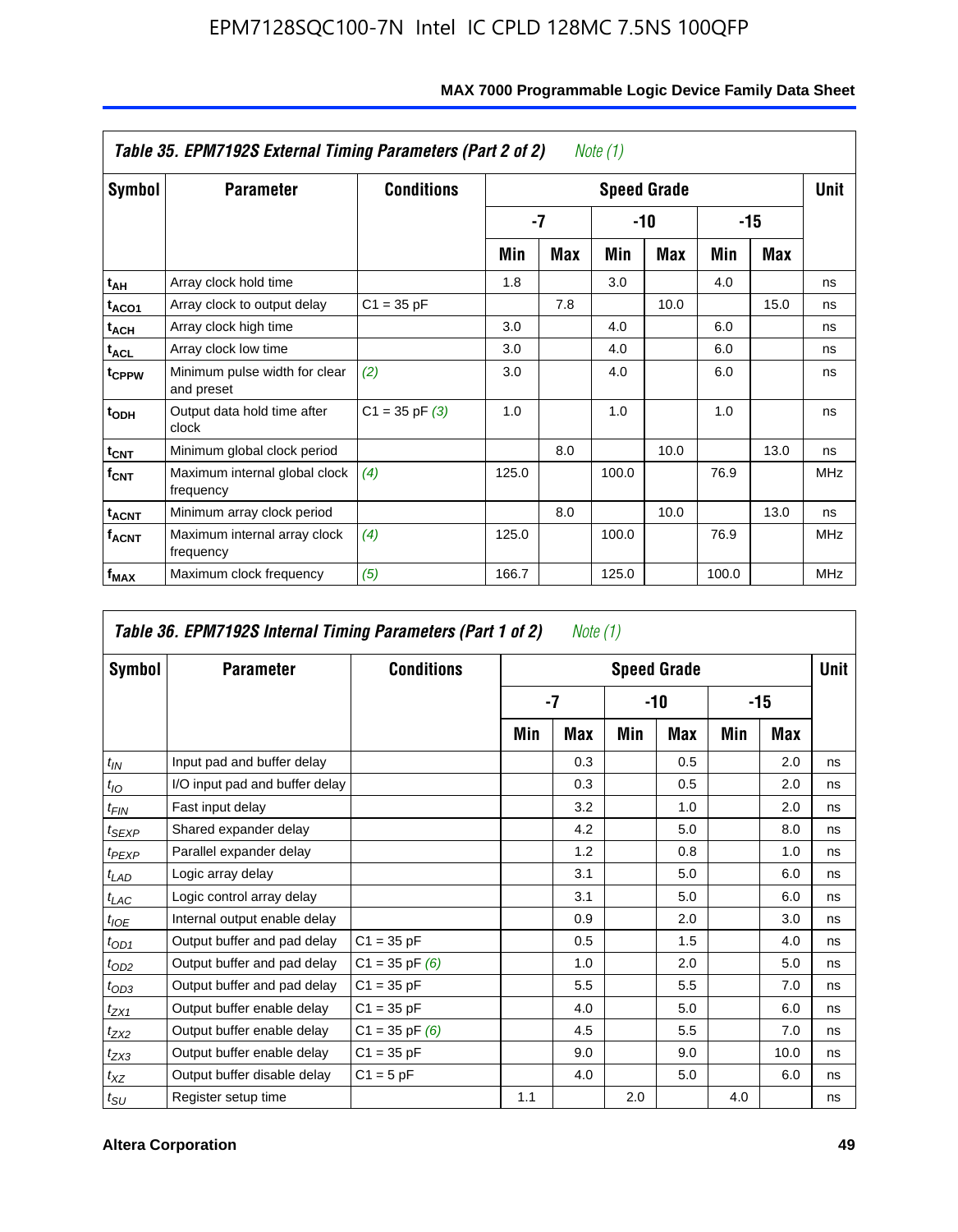|                         | Table 35. EPM7192S External Timing Parameters (Part 2 of 2) |                    |       |      | Note (1) |                    |       |      |            |
|-------------------------|-------------------------------------------------------------|--------------------|-------|------|----------|--------------------|-------|------|------------|
| Symbol                  | <b>Parameter</b>                                            | <b>Conditions</b>  |       |      |          | <b>Speed Grade</b> |       |      | Unit       |
|                         |                                                             |                    |       | $-7$ |          | -10                |       | -15  |            |
|                         |                                                             |                    | Min   | Max  | Min      | Max                | Min   | Max  |            |
| t <sub>АН</sub>         | Array clock hold time                                       |                    | 1.8   |      | 3.0      |                    | 4.0   |      | ns         |
| t <sub>ACO1</sub>       | Array clock to output delay                                 | $C1 = 35 pF$       |       | 7.8  |          | 10.0               |       | 15.0 | ns         |
| $t_{\sf ACH}$           | Array clock high time                                       |                    | 3.0   |      | 4.0      |                    | 6.0   |      | ns         |
| $t_{\sf ACL}$           | Array clock low time                                        |                    | 3.0   |      | 4.0      |                    | 6.0   |      | ns         |
| t <sub>CPPW</sub>       | Minimum pulse width for clear<br>and preset                 | (2)                | 3.0   |      | 4.0      |                    | 6.0   |      | ns         |
| $t_{ODH}$               | Output data hold time after<br>clock                        | $C1 = 35$ pF $(3)$ | 1.0   |      | 1.0      |                    | 1.0   |      | ns         |
| $t_{\mathsf{CNT}}$      | Minimum global clock period                                 |                    |       | 8.0  |          | 10.0               |       | 13.0 | ns         |
| $f_{\text{CNT}}$        | Maximum internal global clock<br>frequency                  | (4)                | 125.0 |      | 100.0    |                    | 76.9  |      | <b>MHz</b> |
| $t_{ACNT}$              | Minimum array clock period                                  |                    |       | 8.0  |          | 10.0               |       | 13.0 | ns         |
| <b>f<sub>ACNT</sub></b> | Maximum internal array clock<br>frequency                   | (4)                | 125.0 |      | 100.0    |                    | 76.9  |      | <b>MHz</b> |
| f <sub>MAX</sub>        | Maximum clock frequency                                     | (5)                | 166.7 |      | 125.0    |                    | 100.0 |      | <b>MHz</b> |

### **MAX 7000 Programmable Logic Device Family Data Sheet**

|                    | Table 36. EPM7192S Internal Timing Parameters (Part 1 of 2) |                    |     | Note (1) |     |                    |     |       |      |
|--------------------|-------------------------------------------------------------|--------------------|-----|----------|-----|--------------------|-----|-------|------|
| Symbol             | <b>Parameter</b>                                            | <b>Conditions</b>  |     |          |     | <b>Speed Grade</b> |     |       | Unit |
|                    |                                                             |                    |     | -7       |     | -10                |     | $-15$ |      |
|                    |                                                             |                    | Min | Max      | Min | Max                | Min | Max   |      |
| $t_{IN}$           | Input pad and buffer delay                                  |                    |     | 0.3      |     | 0.5                |     | 2.0   | ns   |
| $t_{IO}$           | I/O input pad and buffer delay                              |                    |     | 0.3      |     | 0.5                |     | 2.0   | ns   |
| $t_{\textit{FIN}}$ | Fast input delay                                            |                    |     | 3.2      |     | 1.0                |     | 2.0   | ns   |
| $t_{SEXP}$         | Shared expander delay                                       |                    |     | 4.2      |     | 5.0                |     | 8.0   | ns   |
| $t_{PEXP}$         | Parallel expander delay                                     |                    |     | 1.2      |     | 0.8                |     | 1.0   | ns   |
| $t_{LAD}$          | Logic array delay                                           |                    |     | 3.1      |     | 5.0                |     | 6.0   | ns   |
| $t_{LAC}$          | Logic control array delay                                   |                    |     | 3.1      |     | 5.0                |     | 6.0   | ns   |
| $t_{IOE}$          | Internal output enable delay                                |                    |     | 0.9      |     | 2.0                |     | 3.0   | ns   |
| $t_{OD1}$          | Output buffer and pad delay                                 | $C1 = 35 pF$       |     | 0.5      |     | 1.5                |     | 4.0   | ns   |
| $t_{OD2}$          | Output buffer and pad delay                                 | $C1 = 35$ pF $(6)$ |     | 1.0      |     | 2.0                |     | 5.0   | ns   |
| $t_{OD3}$          | Output buffer and pad delay                                 | $C1 = 35 pF$       |     | 5.5      |     | 5.5                |     | 7.0   | ns   |
| $t_{ZX1}$          | Output buffer enable delay                                  | $C1 = 35 pF$       |     | 4.0      |     | 5.0                |     | 6.0   | ns   |
| $t_{ZX2}$          | Output buffer enable delay                                  | $C1 = 35$ pF $(6)$ |     | 4.5      |     | 5.5                |     | 7.0   | ns   |
| $t_{ZX3}$          | Output buffer enable delay                                  | $C1 = 35 pF$       |     | 9.0      |     | 9.0                |     | 10.0  | ns   |
| $t_{XZ}$           | Output buffer disable delay                                 | $C1 = 5pF$         |     | 4.0      |     | 5.0                |     | 6.0   | ns   |
| $t_{\text{SU}}$    | Register setup time                                         |                    | 1.1 |          | 2.0 |                    | 4.0 |       | ns   |

**F**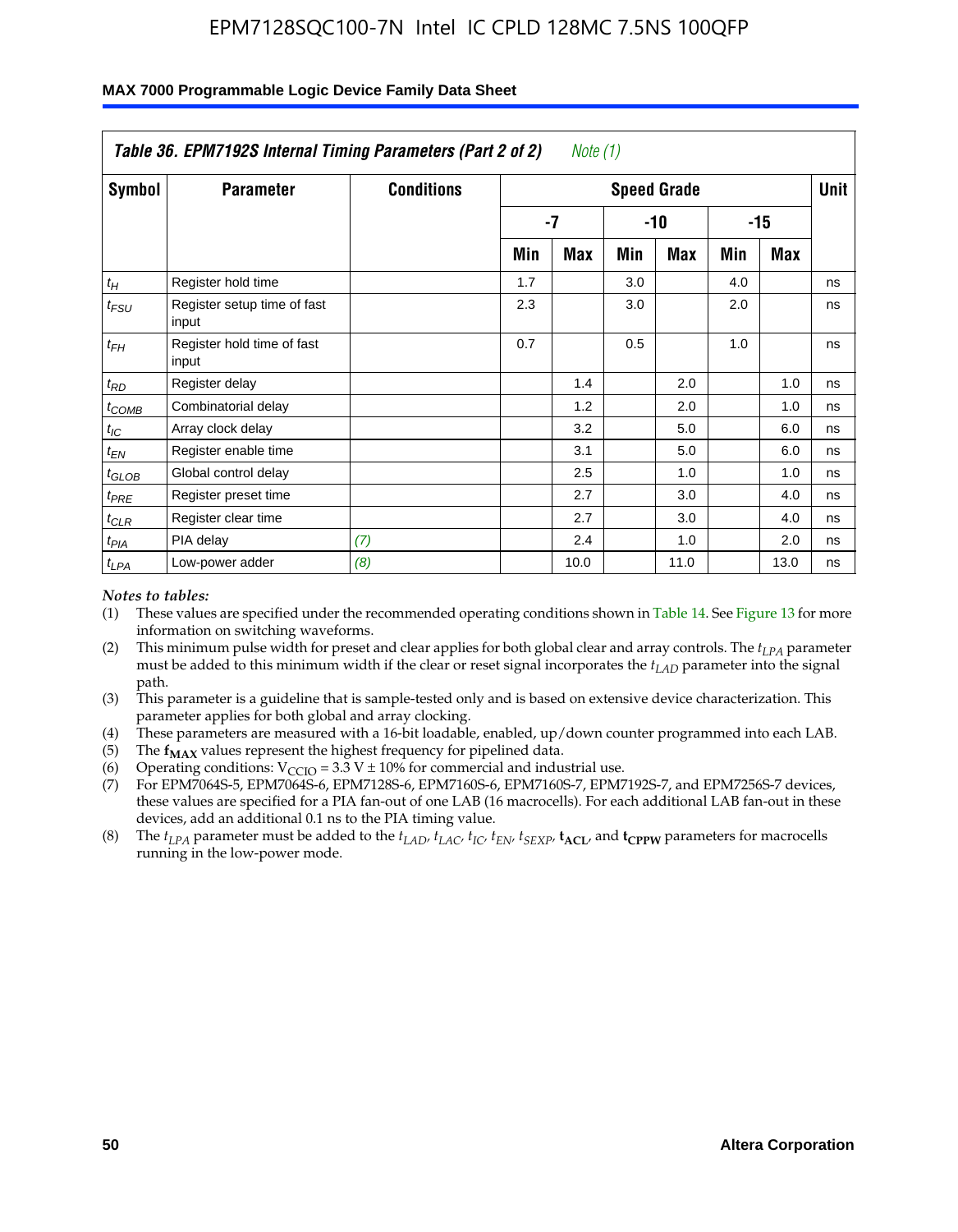|               | Table 36. EPM7192S Internal Timing Parameters (Part 2 of 2) |                   |     | Note $(1)$ |     |                    |     |            |      |
|---------------|-------------------------------------------------------------|-------------------|-----|------------|-----|--------------------|-----|------------|------|
| <b>Symbol</b> | <b>Parameter</b>                                            | <b>Conditions</b> |     |            |     | <b>Speed Grade</b> |     |            | Unit |
|               |                                                             |                   |     | $-7$       |     | -10                |     | $-15$      |      |
|               |                                                             |                   | Min | <b>Max</b> | Min | <b>Max</b>         | Min | <b>Max</b> |      |
| $t_H\,$       | Register hold time                                          |                   | 1.7 |            | 3.0 |                    | 4.0 |            | ns   |
| $t_{FSU}$     | Register setup time of fast<br>input                        |                   | 2.3 |            | 3.0 |                    | 2.0 |            | ns   |
| $t_{FH}$      | Register hold time of fast<br>input                         |                   | 0.7 |            | 0.5 |                    | 1.0 |            | ns   |
| $t_{RD}$      | Register delay                                              |                   |     | 1.4        |     | 2.0                |     | 1.0        | ns   |
| $t_{COMB}$    | Combinatorial delay                                         |                   |     | 1.2        |     | 2.0                |     | 1.0        | ns   |
| $t_{IC}$      | Array clock delay                                           |                   |     | 3.2        |     | 5.0                |     | 6.0        | ns   |
| $t_{EN}$      | Register enable time                                        |                   |     | 3.1        |     | 5.0                |     | 6.0        | ns   |
| $t_{GLOB}$    | Global control delay                                        |                   |     | 2.5        |     | 1.0                |     | 1.0        | ns   |
| $t_{PRE}$     | Register preset time                                        |                   |     | 2.7        |     | 3.0                |     | 4.0        | ns   |
| $t_{CLR}$     | Register clear time                                         |                   |     | 2.7        |     | 3.0                |     | 4.0        | ns   |
| $t_{PIA}$     | PIA delay                                                   | (7)               |     | 2.4        |     | 1.0                |     | 2.0        | ns   |
| $t_{LPA}$     | Low-power adder                                             | (8)               |     | 10.0       |     | 11.0               |     | 13.0       | ns   |

#### **MAX 7000 Programmable Logic Device Family Data Sheet**

#### *Notes to tables:*

- (1) These values are specified under the recommended operating conditions shown in Table 14. See Figure 13 for more information on switching waveforms.
- (2) This minimum pulse width for preset and clear applies for both global clear and array controls. The *tLPA* parameter must be added to this minimum width if the clear or reset signal incorporates the *t<sub>LAD</sub>* parameter into the signal path.
- (3) This parameter is a guideline that is sample-tested only and is based on extensive device characterization. This parameter applies for both global and array clocking.
- (4) These parameters are measured with a 16-bit loadable, enabled, up/down counter programmed into each LAB.
- (5) The  $f_{MAX}$  values represent the highest frequency for pipelined data.
- (6) Operating conditions:  $V_{\text{CCIO}} = 3.3 \text{ V} \pm 10\%$  for commercial and industrial use.
- (7) For EPM7064S-5, EPM7064S-6, EPM7128S-6, EPM7160S-6, EPM7160S-7, EPM7192S-7, and EPM7256S-7 devices, these values are specified for a PIA fan-out of one LAB (16 macrocells). For each additional LAB fan-out in these devices, add an additional 0.1 ns to the PIA timing value.
- (8) The  $t_{LPA}$  parameter must be added to the  $t_{LAD}$ ,  $t_{LAC}$ ,  $t_{IC}$ ,  $t_{EN}$ ,  $t_{SIX}$ ,  $t_{ACL}$ , and  $t_{CPW}$  parameters for macrocells running in the low-power mode.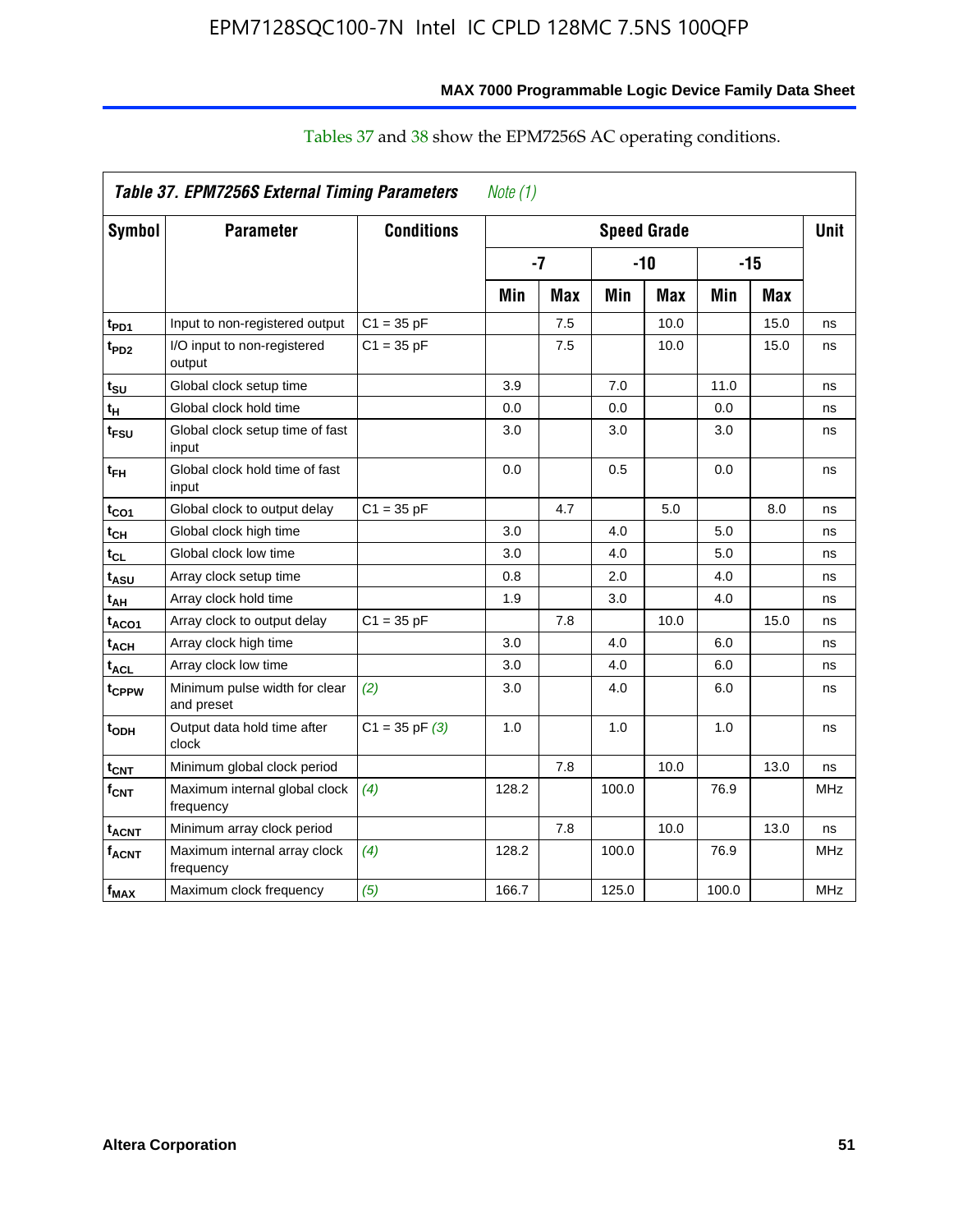|                         | Table 37. EPM7256S External Timing Parameters |                    | Note $(1)$ |     |       |                    |       |            |             |
|-------------------------|-----------------------------------------------|--------------------|------------|-----|-------|--------------------|-------|------------|-------------|
| <b>Symbol</b>           | <b>Parameter</b>                              | <b>Conditions</b>  |            |     |       | <b>Speed Grade</b> |       |            | <b>Unit</b> |
|                         |                                               |                    | $-7$       |     | $-10$ |                    | $-15$ |            |             |
|                         |                                               |                    | Min        | Max | Min   | <b>Max</b>         | Min   | <b>Max</b> |             |
| t <sub>PD1</sub>        | Input to non-registered output                | $C1 = 35 pF$       |            | 7.5 |       | 10.0               |       | 15.0       | ns          |
| t <sub>PD2</sub>        | I/O input to non-registered<br>output         | $C1 = 35 pF$       |            | 7.5 |       | 10.0               |       | 15.0       | ns          |
| t <sub>su</sub>         | Global clock setup time                       |                    | 3.9        |     | 7.0   |                    | 11.0  |            | ns          |
| tμ                      | Global clock hold time                        |                    | 0.0        |     | 0.0   |                    | 0.0   |            | ns          |
| $t_{FSU}$               | Global clock setup time of fast<br>input      |                    | 3.0        |     | 3.0   |                    | 3.0   |            | ns          |
| $t_{\sf FH}$            | Global clock hold time of fast<br>input       |                    | 0.0        |     | 0.5   |                    | 0.0   |            | ns          |
| $t_{CO1}$               | Global clock to output delay                  | $C1 = 35 pF$       |            | 4.7 |       | 5.0                |       | 8.0        | ns          |
| $t_{CH}$                | Global clock high time                        |                    | 3.0        |     | 4.0   |                    | 5.0   |            | ns          |
| $t_{CL}$                | Global clock low time                         |                    | 3.0        |     | 4.0   |                    | 5.0   |            | ns          |
| t <sub>ASU</sub>        | Array clock setup time                        |                    | 0.8        |     | 2.0   |                    | 4.0   |            | ns          |
| $t_{AH}$                | Array clock hold time                         |                    | 1.9        |     | 3.0   |                    | 4.0   |            | ns          |
| t <sub>ACO1</sub>       | Array clock to output delay                   | $C1 = 35 pF$       |            | 7.8 |       | 10.0               |       | 15.0       | ns          |
| t <sub>ACH</sub>        | Array clock high time                         |                    | 3.0        |     | 4.0   |                    | 6.0   |            | ns          |
| $t_{\text{ACL}}$        | Array clock low time                          |                    | 3.0        |     | 4.0   |                    | 6.0   |            | ns          |
| t <sub>CPPW</sub>       | Minimum pulse width for clear<br>and preset   | (2)                | 3.0        |     | 4.0   |                    | 6.0   |            | ns          |
| t <sub>ODH</sub>        | Output data hold time after<br>clock          | $C1 = 35$ pF $(3)$ | 1.0        |     | 1.0   |                    | 1.0   |            | ns          |
| $t_{CNT}$               | Minimum global clock period                   |                    |            | 7.8 |       | 10.0               |       | 13.0       | ns          |
| $f_{\text{CNT}}$        | Maximum internal global clock<br>frequency    | (4)                | 128.2      |     | 100.0 |                    | 76.9  |            | MHz         |
| <b>t<sub>ACNT</sub></b> | Minimum array clock period                    |                    |            | 7.8 |       | 10.0               |       | 13.0       | ns          |
| $f_{ACNT}$              | Maximum internal array clock<br>frequency     | (4)                | 128.2      |     | 100.0 |                    | 76.9  |            | MHz         |
| $f_{\text{MAX}}$        | Maximum clock frequency                       | (5)                | 166.7      |     | 125.0 |                    | 100.0 |            | <b>MHz</b>  |

### Tables 37 and 38 show the EPM7256S AC operating conditions.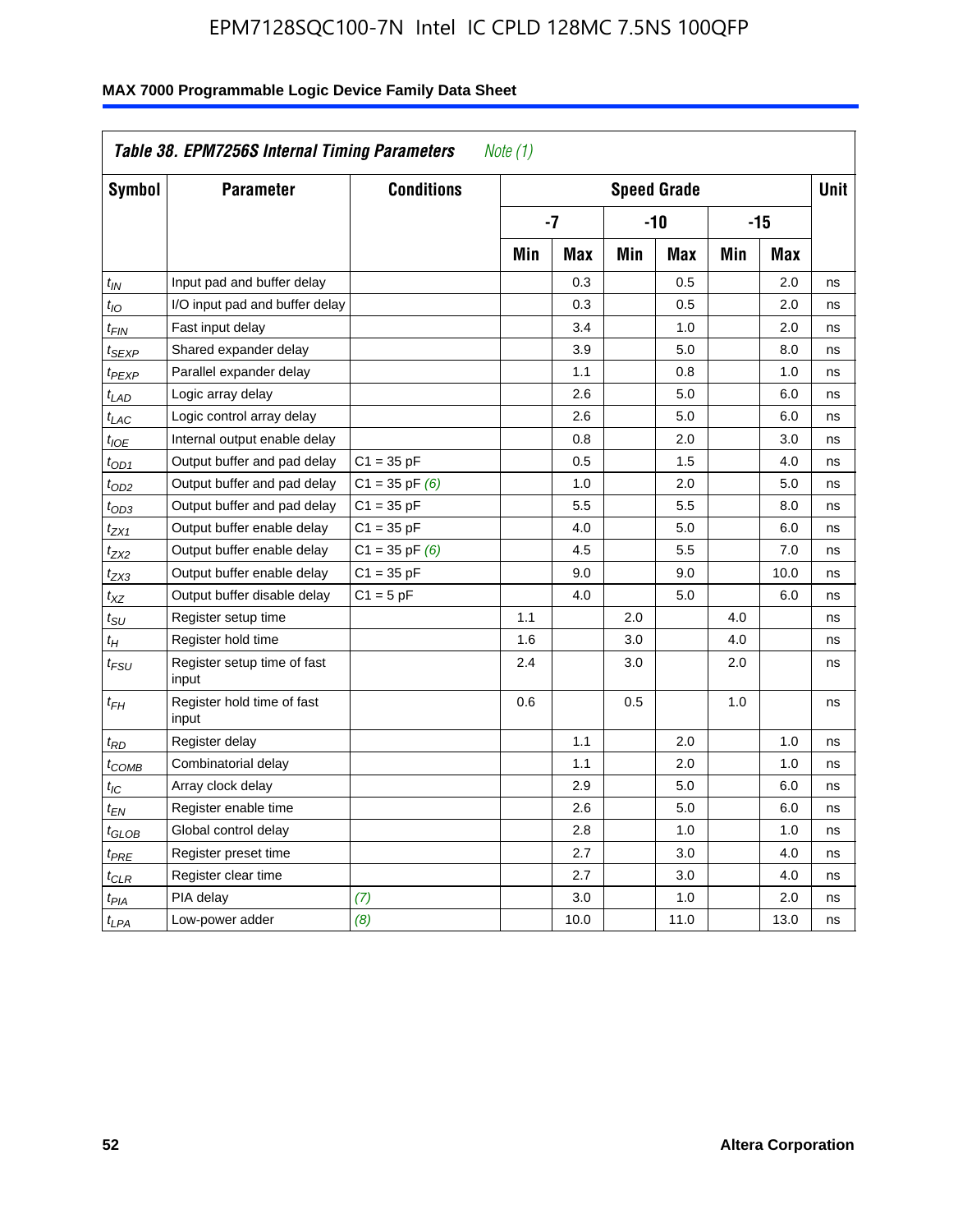|                    | Table 38. EPM7256S Internal Timing Parameters<br>Note (1) |                    |                    |      |       |      |       |             |    |
|--------------------|-----------------------------------------------------------|--------------------|--------------------|------|-------|------|-------|-------------|----|
| Symbol             | <b>Parameter</b>                                          | <b>Conditions</b>  | <b>Speed Grade</b> |      |       |      |       | <b>Unit</b> |    |
|                    |                                                           |                    | $-7$               |      | $-10$ |      | $-15$ |             |    |
|                    |                                                           |                    | Min                | Max  | Min   | Max  | Min   | Max         |    |
| $t_{IN}$           | Input pad and buffer delay                                |                    |                    | 0.3  |       | 0.5  |       | 2.0         | ns |
| $t_{IO}$           | I/O input pad and buffer delay                            |                    |                    | 0.3  |       | 0.5  |       | 2.0         | ns |
| $t_{FIN}$          | Fast input delay                                          |                    |                    | 3.4  |       | 1.0  |       | 2.0         | ns |
| t <sub>SEXP</sub>  | Shared expander delay                                     |                    |                    | 3.9  |       | 5.0  |       | 8.0         | ns |
| t <sub>PEXP</sub>  | Parallel expander delay                                   |                    |                    | 1.1  |       | 0.8  |       | 1.0         | ns |
| $t_{LAD}$          | Logic array delay                                         |                    |                    | 2.6  |       | 5.0  |       | 6.0         | ns |
| $t_{LAC}$          | Logic control array delay                                 |                    |                    | 2.6  |       | 5.0  |       | 6.0         | ns |
| $t_{IOE}$          | Internal output enable delay                              |                    |                    | 0.8  |       | 2.0  |       | 3.0         | ns |
| $t_{OD1}$          | Output buffer and pad delay                               | $C1 = 35 pF$       |                    | 0.5  |       | 1.5  |       | 4.0         | ns |
| t <sub>OD2</sub>   | Output buffer and pad delay                               | $C1 = 35$ pF $(6)$ |                    | 1.0  |       | 2.0  |       | 5.0         | ns |
| $t_{OD3}$          | Output buffer and pad delay                               | $C1 = 35 pF$       |                    | 5.5  |       | 5.5  |       | 8.0         | ns |
| $t_{ZX1}$          | Output buffer enable delay                                | $C1 = 35 pF$       |                    | 4.0  |       | 5.0  |       | 6.0         | ns |
| t <sub>ZX2</sub>   | Output buffer enable delay                                | $C1 = 35$ pF $(6)$ |                    | 4.5  |       | 5.5  |       | 7.0         | ns |
| $t_{ZX3}$          | Output buffer enable delay                                | $C1 = 35 pF$       |                    | 9.0  |       | 9.0  |       | 10.0        | ns |
| $t_{XZ}$           | Output buffer disable delay                               | $C1 = 5pF$         |                    | 4.0  |       | 5.0  |       | 6.0         | ns |
| $t_{\rm SU}$       | Register setup time                                       |                    | 1.1                |      | 2.0   |      | 4.0   |             | ns |
| $t_H$              | Register hold time                                        |                    | 1.6                |      | 3.0   |      | 4.0   |             | ns |
| $t_{\mathit{FSU}}$ | Register setup time of fast<br>input                      |                    | 2.4                |      | 3.0   |      | 2.0   |             | ns |
| $t_{FH}$           | Register hold time of fast<br>input                       |                    | 0.6                |      | 0.5   |      | 1.0   |             | ns |
| $t_{RD}$           | Register delay                                            |                    |                    | 1.1  |       | 2.0  |       | 1.0         | ns |
| $t_{COMB}$         | Combinatorial delay                                       |                    |                    | 1.1  |       | 2.0  |       | 1.0         | ns |
| $t_{IC}$           | Array clock delay                                         |                    |                    | 2.9  |       | 5.0  |       | 6.0         | ns |
| $t_{EN}$           | Register enable time                                      |                    |                    | 2.6  |       | 5.0  |       | 6.0         | ns |
| $t_{GLOB}$         | Global control delay                                      |                    |                    | 2.8  |       | 1.0  |       | 1.0         | ns |
| $t_{PRE}$          | Register preset time                                      |                    |                    | 2.7  |       | 3.0  |       | 4.0         | ns |
| $t_{CLR}$          | Register clear time                                       |                    |                    | 2.7  |       | 3.0  |       | 4.0         | ns |
| t <sub>PIA</sub>   | PIA delay                                                 | (7)                |                    | 3.0  |       | 1.0  |       | 2.0         | ns |
| $t_{LPA}$          | Low-power adder                                           | (8)                |                    | 10.0 |       | 11.0 |       | 13.0        | ns |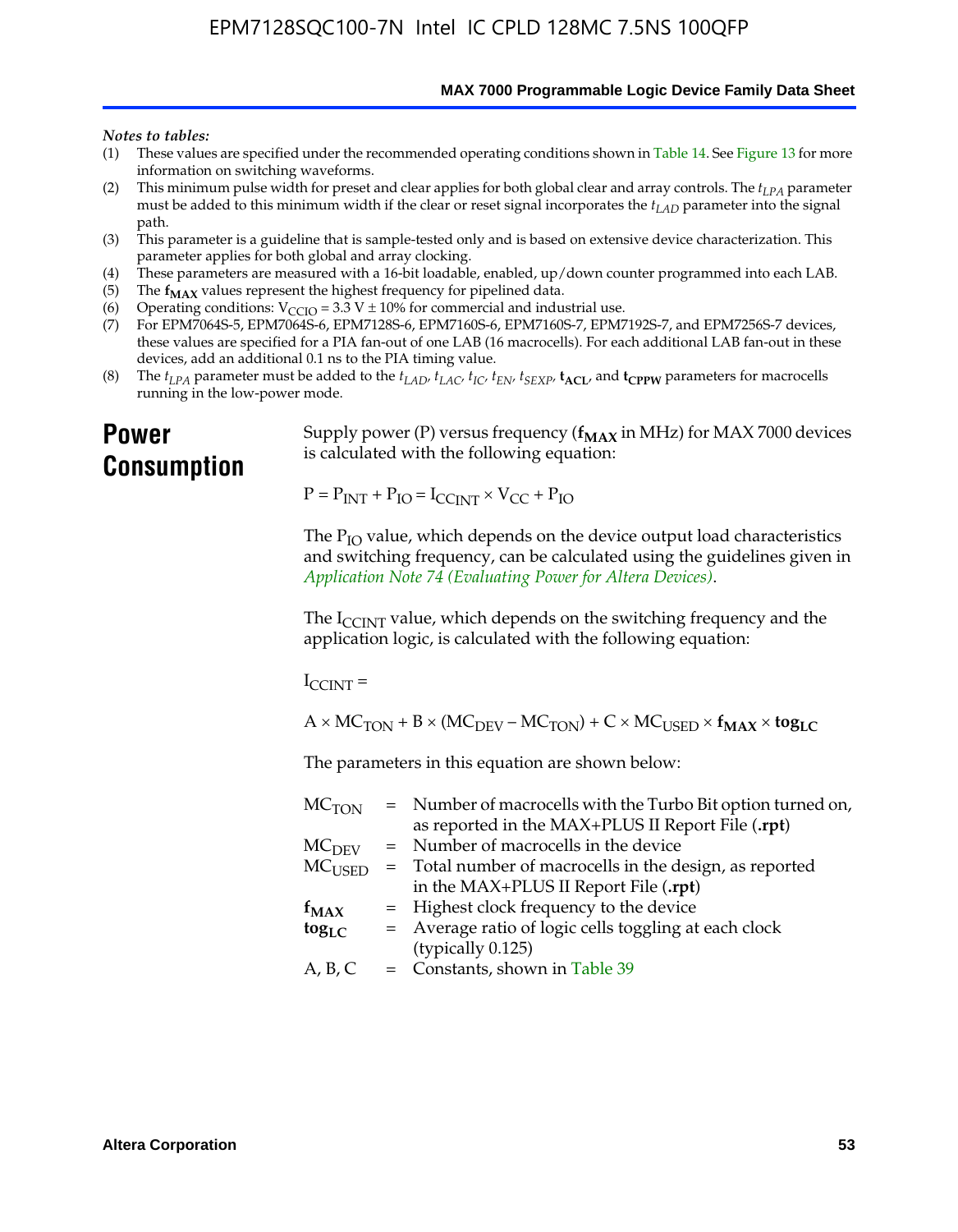**MAX 7000 Programmable Logic Device Family Data Sheet**

#### *Notes to tables:*

- (1) These values are specified under the recommended operating conditions shown in Table 14. See Figure 13 for more information on switching waveforms.
- (2) This minimum pulse width for preset and clear applies for both global clear and array controls. The  $t_{LPA}$  parameter must be added to this minimum width if the clear or reset signal incorporates the *tLAD* parameter into the signal path.
- (3) This parameter is a guideline that is sample-tested only and is based on extensive device characterization. This parameter applies for both global and array clocking.
- (4) These parameters are measured with a 16-bit loadable, enabled, up/down counter programmed into each LAB.
- (5) The  $f_{MAX}$  values represent the highest frequency for pipelined data.
- (6) Operating conditions:  $V_{\text{CCIO}} = 3.3 \text{ V} \pm 10\%$  for commercial and industrial use.
- (7) For EPM7064S-5, EPM7064S-6, EPM7128S-6, EPM7160S-6, EPM7160S-7, EPM7192S-7, and EPM7256S-7 devices, these values are specified for a PIA fan-out of one LAB (16 macrocells). For each additional LAB fan-out in these devices, add an additional 0.1 ns to the PIA timing value.
- (8) The  $t_{LPA}$  parameter must be added to the  $t_{LAD}$ ,  $t_{LAC}$ ,  $t_{IC}$ ,  $t_{EN}$ ,  $t_{SEXP}$ ,  $t_{ACL}$ , and  $t_{CPPW}$  parameters for macrocells running in the low-power mode.

### **Power Consumption**

[Supply power \(P\) versus frequency \(](http://www.altera.com/literature/an/an074.pdf) $f_{MAX}$  in MHz) for MAX 7000 devices is calculated with the following equation:

 $P = P_{INT} + P_{IO} = I_{CCLNT} \times V_{CC} + P_{IO}$ 

The  $P_{IO}$  value, which depends on the device output load characteristics and switching frequency, can be calculated using the guidelines given in *Application Note 74 (Evaluating Power for Altera Devices)*.

The  $I_{\text{CCINT}}$  value, which depends on the switching frequency and the application logic, is calculated with the following equation:

 $I_{\text{CCTNT}} =$ 

 $A \times MC_{TON} + B \times (MC_{DEFU} - MC_{TON}) + C \times MC_{LISED} \times f_{MAX} \times tog_{LC}$ 

The parameters in this equation are shown below:

| $MC$ <sub>TON</sub> | = Number of macrocells with the Turbo Bit option turned on,                |
|---------------------|----------------------------------------------------------------------------|
|                     | as reported in the MAX+PLUS II Report File (.rpt)                          |
| MC <sub>DFV</sub>   | = Number of macrocells in the device                                       |
|                     | $MC_{\text{USED}}$ = Total number of macrocells in the design, as reported |
|                     | in the MAX+PLUS II Report File (.rpt)                                      |
| $f_{MAX}$           | = Highest clock frequency to the device                                    |
| $tog_{LC}$          | = Average ratio of logic cells toggling at each clock                      |
|                     | (typically 0.125)                                                          |
| A, B, C             | = Constants, shown in Table 39                                             |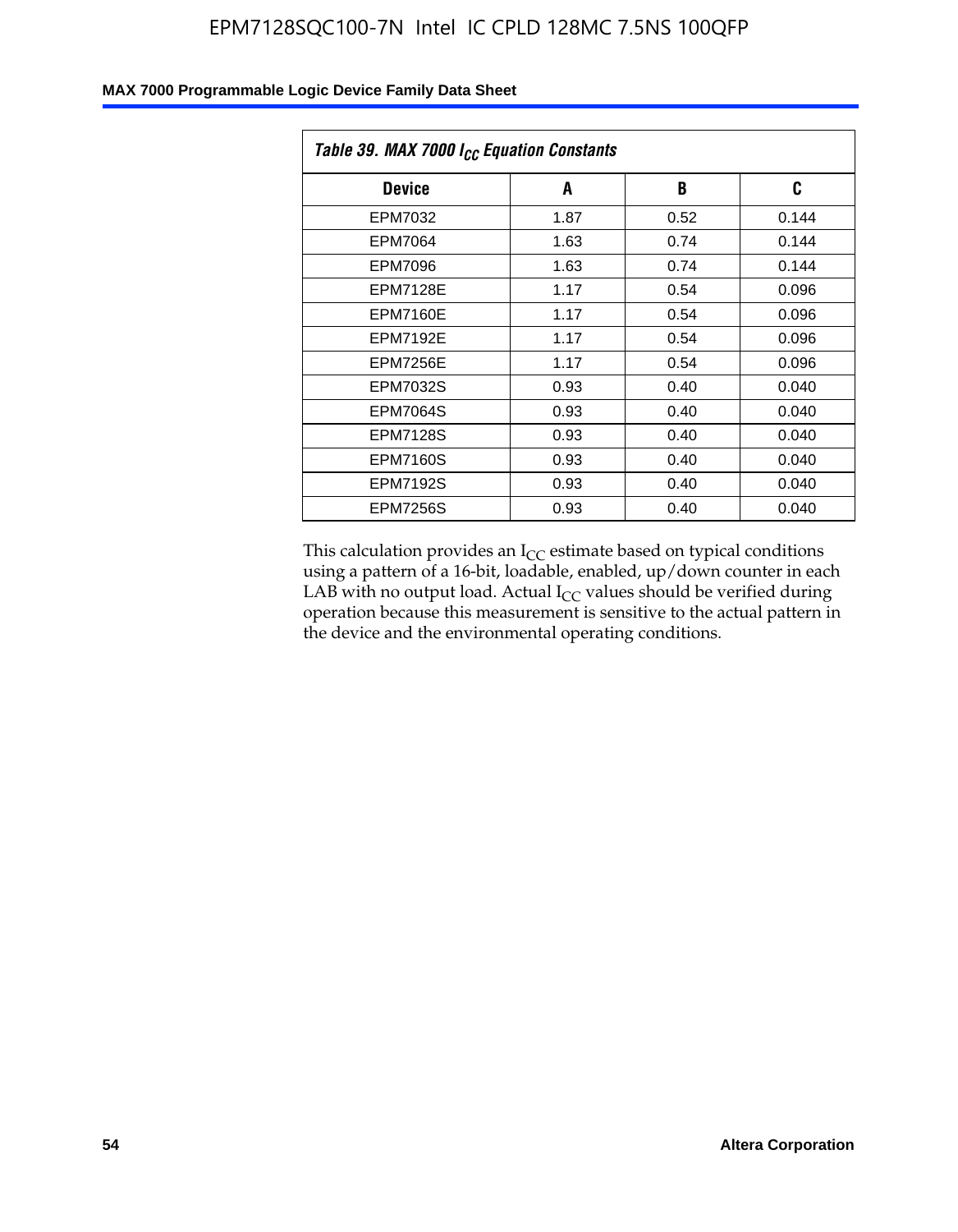| Table 39. MAX 7000 I <sub>CC</sub> Equation Constants |      |      |       |  |  |
|-------------------------------------------------------|------|------|-------|--|--|
| <b>Device</b>                                         | A    | B    | C     |  |  |
| EPM7032                                               | 1.87 | 0.52 | 0.144 |  |  |
| EPM7064                                               | 1.63 | 0.74 | 0.144 |  |  |
| EPM7096                                               | 1.63 | 0.74 | 0.144 |  |  |
| <b>EPM7128E</b>                                       | 1.17 | 0.54 | 0.096 |  |  |
| <b>EPM7160E</b>                                       | 1.17 | 0.54 | 0.096 |  |  |
| <b>EPM7192E</b>                                       | 1.17 | 0.54 | 0.096 |  |  |
| <b>EPM7256E</b>                                       | 1.17 | 0.54 | 0.096 |  |  |
| <b>EPM7032S</b>                                       | 0.93 | 0.40 | 0.040 |  |  |
| <b>EPM7064S</b>                                       | 0.93 | 0.40 | 0.040 |  |  |
| <b>EPM7128S</b>                                       | 0.93 | 0.40 | 0.040 |  |  |
| <b>EPM7160S</b>                                       | 0.93 | 0.40 | 0.040 |  |  |
| <b>EPM7192S</b>                                       | 0.93 | 0.40 | 0.040 |  |  |
| <b>EPM7256S</b>                                       | 0.93 | 0.40 | 0.040 |  |  |

This calculation provides an  $I_{CC}$  estimate based on typical conditions using a pattern of a 16-bit, loadable, enabled, up/down counter in each LAB with no output load. Actual  $I_{CC}$  values should be verified during operation because this measurement is sensitive to the actual pattern in the device and the environmental operating conditions.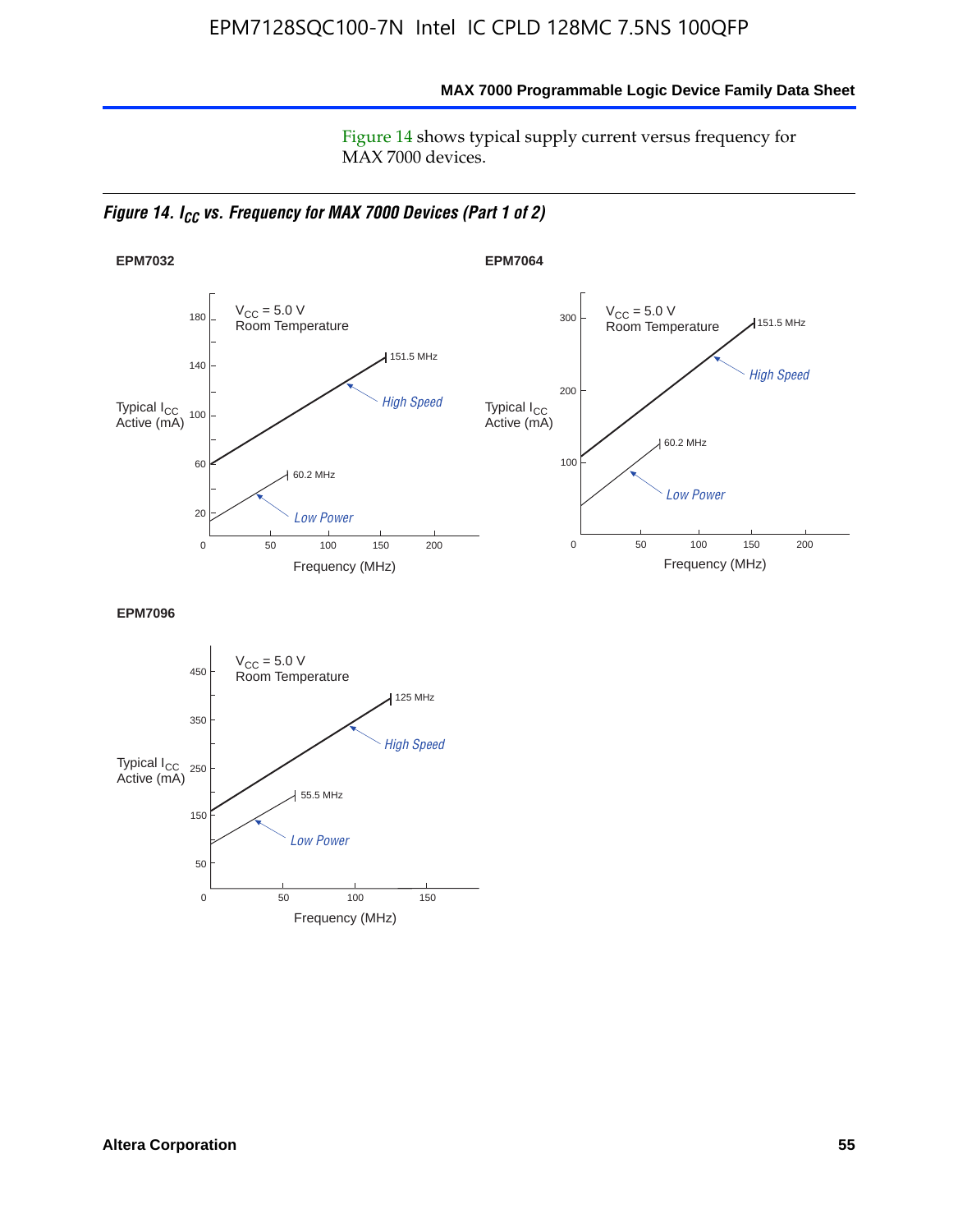**MAX 7000 Programmable Logic Device Family Data Sheet**

Figure 14 shows typical supply current versus frequency for MAX 7000 devices.

*Figure 14. I<sub>CC</sub> vs. Frequency for MAX 7000 Devices (Part 1 of 2)* 



**EPM7096**

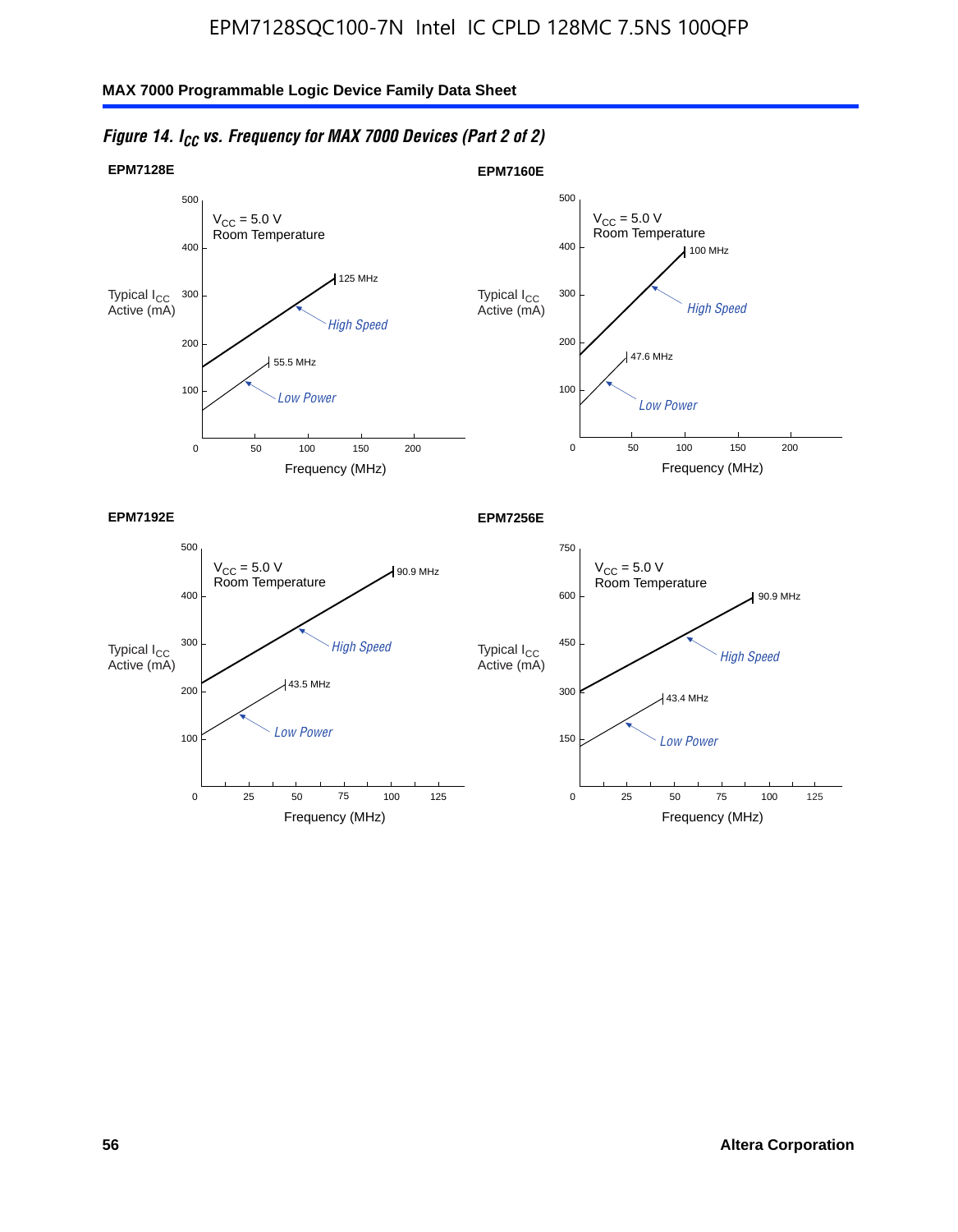

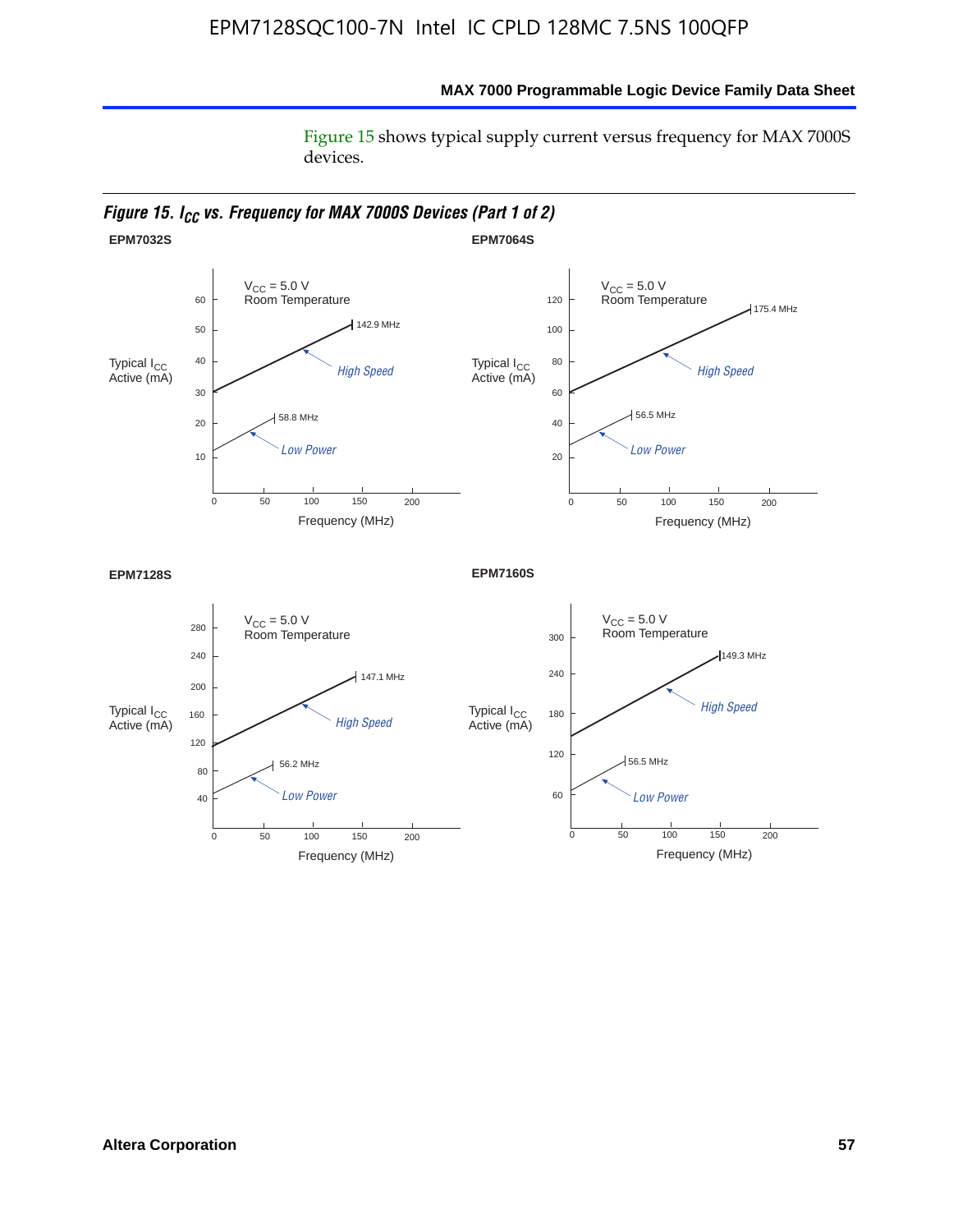Figure 15 shows typical supply current versus frequency for MAX 7000S devices.



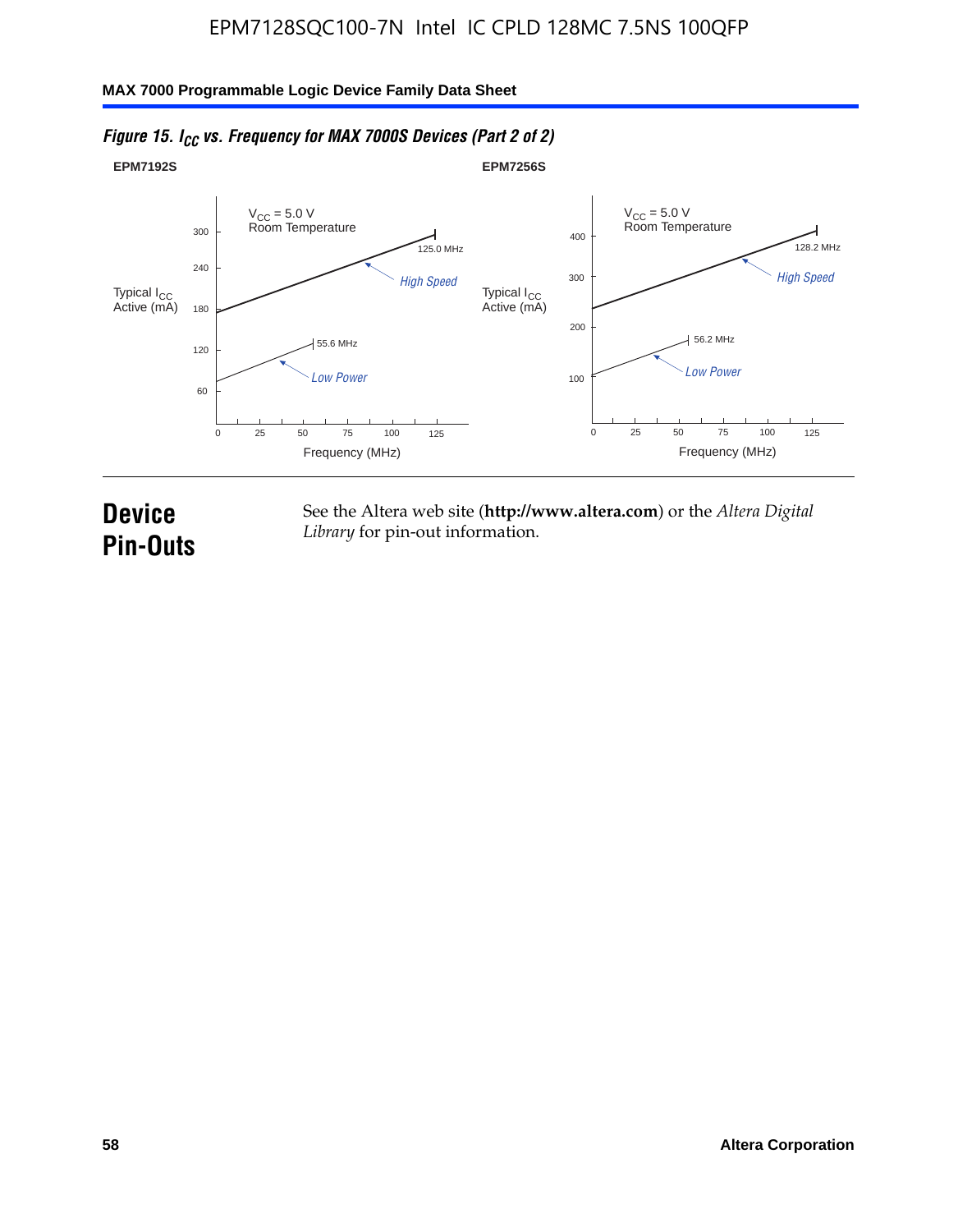#### **EPM7192S** V<sub>CC</sub> = 5.0 V<br>Room Temperature 0 Frequency (MHz) High Speed Low Power 25 100 125 125.0 MHz 55.6 MHz 60 120 180 240 300 50 75 **EPM7256S** V<sub>CC</sub> = 5.0 V<br>Room Temperature 0 Frequency (MHz) High Speed Low Power 25 100 125 128.2 MHz 56.2 MHz 100 200 300 400 50 75 Typical I<sub>CC</sub><br>Active (mA) Typical I<sub>CC</sub> Typical I<sub>CC</sub> Typical I<sub>C</sub> Typical I<sub>C</sub> Typical I<sub>C</sub> Typical I<sub>C</sub> Typical I<sub>C</sub> Typical I<sub>C</sub> Typical I<sub>C</sub> Typical I<sub>C</sub> Typical I<sub>C</sub> Typical I<sub>C</sub> Typical I<sub>C</sub> Typical I<sub>C</sub> Typical I<sub>C</sub> Typical I<sub>C</sub> Typical I<sub>C</sub> Typical I<sub>CC</sub><br>Active (mA)

### *Figure 15. I<sub>CC</sub> vs. Frequency for MAX 7000S Devices (Part 2 of 2)*

## **Device Pin-Outs**

See the Altera web site (**http://www.altera.com**) or the *Altera Digital Library* for pin-out information.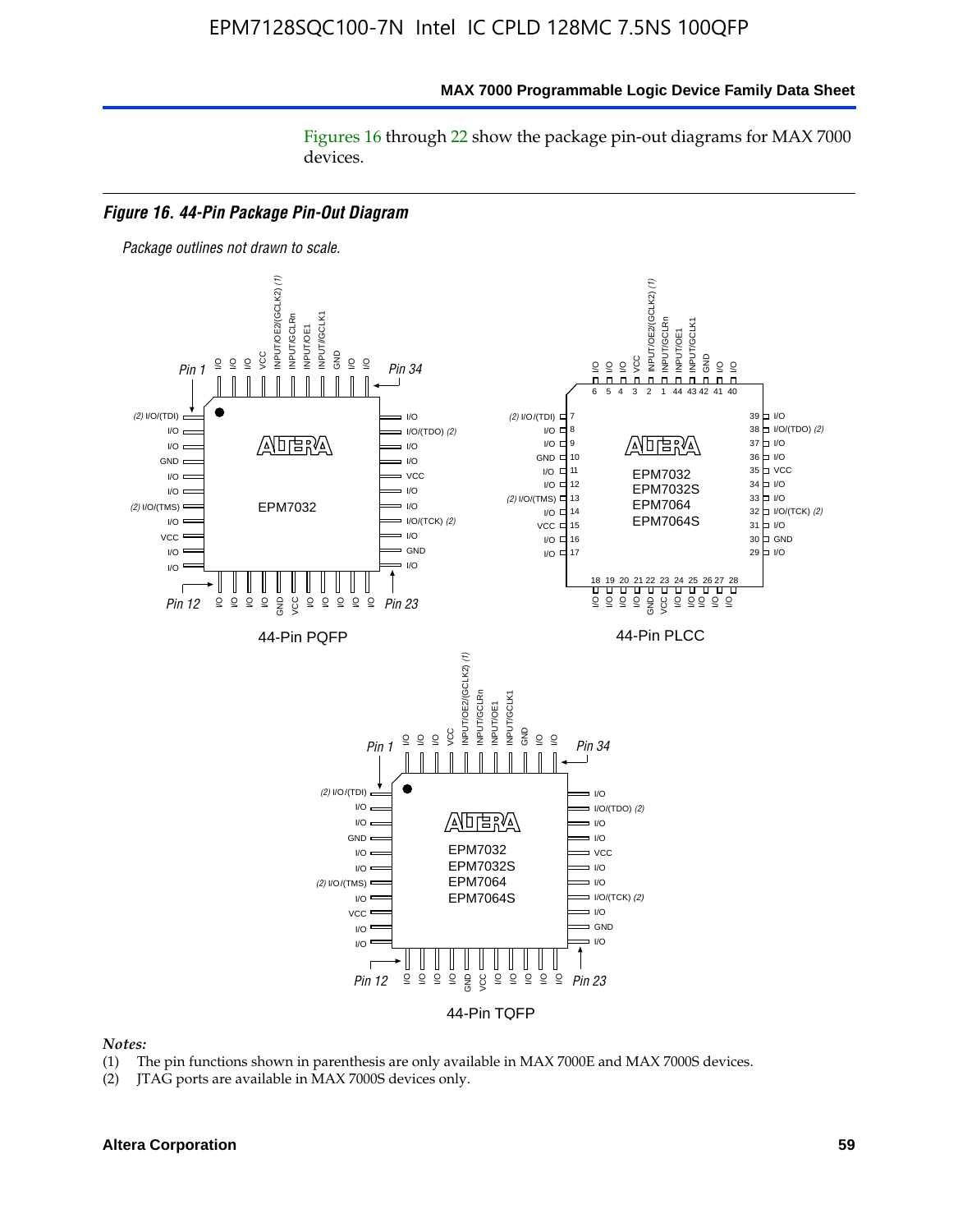#### **MAX 7000 Programmable Logic Device Family Data Sheet**

Figures 16 through 22 show the package pin-out diagrams for MAX 7000 devices.



- (1) The pin functions shown in parenthesis are only available in MAX 7000E and MAX 7000S devices.
- (2) JTAG ports are available in MAX 7000S devices only.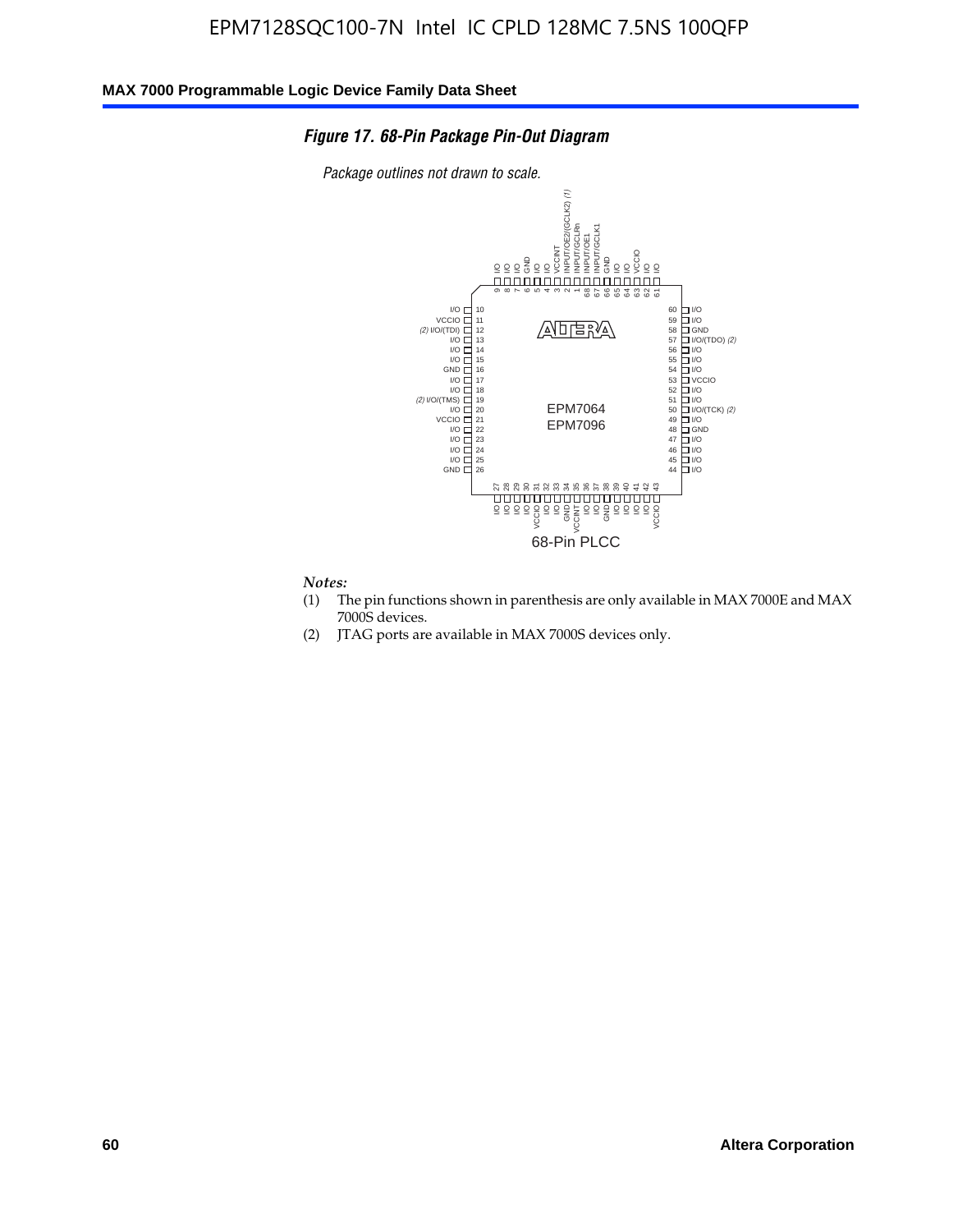#### *Figure 17. 68-Pin Package Pin-Out Diagram*

*Package outlines not drawn to scale.*



- (1) The pin functions shown in parenthesis are only available in MAX 7000E and MAX 7000S devices.
- (2) JTAG ports are available in MAX 7000S devices only.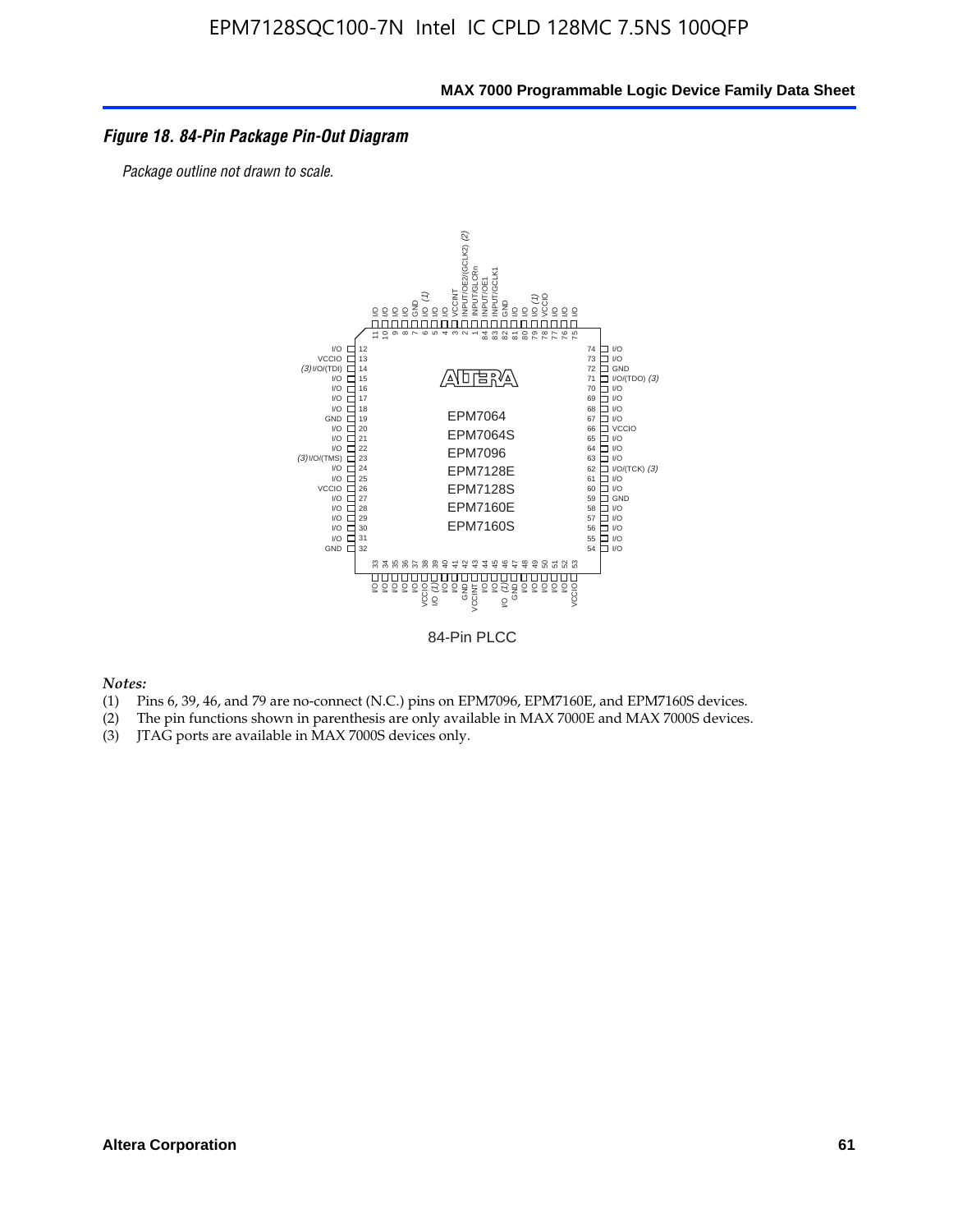#### *Figure 18. 84-Pin Package Pin-Out Diagram*

*Package outline not drawn to scale.*



84-Pin PLCC

- (1) Pins 6, 39, 46, and 79 are no-connect (N.C.) pins on EPM7096, EPM7160E, and EPM7160S devices.
- (2) The pin functions shown in parenthesis are only available in MAX 7000E and MAX 7000S devices.
-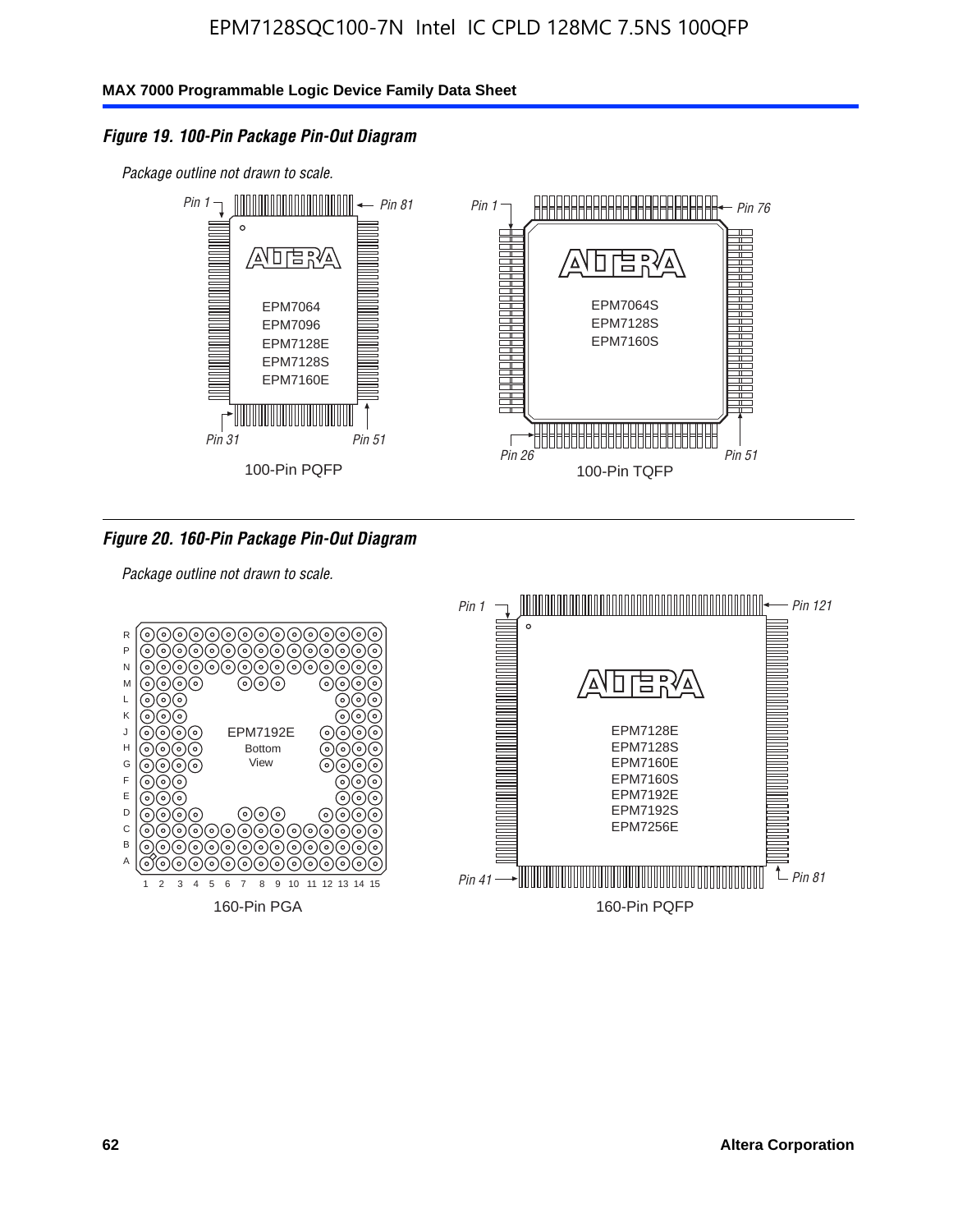### *Figure 19. 100-Pin Package Pin-Out Diagram*

*Package outline not drawn to scale.*



### *Figure 20. 160-Pin Package Pin-Out Diagram*

*Package outline not drawn to scale.*

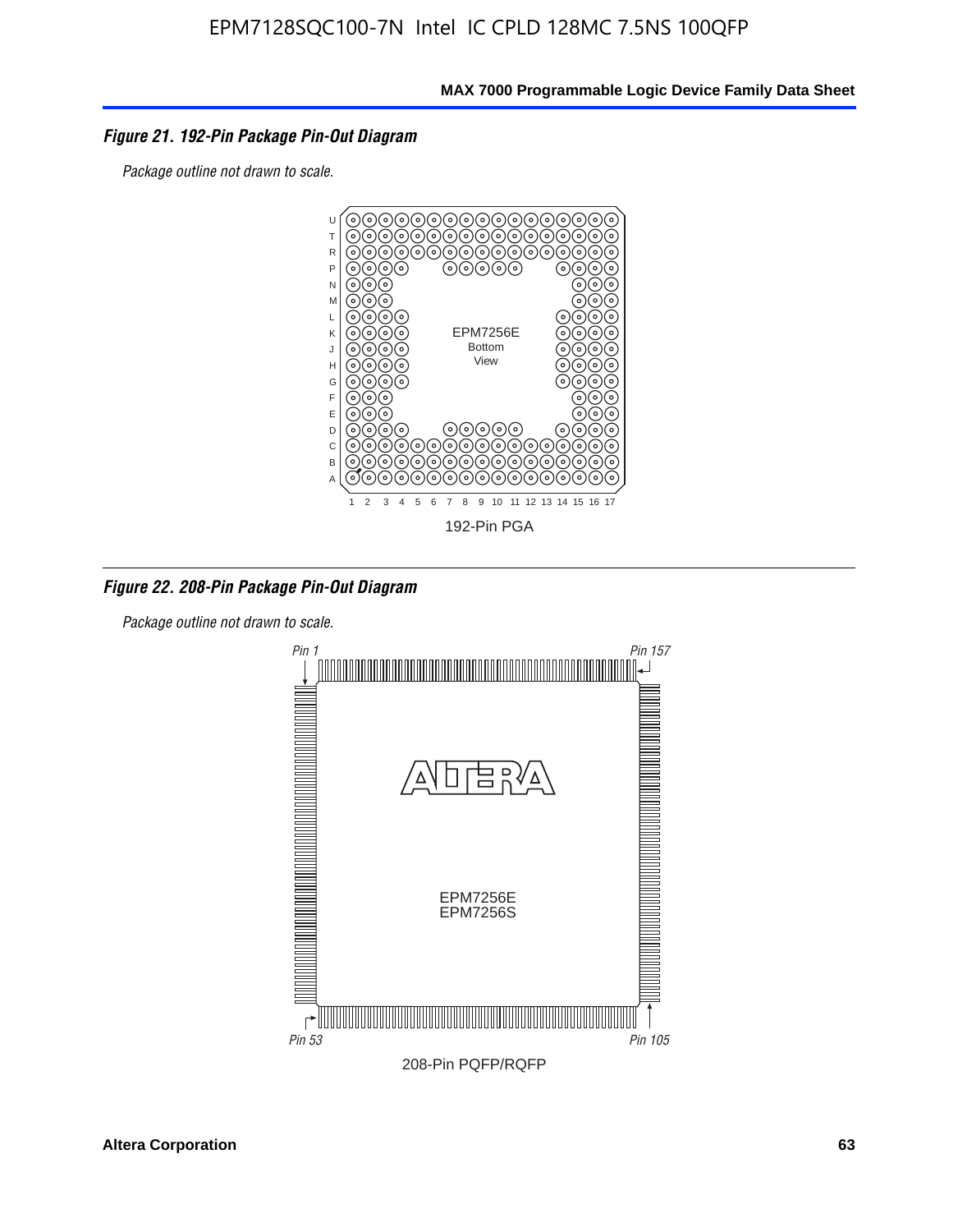### *Figure 21. 192-Pin Package Pin-Out Diagram*

*Package outline not drawn to scale.*



*Figure 22. 208-Pin Package Pin-Out Diagram*

*Package outline not drawn to scale.*

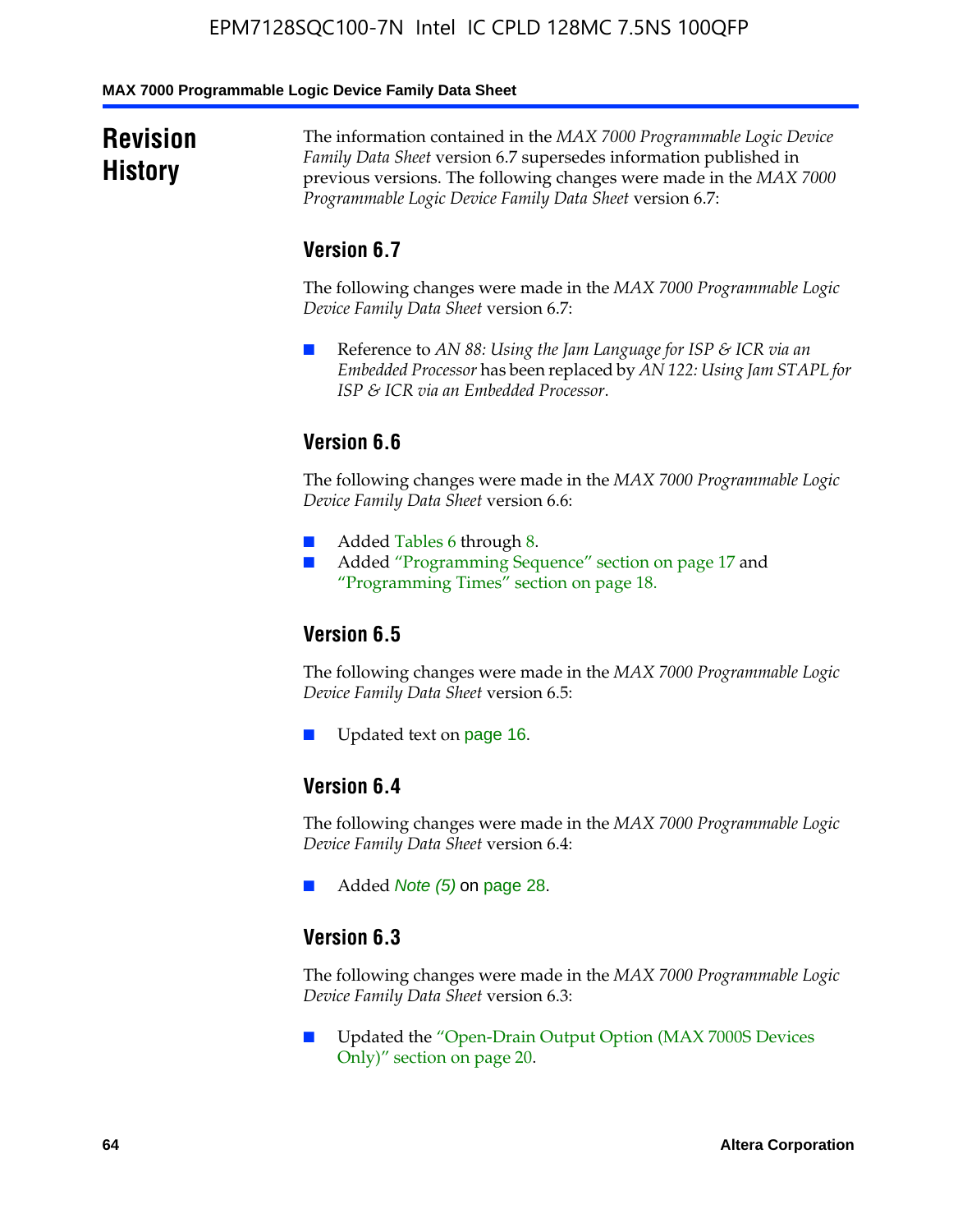#### **MAX 7000 Programmable Logic Device Family Data Sheet**

### **Revision History**

The information contained in the *MAX 7000 Programmable Logic Device Family Data Sheet* version 6.7 supersedes information published in previous versions. The following changes were made in the *MAX 7000 Programmable Logic Device Family Data Sheet* version 6.7:

### **Version 6.7**

The following changes were made in the *MAX 7000 Programmable Logic Device Family Data Sheet* version 6.7:

■ Reference to *AN 88: Using the Jam Language for ISP & ICR via an Embedded Processor* has been replaced by *AN 122: Using Jam STAPL for ISP & ICR via an Embedded Processor*.

### **Version 6.6**

The following changes were made in the *MAX 7000 Programmable Logic Device Family Data Sheet* version 6.6:

- Added Tables 6 through 8.
- Added "Programming Sequence" section on page 17 and "Programming Times" section on page 18.

### **Version 6.5**

The following changes were made in the *MAX 7000 Programmable Logic Device Family Data Sheet* version 6.5:

Updated text on page 16.

### **Version 6.4**

The following changes were made in the *MAX 7000 Programmable Logic Device Family Data Sheet* version 6.4:

■ Added *Note (5)* on page 28.

### **Version 6.3**

The following changes were made in the *MAX 7000 Programmable Logic Device Family Data Sheet* version 6.3:

■ Updated the "Open-Drain Output Option (MAX 7000S Devices Only)" section on page 20.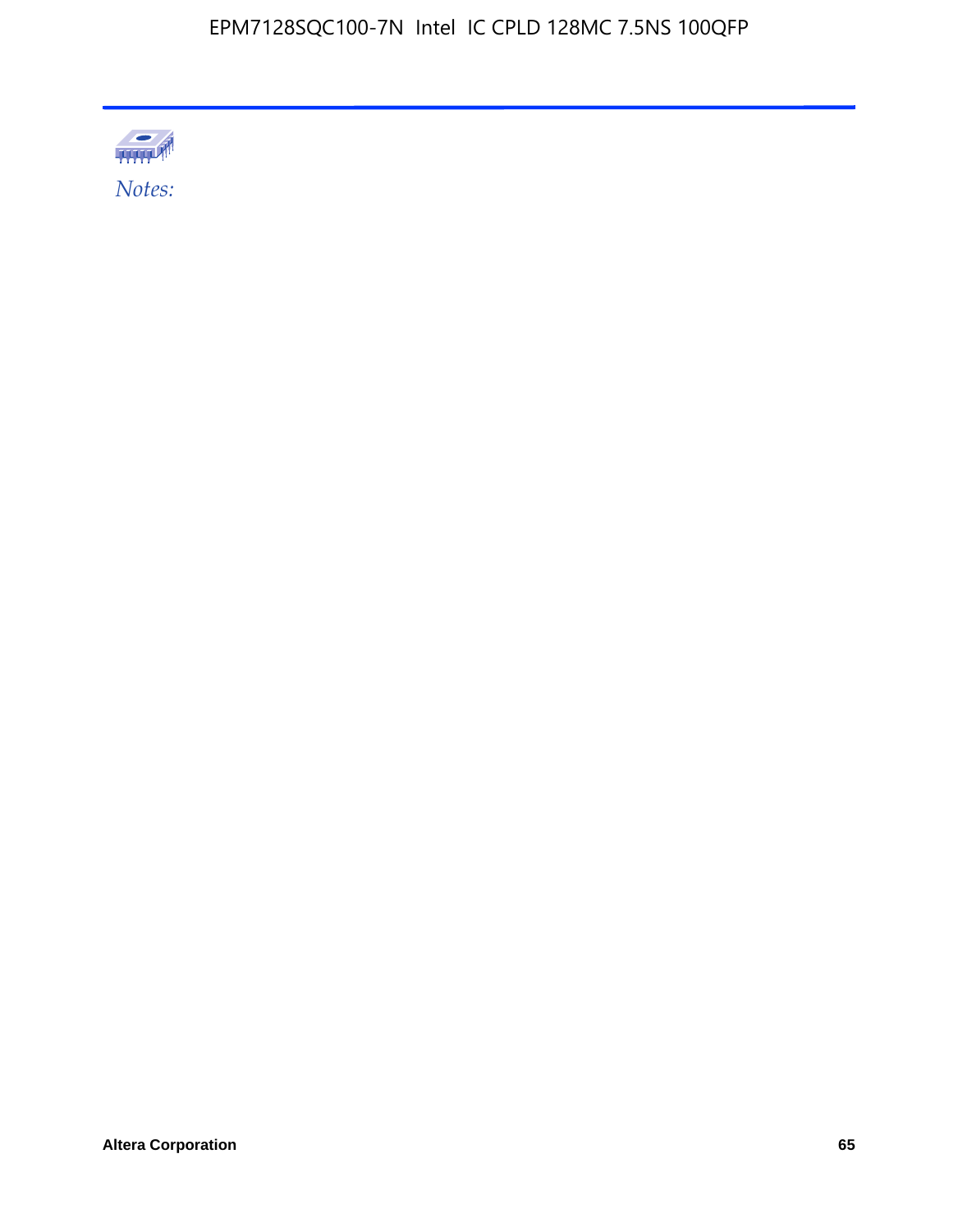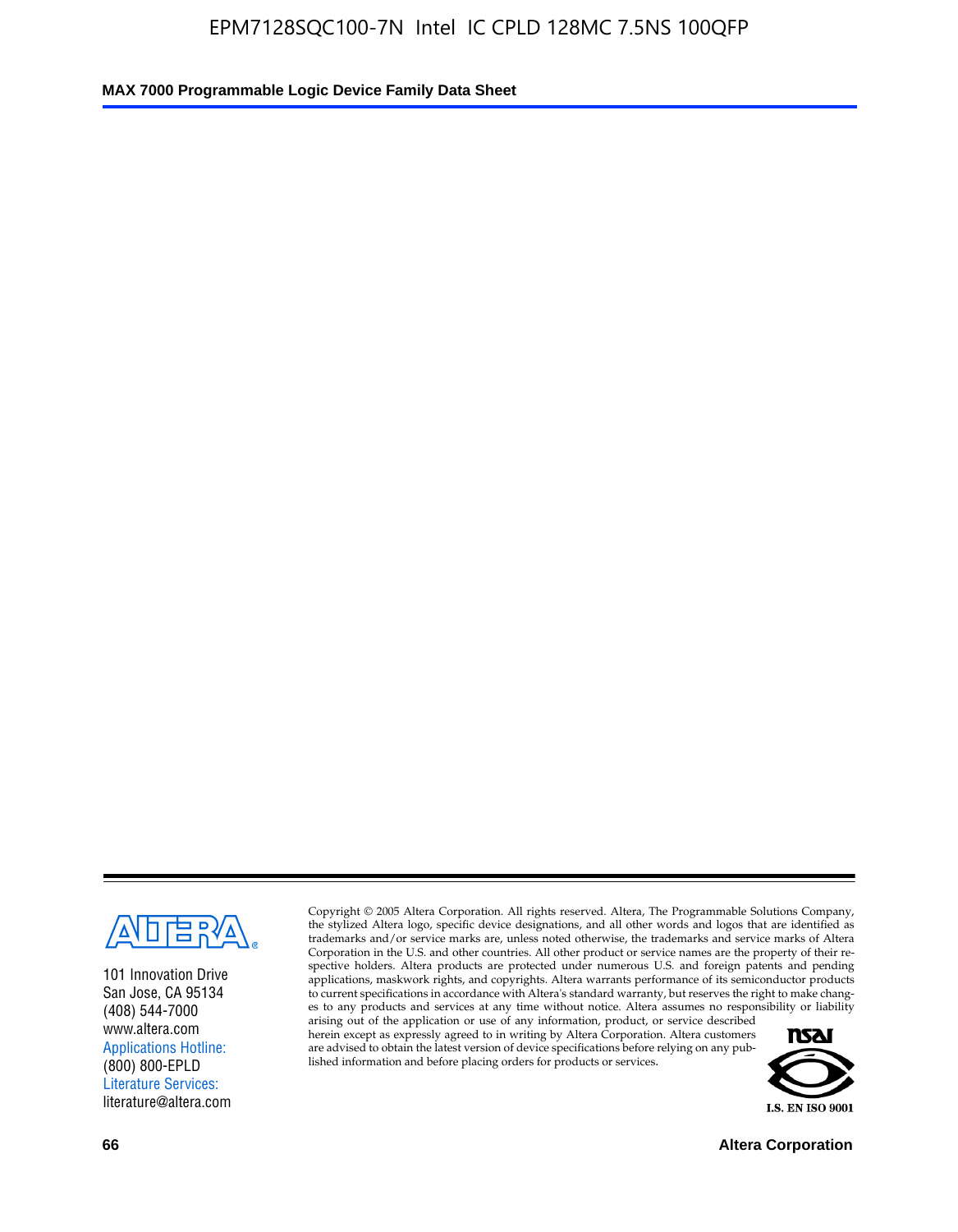

101 Innovation Drive San Jose, CA 95134 (408) 544-7000 www.altera.com Applications Hotline: (800) 800-EPLD Literature Services: literature@altera.com

Copyright © 2005 Altera Corporation. All rights reserved. Altera, The Programmable Solutions Company, the stylized Altera logo, specific device designations, and all other words and logos that are identified as trademarks and/or service marks are, unless noted otherwise, the trademarks and service marks of Altera Corporation in the U.S. and other countries. All other product or service names are the property of their respective holders. Altera products are protected under numerous U.S. and foreign patents and pending applications, maskwork rights, and copyrights. Altera warrants performance of its semiconductor products to current specifications in accordance with Altera's standard warranty, but reserves the right to make changes to any products and services at any time without notice. Altera assumes no responsibility or liability

arising out of the application or use of any information, product, or service described herein except as expressly agreed to in writing by Altera Corporation. Altera customers are advised to obtain the latest version of device specifications before relying on any published information and before placing orders for products or services.



**66 Altera Corporation**